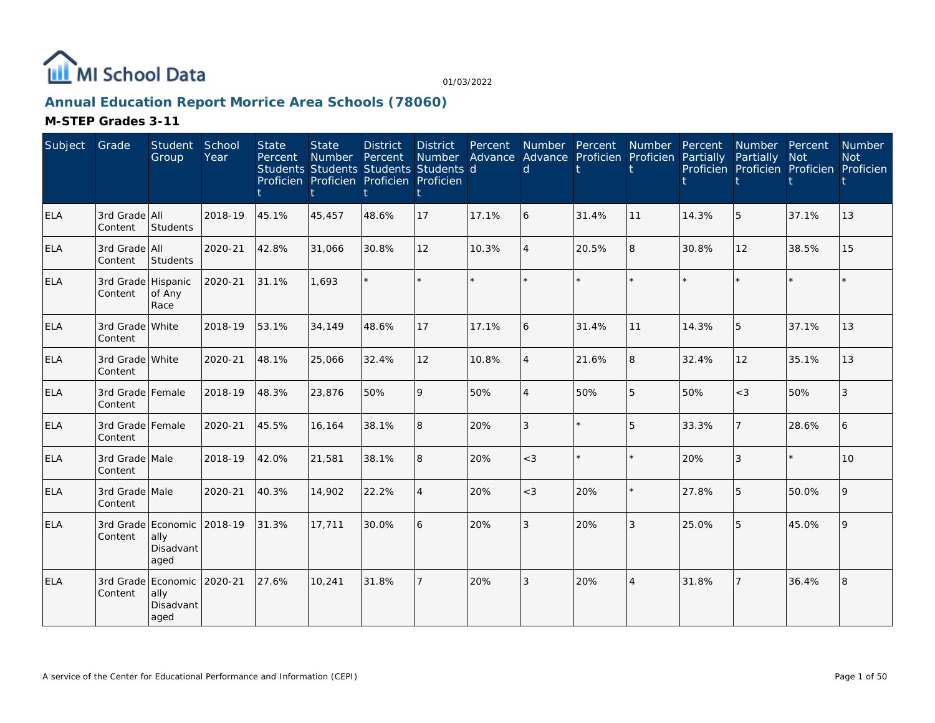

## **Annual Education Report Morrice Area Schools (78060)**

| Subject    | Grade                         | Student<br>Group                                | School<br>Year | <b>State</b><br>Percent | <b>State</b><br><b>Number</b><br>Students Students Students Students d<br>Proficien Proficien Proficien Proficien | <b>District</b><br>Percent | <b>District</b><br>Number | Percent | Number Percent<br>Advance Advance Proficien Proficien<br>d |       | Number         | Percent<br>Partially | Number Percent<br>Partially<br>Proficien Proficien Proficien Proficien | <b>Not</b> | Number<br><b>Not</b> |
|------------|-------------------------------|-------------------------------------------------|----------------|-------------------------|-------------------------------------------------------------------------------------------------------------------|----------------------------|---------------------------|---------|------------------------------------------------------------|-------|----------------|----------------------|------------------------------------------------------------------------|------------|----------------------|
| <b>ELA</b> | 3rd Grade All<br>Content      | Students                                        | 2018-19        | 45.1%                   | 45,457                                                                                                            | 48.6%                      | 17                        | 17.1%   | 6                                                          | 31.4% | 11             | 14.3%                | 5                                                                      | 37.1%      | 13                   |
| <b>ELA</b> | 3rd Grade All<br>Content      | Students                                        | 2020-21        | 42.8%                   | 31,066                                                                                                            | 30.8%                      | 12                        | 10.3%   |                                                            | 20.5% | 8              | 30.8%                | 12                                                                     | 38.5%      | 15                   |
| <b>ELA</b> | 3rd Grade Hispanic<br>Content | of Any<br>Race                                  | 2020-21        | 31.1%                   | 1,693                                                                                                             |                            |                           | $\star$ |                                                            |       | $\star$        | $\star$              |                                                                        | $\star$    |                      |
| <b>ELA</b> | 3rd Grade White<br>Content    |                                                 | 2018-19        | 53.1%                   | 34,149                                                                                                            | 48.6%                      | 17                        | 17.1%   | 6                                                          | 31.4% | 11             | 14.3%                | 5                                                                      | 37.1%      | 13                   |
| <b>ELA</b> | 3rd Grade White<br>Content    |                                                 | 2020-21        | 48.1%                   | 25,066                                                                                                            | 32.4%                      | 12                        | 10.8%   | $\overline{\mathcal{A}}$                                   | 21.6% | 8              | 32.4%                | 12                                                                     | 35.1%      | 13                   |
| <b>ELA</b> | 3rd Grade Female<br>Content   |                                                 | 2018-19        | 48.3%                   | 23,876                                                                                                            | 50%                        | $\mathsf Q$               | 50%     | $\Delta$                                                   | 50%   | 5              | 50%                  | $<$ 3                                                                  | 50%        | 3                    |
| <b>ELA</b> | 3rd Grade Female<br>Content   |                                                 | 2020-21        | 45.5%                   | 16,164                                                                                                            | 38.1%                      | 8                         | 20%     | 3                                                          |       | 5              | 33.3%                | $\overline{7}$                                                         | 28.6%      | 6                    |
| <b>ELA</b> | 3rd Grade Male<br>Content     |                                                 | 2018-19        | 42.0%                   | 21,581                                                                                                            | 38.1%                      | 8                         | 20%     | $<$ 3                                                      |       | $\star$        | 20%                  | 3                                                                      | $\star$    | 10                   |
| <b>ELA</b> | 3rd Grade Male<br>Content     |                                                 | 2020-21        | 40.3%                   | 14,902                                                                                                            | 22.2%                      | $\overline{4}$            | 20%     | $\lt$ 3                                                    | 20%   | $\star$        | 27.8%                | 5                                                                      | 50.0%      | $\mathsf{Q}$         |
| <b>ELA</b> | Content                       | 3rd Grade Economic<br>ally<br>Disadvant<br>aged | 2018-19        | 31.3%                   | 17,711                                                                                                            | 30.0%                      | 6                         | 20%     | 3                                                          | 20%   | 3              | 25.0%                | 5                                                                      | 45.0%      | 9                    |
| <b>ELA</b> | Content                       | 3rd Grade Economic<br>ally<br>Disadvant<br>aged | 2020-21        | 27.6%                   | 10,241                                                                                                            | 31.8%                      | $\overline{7}$            | 20%     | 3                                                          | 20%   | $\overline{4}$ | 31.8%                | $\overline{7}$                                                         | 36.4%      | 8                    |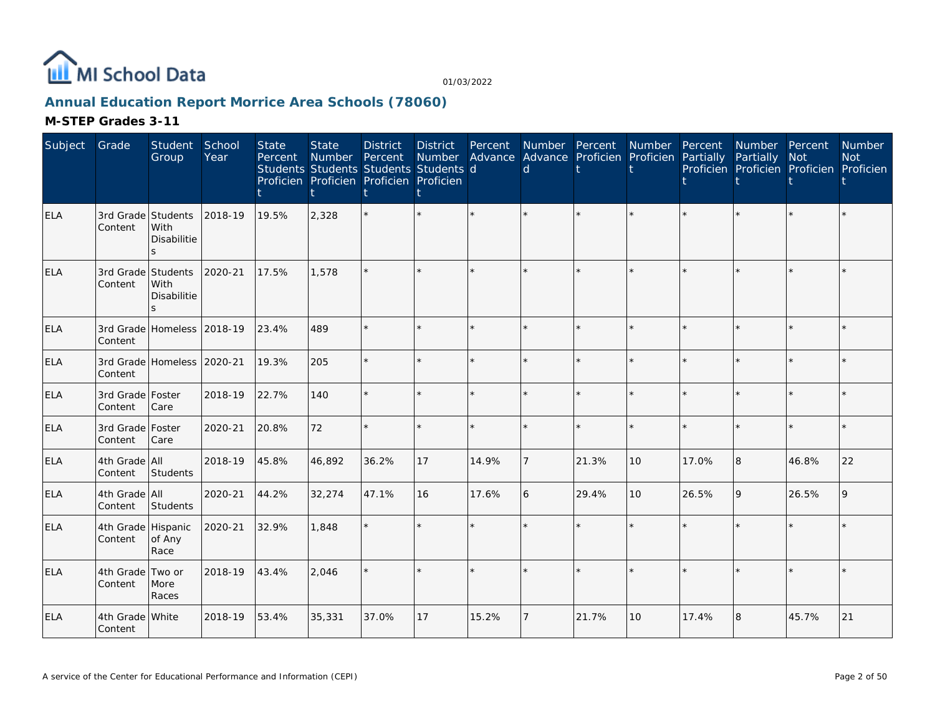

## **Annual Education Report Morrice Area Schools (78060)**

| Subject    | Grade                         | Student<br>Group                            | School<br>Year | <b>State</b><br>Percent | <b>State</b><br>Number<br>Students Students Students Students d<br>Proficien Proficien Proficien Proficien | <b>District</b><br>Percent | <b>District</b><br>Number | Percent | Advance Advance Proficien Proficien Partially<br>d | Number Percent | Number Percent |       | Number Percent<br>Partially<br>Proficien Proficien Proficien Proficien | <b>Not</b> | Number<br><b>Not</b> |
|------------|-------------------------------|---------------------------------------------|----------------|-------------------------|------------------------------------------------------------------------------------------------------------|----------------------------|---------------------------|---------|----------------------------------------------------|----------------|----------------|-------|------------------------------------------------------------------------|------------|----------------------|
| ELA        | 3rd Grade Students<br>Content | <b>With</b><br>Disabilitie<br>$\mathcal{S}$ | 2018-19        | 19.5%                   | 2,328                                                                                                      |                            | $\star$                   |         |                                                    |                |                |       |                                                                        |            |                      |
| <b>ELA</b> | 3rd Grade Students<br>Content | With<br>Disabilitie                         | 2020-21        | 17.5%                   | 1.578                                                                                                      |                            |                           |         |                                                    |                |                |       |                                                                        |            |                      |
| <b>ELA</b> | Content                       | 3rd Grade Homeless 2018-19                  |                | 23.4%                   | 489                                                                                                        |                            | $\star$                   | $\star$ | $\star$                                            |                | ÷.             |       |                                                                        | $\star$    |                      |
| <b>ELA</b> | Content                       | 3rd Grade Homeless 2020-21                  |                | 19.3%                   | 205                                                                                                        |                            | $\star$                   | ÷.      |                                                    |                | $\star$        |       |                                                                        | $\star$    |                      |
| <b>ELA</b> | 3rd Grade   Foster<br>Content | Care                                        | 2018-19        | 22.7%                   | 140                                                                                                        |                            | ÷.                        |         |                                                    |                | ÷.             |       |                                                                        | ÷          |                      |
| <b>ELA</b> | 3rd Grade   Foster<br>Content | Care                                        | 2020-21        | 20.8%                   | 72                                                                                                         |                            | $\star$                   | ÷.      |                                                    |                | $\star$        |       |                                                                        | $\star$    |                      |
| <b>ELA</b> | 4th Grade All<br>Content      | Students                                    | 2018-19        | 45.8%                   | 46,892                                                                                                     | 36.2%                      | 17                        | 14.9%   |                                                    | 21.3%          | 10             | 17.0% | 8                                                                      | 46.8%      | 22                   |
| <b>ELA</b> | 4th Grade All<br>Content      | Students                                    | 2020-21        | 44.2%                   | 32,274                                                                                                     | 47.1%                      | 16                        | 17.6%   | 6                                                  | 29.4%          | 10             | 26.5% | 9                                                                      | 26.5%      | $\mathsf{Q}$         |
| <b>ELA</b> | 4th Grade Hispanic<br>Content | of Any<br>Race                              | 2020-21        | 32.9%                   | 1,848                                                                                                      |                            | $\star$                   | ÷.      |                                                    |                | $\star$        | à.    |                                                                        | $\star$    |                      |
| <b>ELA</b> | 4th Grade Two or<br>Content   | More<br>Races                               | 2018-19        | 43.4%                   | 2,046                                                                                                      |                            | ÷.                        | $\star$ |                                                    |                | $\star$        |       |                                                                        | $\star$    |                      |
| <b>ELA</b> | 4th Grade White<br>Content    |                                             | 2018-19        | 53.4%                   | 35,331                                                                                                     | 37.0%                      | 17                        | 15.2%   |                                                    | 21.7%          | 10             | 17.4% | 8                                                                      | 45.7%      | 21                   |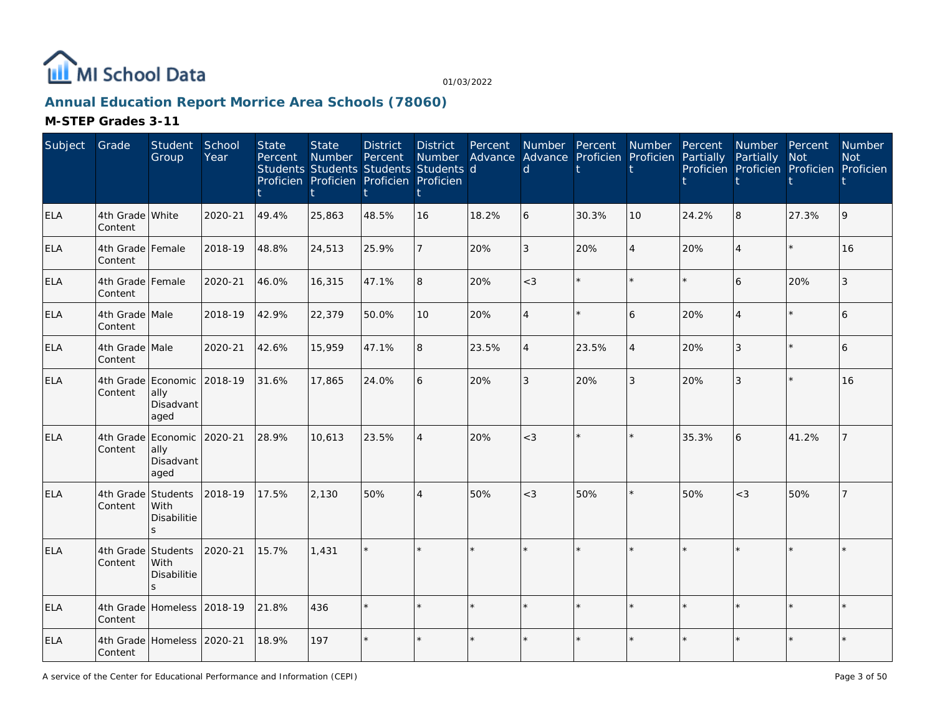

# **Annual Education Report Morrice Area Schools (78060)**

| Subject    | Grade                       | Student<br>Group                                | School<br>Year | <b>State</b><br>Percent | <b>State</b><br>Number | <b>District</b><br>Percent<br>Students Students Students Students d<br>Proficien Proficien Proficien Proficien | <b>District</b><br>Number<br>t, | Percent<br>Advance | Number Percent<br>$\mathsf{d}$ | Advance Proficien | Number<br>Proficien | Percent<br>Partially | Number Percent<br>Partially | Not<br>Proficien Proficien Proficien Proficien | Number<br><b>Not</b> |
|------------|-----------------------------|-------------------------------------------------|----------------|-------------------------|------------------------|----------------------------------------------------------------------------------------------------------------|---------------------------------|--------------------|--------------------------------|-------------------|---------------------|----------------------|-----------------------------|------------------------------------------------|----------------------|
| <b>ELA</b> | 4th Grade White<br>Content  |                                                 | 2020-21        | 49.4%                   | 25,863                 | 48.5%                                                                                                          | 16                              | 18.2%              | 6                              | 30.3%             | 10                  | 24.2%                | 8                           | 27.3%                                          | 9                    |
| <b>ELA</b> | 4th Grade Female<br>Content |                                                 | 2018-19        | 48.8%                   | 24,513                 | 25.9%                                                                                                          |                                 | 20%                | 3                              | 20%               | $\overline{4}$      | 20%                  | $\overline{4}$              | $\star$                                        | 16                   |
| <b>ELA</b> | 4th Grade Female<br>Content |                                                 | 2020-21        | 46.0%                   | 16,315                 | 47.1%                                                                                                          | 8                               | 20%                | $<$ 3                          | ÷.                | $\star$             |                      | 6                           | 20%                                            | 3                    |
| ELA        | 4th Grade Male<br>Content   |                                                 | 2018-19        | 42.9%                   | 22,379                 | 50.0%                                                                                                          | 10                              | 20%                | $\overline{4}$                 | ÷                 | 6                   | 20%                  | $\overline{4}$              | $\star$                                        | 6                    |
| ELA        | 4th Grade Male<br>Content   |                                                 | 2020-21        | 42.6%                   | 15,959                 | 47.1%                                                                                                          | 8                               | 23.5%              | $\overline{4}$                 | 23.5%             | $\overline{4}$      | 20%                  | 3                           | $\star$                                        | 6                    |
| <b>ELA</b> | 4th Grade<br>Content        | Economic<br>ally<br>Disadvant<br>aged           | 2018-19        | 31.6%                   | 17,865                 | 24.0%                                                                                                          | 6                               | 20%                | 3                              | 20%               | 3                   | 20%                  | 3                           | $\star$                                        | 16                   |
| <b>ELA</b> | 4th Grade<br>Content        | Economic<br>ally<br>Disadvant<br>aged           | 2020-21        | 28.9%                   | 10,613                 | 23.5%                                                                                                          | $\overline{4}$                  | 20%                | $<$ 3                          |                   | $\star$             | 35.3%                | 6                           | 41.2%                                          |                      |
| ELA        | 4th Grade<br>Content        | Students<br>With<br>Disabilitie<br>$\mathbf{S}$ | 2018-19        | 17.5%                   | 2,130                  | 50%                                                                                                            | $\overline{4}$                  | 50%                | $<$ 3                          | 50%               | $\star$             | 50%                  | $<$ 3                       | 50%                                            |                      |
| <b>ELA</b> | 4th Grade<br>Content        | Students<br>With<br>Disabilitie                 | 2020-21        | 15.7%                   | 1.431                  |                                                                                                                |                                 |                    |                                |                   |                     |                      |                             | $\star$                                        |                      |
| ELA        | Content                     | 4th Grade Homeless 2018-19                      |                | 21.8%                   | 436                    |                                                                                                                |                                 |                    |                                |                   | $\star$             |                      | ÷.                          | $\star$                                        |                      |
| <b>ELA</b> | Content                     | 4th Grade Homeless 2020-21                      |                | 18.9%                   | 197                    |                                                                                                                |                                 |                    |                                |                   |                     |                      |                             | $\star$                                        |                      |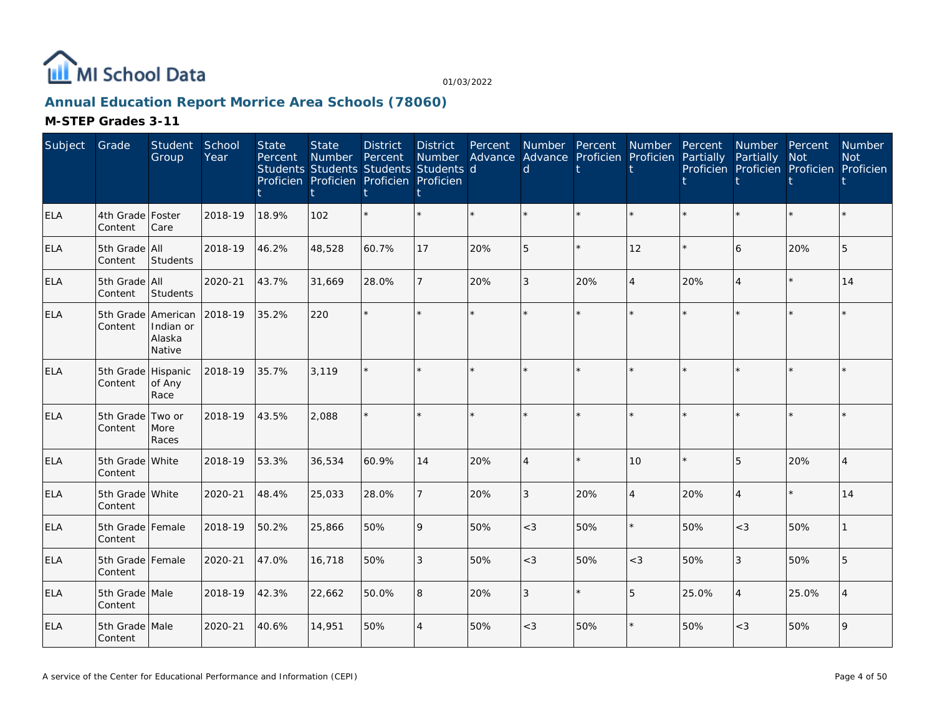

## **Annual Education Report Morrice Area Schools (78060)**

| Subject    | Grade                         | Student<br>Group              | School<br>Year | <b>State</b><br>Percent | <b>State</b><br><b>Number</b><br>Students Students Students Students d<br>Proficien Proficien Proficien Proficien | <b>District</b><br>Percent | <b>District</b><br><b>Number</b><br>t | Percent | d              | Number Percent<br>Advance Advance Proficien Proficien | Number         | Percent<br>Partially | Number Percent<br>Partially<br>Proficien Proficien Proficien Proficien | Not     | <b>Number</b><br><b>Not</b> |
|------------|-------------------------------|-------------------------------|----------------|-------------------------|-------------------------------------------------------------------------------------------------------------------|----------------------------|---------------------------------------|---------|----------------|-------------------------------------------------------|----------------|----------------------|------------------------------------------------------------------------|---------|-----------------------------|
| ELA        | 4th Grade Foster<br>Content   | Care                          | 2018-19        | 18.9%                   | 102                                                                                                               |                            |                                       | $\star$ |                |                                                       |                |                      | $\star$                                                                | $\star$ |                             |
| <b>ELA</b> | 5th Grade All<br>Content      | Students                      | 2018-19        | 46.2%                   | 48,528                                                                                                            | 60.7%                      | 17                                    | 20%     | 5              | ÷.                                                    | 12             |                      | 6                                                                      | 20%     | 5                           |
| <b>ELA</b> | 5th Grade All<br>Content      | Students                      | 2020-21        | 43.7%                   | 31,669                                                                                                            | 28.0%                      | $\overline{7}$                        | 20%     | 3              | 20%                                                   | $\overline{4}$ | 20%                  | 4                                                                      | $\star$ | 14                          |
| <b>ELA</b> | 5th Grade American<br>Content | Indian or<br>Alaska<br>Native | 2018-19        | 35.2%                   | 220                                                                                                               |                            |                                       |         |                |                                                       |                |                      | $\star$                                                                | ÷.      |                             |
| <b>ELA</b> | 5th Grade Hispanic<br>Content | of Any<br>Race                | 2018-19        | 35.7%                   | 3,119                                                                                                             |                            |                                       |         |                |                                                       |                |                      | $\star$                                                                | $\star$ |                             |
| ELA        | 5th Grade Two or<br>Content   | More<br>Races                 | 2018-19        | 43.5%                   | 2,088                                                                                                             |                            |                                       | ÷.      | ÷              | ÷.                                                    | ÷.             |                      | $\star$                                                                | $\star$ |                             |
| ELA        | 5th Grade White<br>Content    |                               | 2018-19        | 53.3%                   | 36,534                                                                                                            | 60.9%                      | 14                                    | 20%     | $\overline{A}$ |                                                       | 10             |                      | 5                                                                      | 20%     | $\overline{4}$              |
| <b>ELA</b> | 5th Grade White<br>Content    |                               | 2020-21        | 48.4%                   | 25,033                                                                                                            | 28.0%                      | $\overline{7}$                        | 20%     | 3              | 20%                                                   | $\overline{4}$ | 20%                  | 4                                                                      | $\star$ | 14                          |
| <b>ELA</b> | 5th Grade Female<br>Content   |                               | 2018-19        | 50.2%                   | 25,866                                                                                                            | 50%                        | $\mathsf{Q}$                          | 50%     | $<$ 3          | 50%                                                   | $\star$        | 50%                  | $<$ 3                                                                  | 50%     |                             |
| <b>ELA</b> | 5th Grade Female<br>Content   |                               | 2020-21        | 47.0%                   | 16,718                                                                                                            | 50%                        | 3                                     | 50%     | $<$ 3          | 50%                                                   | $<$ 3          | 50%                  | 3                                                                      | 50%     | 5                           |
| ELA        | 5th Grade Male<br>Content     |                               | 2018-19        | 42.3%                   | 22,662                                                                                                            | 50.0%                      | 8                                     | 20%     | 3              | $\star$                                               | 5              | 25.0%                | $\overline{4}$                                                         | 25.0%   |                             |
| <b>ELA</b> | 5th Grade Male<br>Content     |                               | 2020-21        | 40.6%                   | 14,951                                                                                                            | 50%                        | $\overline{4}$                        | 50%     | $<$ 3          | 50%                                                   | $\star$        | 50%                  | $<$ 3                                                                  | 50%     | 9                           |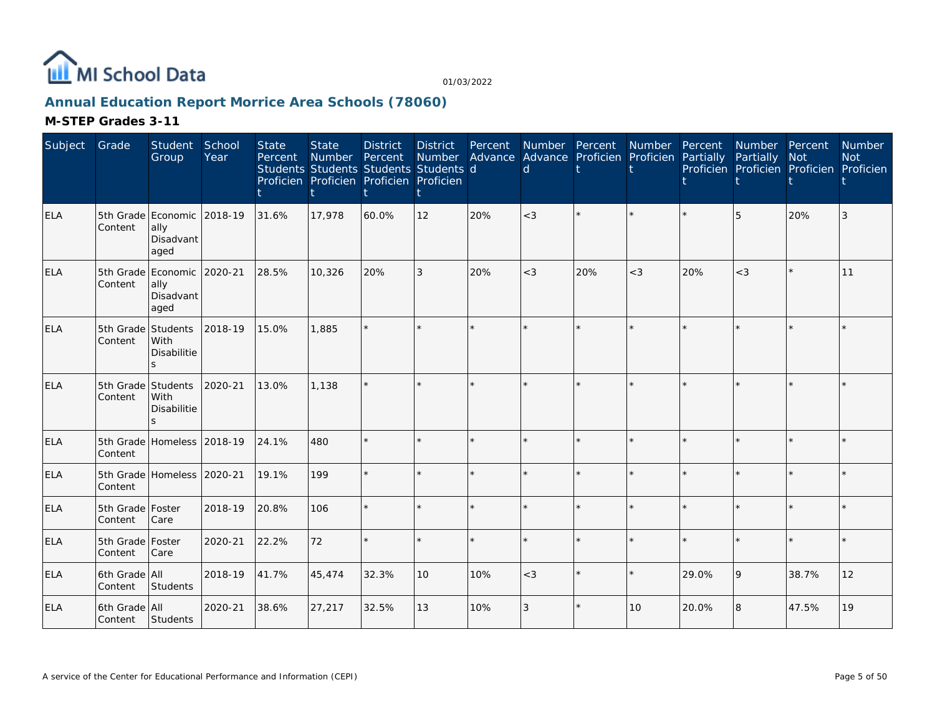

## **Annual Education Report Morrice Area Schools (78060)**

| Subject    | Grade                         | Student<br>Group                                        | School<br>Year | <b>State</b><br>Percent | <b>State</b><br>Number | <b>District</b><br>Percent<br>Students Students Students Students d<br>Proficien Proficien Proficien Proficien | <b>District</b><br>Number | Percent<br>Advance | Number Percent<br>Advance Proficien<br>$\mathsf{d}$ |         | Number<br>Proficien | Percent<br>Partially | Number Percent<br>Partially | Not<br>Proficien Proficien Proficien | Number<br><b>Not</b><br>Proficien |
|------------|-------------------------------|---------------------------------------------------------|----------------|-------------------------|------------------------|----------------------------------------------------------------------------------------------------------------|---------------------------|--------------------|-----------------------------------------------------|---------|---------------------|----------------------|-----------------------------|--------------------------------------|-----------------------------------|
| <b>ELA</b> | Content                       | 5th Grade Economic<br>ally<br>Disadvant<br>aged         | 2018-19        | 31.6%                   | 17,978                 | 60.0%                                                                                                          | 12                        | 20%                | $<$ 3                                               |         |                     |                      | 5                           | 20%                                  | 3                                 |
| <b>ELA</b> | Content                       | 5th Grade Economic 2020-21<br>ally<br>Disadvant<br>aged |                | 28.5%                   | 10.326                 | 20%                                                                                                            | 3                         | 20%                | $<$ 3                                               | 20%     | $<$ 3               | 20%                  | $<$ 3                       | $\star$                              | 11                                |
| <b>ELA</b> | 5th Grade<br>Content          | Students<br>With<br>Disabilitie                         | 2018-19        | 15.0%                   | 1,885                  |                                                                                                                |                           | $\star$            |                                                     |         | $\star$             |                      |                             | $\star$                              |                                   |
| ELA        | 5th Grade Students<br>Content | With<br><b>Disabilitie</b><br>$\mathcal{L}$             | 2020-21        | 13.0%                   | 1.138                  |                                                                                                                |                           |                    |                                                     | ÷.      | $\star$             |                      | $\star$                     | $\star$                              |                                   |
| <b>ELA</b> | Content                       | 5th Grade Homeless 2018-19                              |                | 24.1%                   | 480                    |                                                                                                                |                           |                    |                                                     | ×.      | $\star$             |                      | ÷.                          | $\star$                              |                                   |
| <b>ELA</b> | Content                       | 5th Grade Homeless 2020-21                              |                | 19.1%                   | 199                    |                                                                                                                |                           | $\star$            |                                                     |         | $\star$             |                      | ÷.                          | $\star$                              |                                   |
| <b>ELA</b> | 5th Grade Foster<br>Content   | Care                                                    | 2018-19        | 20.8%                   | 106                    |                                                                                                                |                           | $\star$            |                                                     | ×.      | $\star$             |                      | $\star$                     | $\star$                              |                                   |
| ELA        | 5th Grade Foster<br>Content   | Care                                                    | 2020-21        | 22.2%                   | 72                     |                                                                                                                |                           | $\star$            |                                                     |         | $\star$             |                      | ÷.                          | $\star$                              |                                   |
| <b>ELA</b> | 6th Grade All<br>Content      | Students                                                | 2018-19        | 41.7%                   | 45,474                 | 32.3%                                                                                                          | 10                        | 10%                | $<$ 3                                               | $\star$ | $\star$             | 29.0%                | 9                           | 38.7%                                | 12                                |
| <b>ELA</b> | 6th Grade All<br>Content      | Students                                                | 2020-21        | 38.6%                   | 27,217                 | 32.5%                                                                                                          | 13                        | 10%                | 3                                                   |         | 10                  | 20.0%                | 8                           | 47.5%                                | 19                                |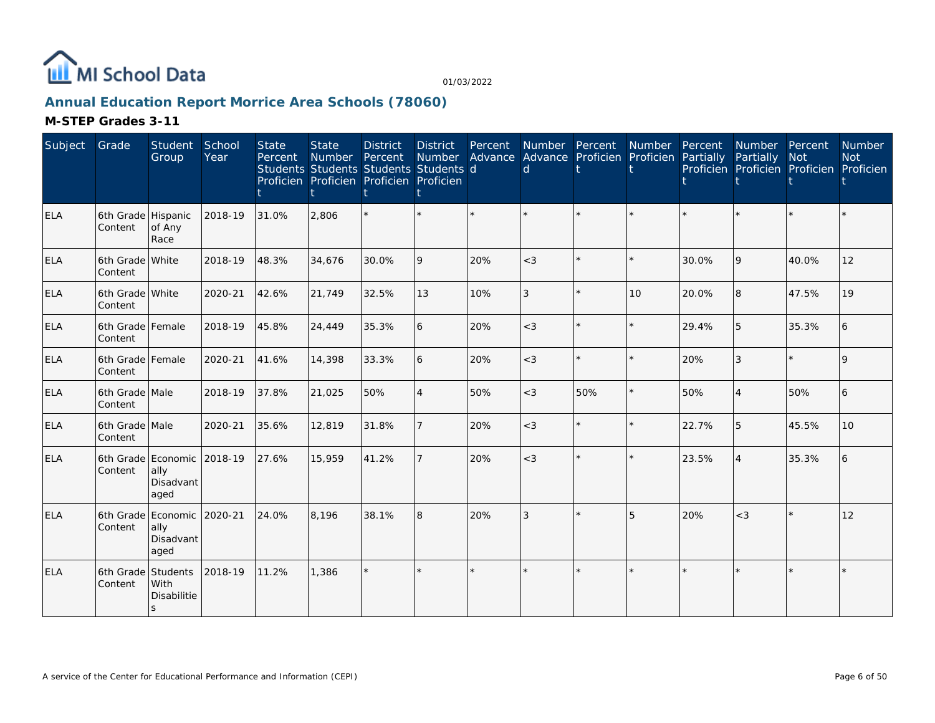

## **Annual Education Report Morrice Area Schools (78060)**

| Subject    | Grade                         | Student<br>Group                                | School<br>Year | <b>State</b><br>Percent | <b>State</b><br>Number<br>Students Students Students Students d<br>Proficien Proficien Proficien Proficien | <b>District</b><br>Percent | <b>District</b><br>Number | Percent | Number Percent<br>d |     | Number<br>Advance Advance Proficien Proficien Partially | Percent | Number Percent<br>Partially<br>Proficien Proficien Proficien Proficien | <b>Not</b> | Number<br><b>Not</b> |
|------------|-------------------------------|-------------------------------------------------|----------------|-------------------------|------------------------------------------------------------------------------------------------------------|----------------------------|---------------------------|---------|---------------------|-----|---------------------------------------------------------|---------|------------------------------------------------------------------------|------------|----------------------|
| <b>ELA</b> | 6th Grade Hispanic<br>Content | of Any<br>Race                                  | 2018-19        | 31.0%                   | 2,806                                                                                                      |                            |                           |         |                     |     |                                                         |         |                                                                        |            |                      |
| <b>ELA</b> | 6th Grade White<br>Content    |                                                 | 2018-19        | 48.3%                   | 34,676                                                                                                     | 30.0%                      | 9                         | 20%     | $<$ 3               |     | $\star$                                                 | 30.0%   | 9                                                                      | 40.0%      | 12                   |
| <b>ELA</b> | 6th Grade White<br>Content    |                                                 | 2020-21        | 42.6%                   | 21,749                                                                                                     | 32.5%                      | 13                        | 10%     | 3                   |     | 10                                                      | 20.0%   | 8                                                                      | 47.5%      | 19                   |
| ELA        | 6th Grade Female<br>Content   |                                                 | 2018-19        | 45.8%                   | 24,449                                                                                                     | 35.3%                      | 6                         | 20%     | $<$ 3               |     | $\star$                                                 | 29.4%   | 5                                                                      | 35.3%      |                      |
| <b>ELA</b> | 6th Grade Female<br>Content   |                                                 | 2020-21        | 41.6%                   | 14,398                                                                                                     | 33.3%                      | 6                         | 20%     | $<$ 3               |     | $\star$                                                 | 20%     | 3                                                                      | $\star$    | $\mathsf Q$          |
| ELA        | 6th Grade Male<br>Content     |                                                 | 2018-19        | 37.8%                   | 21,025                                                                                                     | 50%                        | $\overline{4}$            | 50%     | $<$ 3               | 50% | $\star$                                                 | 50%     | $\overline{4}$                                                         | 50%        | 6                    |
| <b>ELA</b> | 6th Grade Male<br>Content     |                                                 | 2020-21        | 35.6%                   | 12,819                                                                                                     | 31.8%                      | $\overline{7}$            | 20%     | $<$ 3               |     | $\star$                                                 | 22.7%   | 5                                                                      | 45.5%      | 10                   |
| <b>ELA</b> | Content                       | 6th Grade Economic<br>ally<br>Disadvant<br>aged | 2018-19        | 27.6%                   | 15,959                                                                                                     | 41.2%                      | $\overline{7}$            | 20%     | $<$ 3               |     | $\star$                                                 | 23.5%   | 4                                                                      | 35.3%      |                      |
| ELA        | 6th Grade<br>Content          | Economic<br>ally<br>Disadvant<br>aged           | 2020-21        | 24.0%                   | 8,196                                                                                                      | 38.1%                      | l 8                       | 20%     | 3                   |     | 5                                                       | 20%     | $<$ 3                                                                  | $\star$    | 12                   |
| <b>ELA</b> | 6th Grade Students<br>Content | With<br><b>Disabilitie</b><br>S.                | 2018-19        | 11.2%                   | 1.386                                                                                                      |                            | $\star$                   |         |                     |     | $\star$                                                 |         |                                                                        | $\star$    |                      |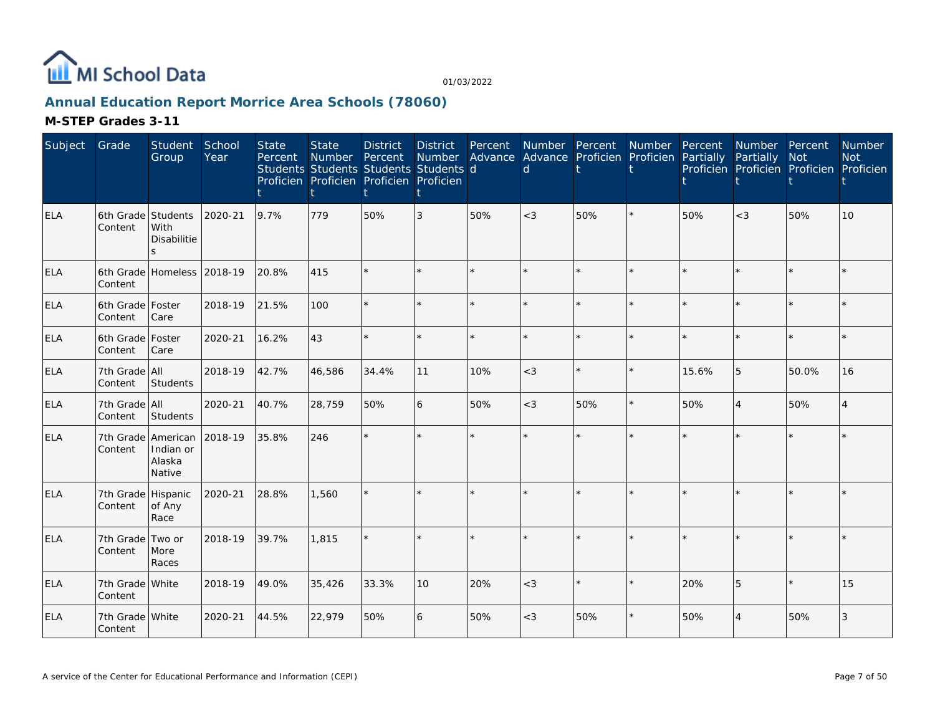

## **Annual Education Report Morrice Area Schools (78060)**

| Subject    | Grade                         | Student<br>Group              | School<br>Year | <b>State</b><br>Percent | <b>State</b><br>Number<br>Students Students Students Students d<br>Proficien Proficien Proficien Proficien | <b>District</b><br>Percent | <b>District</b><br>Number | Percent | Number Percent<br>Advance Advance Proficien Proficien Partially<br>d |     | Number Percent |       | Number Percent<br>Partially<br>Proficien Proficien Proficien Proficien | <b>Not</b> | Number<br><b>Not</b> |
|------------|-------------------------------|-------------------------------|----------------|-------------------------|------------------------------------------------------------------------------------------------------------|----------------------------|---------------------------|---------|----------------------------------------------------------------------|-----|----------------|-------|------------------------------------------------------------------------|------------|----------------------|
| ELA        | 6th Grade Students<br>Content | With<br>Disabilitie           | 2020-21        | 9.7%                    | 779                                                                                                        | 50%                        | 3                         | 50%     | $<$ 3                                                                | 50% | $\star$        | 50%   | $<$ 3                                                                  | 50%        | 10                   |
| <b>ELA</b> | Content                       | 6th Grade Homeless            | 2018-19        | 20.8%                   | 415                                                                                                        |                            |                           |         |                                                                      |     | $\star$        |       |                                                                        | $\star$    |                      |
| <b>ELA</b> | 6th Grade Foster<br>Content   | Care                          | 2018-19        | 21.5%                   | 100                                                                                                        |                            |                           | ÷.      |                                                                      |     | $\star$        |       |                                                                        | ÷          |                      |
| <b>ELA</b> | 6th Grade   Foster<br>Content | Care                          | 2020-21        | 16.2%                   | 43                                                                                                         |                            |                           | ÷.      |                                                                      |     | $\star$        |       |                                                                        | $\star$    |                      |
| <b>ELA</b> | 7th Grade All<br>Content      | Students                      | 2018-19        | 42.7%                   | 46,586                                                                                                     | 34.4%                      | 11                        | 10%     | $<$ 3                                                                |     | $\star$        | 15.6% | 5                                                                      | 50.0%      | 16                   |
| <b>ELA</b> | 7th Grade All<br>Content      | Students                      | 2020-21        | 40.7%                   | 28,759                                                                                                     | 50%                        | 6                         | 50%     | $<$ 3                                                                | 50% | $\star$        | 50%   | $\overline{4}$                                                         | 50%        | Δ                    |
| <b>ELA</b> | 7th Grade American<br>Content | Indian or<br>Alaska<br>Native | 2018-19        | 35.8%                   | 246                                                                                                        |                            | ÷.                        | ÷.      | ų.                                                                   |     | ÷.             |       |                                                                        | $\star$    |                      |
| <b>ELA</b> | 7th Grade<br>Content          | Hispanic<br>of Any<br>Race    | 2020-21        | 28.8%                   | 1,560                                                                                                      |                            |                           |         |                                                                      |     |                |       |                                                                        |            |                      |
| ELA        | 7th Grade<br>Content          | Two or<br>More<br>Races       | 2018-19        | 39.7%                   | 1.815                                                                                                      |                            | ÷.                        | $\star$ |                                                                      |     | $\star$        |       |                                                                        | $\star$    |                      |
| <b>ELA</b> | 7th Grade White<br>Content    |                               | 2018-19        | 49.0%                   | 35,426                                                                                                     | 33.3%                      | 10                        | 20%     | $<$ 3                                                                |     | $\star$        | 20%   | 5                                                                      | $\star$    | 15                   |
| <b>ELA</b> | 7th Grade White<br>Content    |                               | 2020-21        | 44.5%                   | 22,979                                                                                                     | 50%                        | 6                         | 50%     | $<$ 3                                                                | 50% | $\star$        | 50%   | 4                                                                      | 50%        | 3                    |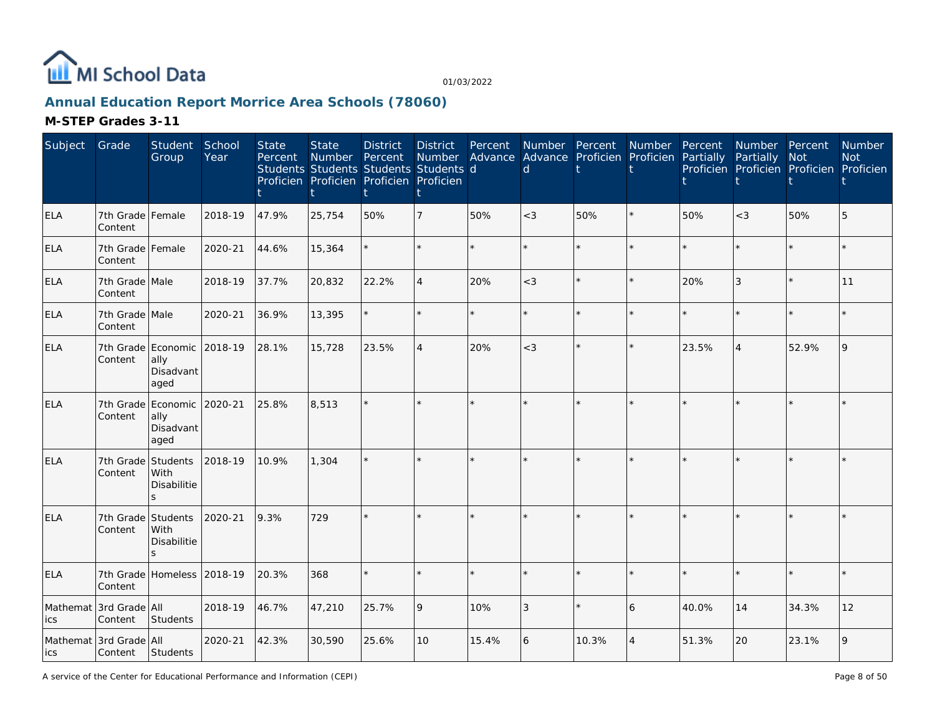

## **Annual Education Report Morrice Area Schools (78060)**

#### **M-STEP Grades 3-11**

| Subject         | Grade                             | Student<br>Group                                            | School<br>Year | <b>State</b><br>Percent | <b>State</b><br>Number | <b>District</b><br>Percent<br>Students Students Students Students d<br>Proficien Proficien Proficien Proficien | <b>District</b><br>Number | Percent | <sub>d</sub> | Number Percent<br>Advance Advance Proficien Proficien | Number         | Percent<br>Partially | Number Percent<br>Partially | Not<br>Proficien Proficien Proficien Proficien | Number<br><b>Not</b> |
|-----------------|-----------------------------------|-------------------------------------------------------------|----------------|-------------------------|------------------------|----------------------------------------------------------------------------------------------------------------|---------------------------|---------|--------------|-------------------------------------------------------|----------------|----------------------|-----------------------------|------------------------------------------------|----------------------|
| <b>ELA</b>      | 7th Grade Female<br>Content       |                                                             | 2018-19        | 47.9%                   | 25,754                 | 50%                                                                                                            |                           | 50%     | $<$ 3        | 50%                                                   |                | 50%                  | $<$ 3                       | 50%                                            | 5                    |
| <b>ELA</b>      | 7th Grade Female<br>Content       |                                                             | 2020-21        | 44.6%                   | 15,364                 |                                                                                                                |                           |         |              |                                                       | $\star$        |                      | ÷                           | $\star$                                        |                      |
| <b>ELA</b>      | 7th Grade Male<br>Content         |                                                             | 2018-19        | 37.7%                   | 20,832                 | 22.2%                                                                                                          | $\overline{4}$            | 20%     | $<$ 3        | $\star$                                               | $\star$        | 20%                  | 3                           | $\star$                                        | 11                   |
| ELA             | 7th Grade Male<br>Content         |                                                             | 2020-21        | 36.9%                   | 13,395                 |                                                                                                                |                           |         |              |                                                       | $\star$        |                      | $\star$                     | $\star$                                        |                      |
| <b>ELA</b>      | Content                           | 7th Grade Economic<br>ally<br>Disadvant<br>aged             | 2018-19        | 28.1%                   | 15,728                 | 23.5%                                                                                                          | $\overline{4}$            | 20%     | $<$ 3        |                                                       | $\star$        | 23.5%                | $\overline{4}$              | 52.9%                                          | $\mathsf{Q}$         |
| <b>ELA</b>      | 7th Grade<br>Content              | Economic<br>ally<br>Disadvant<br>aged                       | 2020-21        | 25.8%                   | 8,513                  |                                                                                                                |                           |         |              |                                                       |                |                      |                             | $\star$                                        |                      |
| <b>ELA</b>      | 7th Grade<br>Content              | Students<br>With<br><b>Disabilitie</b><br>S                 | 2018-19        | 10.9%                   | 1,304                  |                                                                                                                |                           |         |              |                                                       |                |                      |                             | $\star$                                        |                      |
| <b>ELA</b>      | 7th Grade<br>Content              | Students<br>With<br>Disabilitie<br>$\overline{\phantom{0}}$ | 2020-21        | 9.3%                    | 729                    |                                                                                                                |                           |         |              |                                                       |                |                      |                             | $\star$                                        |                      |
| ELA             | 7th Grade<br>Content              | Homeless 2018-19                                            |                | 20.3%                   | 368                    |                                                                                                                |                           |         |              |                                                       | $\star$        |                      | ÷.                          | $\star$                                        |                      |
| Mathemat<br>ics | 3rd Grade All<br>Content          | Students                                                    | 2018-19        | 46.7%                   | 47,210                 | 25.7%                                                                                                          | 9                         | 10%     | 3            |                                                       | 6              | 40.0%                | 14                          | 34.3%                                          | 12                   |
| lics            | Mathemat 3rd Grade All<br>Content | Students                                                    | 2020-21        | 42.3%                   | 30,590                 | 25.6%                                                                                                          | 10                        | 15.4%   | 6            | 10.3%                                                 | $\overline{4}$ | 51.3%                | 20                          | 23.1%                                          | 9                    |

A service of the Center for Educational Performance and Information (CEPI)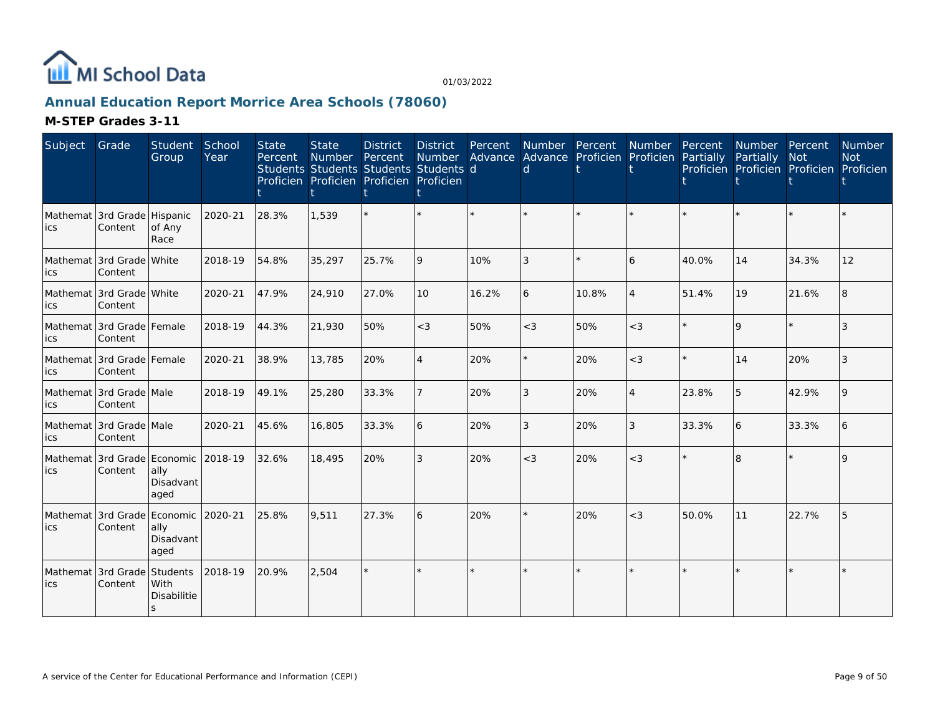

## **Annual Education Report Morrice Area Schools (78060)**

| Subject | Grade                                  | Student<br>Group          | School<br>Year | <b>State</b><br>Percent | <b>State</b><br>Number Percent<br>Proficien Proficien Proficien Proficien | <b>District</b> | District<br>Number<br>Students Students Students Students d<br>ŧ | Percent | Number Percent<br>d |       | Number<br>Advance Advance Proficien Proficien Partially | Percent | Number Percent<br>Partially<br>Proficien Proficien Proficien Proficien | <b>Not</b> | <b>Number</b><br><b>Not</b> |
|---------|----------------------------------------|---------------------------|----------------|-------------------------|---------------------------------------------------------------------------|-----------------|------------------------------------------------------------------|---------|---------------------|-------|---------------------------------------------------------|---------|------------------------------------------------------------------------|------------|-----------------------------|
| lics.   | Mathemat 3rd Grade Hispanic<br>Content | of Any<br>Race            | 2020-21        | 28.3%                   | 1,539                                                                     |                 |                                                                  |         |                     |       |                                                         |         |                                                                        |            |                             |
| ics     | Mathemat 3rd Grade White<br>Content    |                           | 2018-19        | 54.8%                   | 35,297                                                                    | 25.7%           | $\overline{Q}$                                                   | 10%     | 3                   |       | 6                                                       | 40.0%   | 14                                                                     | 34.3%      | 12                          |
| lics    | Mathemat 3rd Grade White<br>Content    |                           | 2020-21        | 47.9%                   | 24,910                                                                    | 27.0%           | 10                                                               | 16.2%   | 6                   | 10.8% | $\overline{4}$                                          | 51.4%   | 19                                                                     | 21.6%      |                             |
| lics    | Mathemat 3rd Grade Female<br>Content   |                           | 2018-19        | 44.3%                   | 21,930                                                                    | 50%             | $<$ 3                                                            | 50%     | $<$ 3               | 50%   | $<$ 3                                                   |         | $\mathsf Q$                                                            | $\star$    |                             |
| lics    | Mathemat 3rd Grade Female<br>Content   |                           | 2020-21        | 38.9%                   | 13,785                                                                    | 20%             | $\overline{4}$                                                   | 20%     |                     | 20%   | $<$ 3                                                   |         | 14                                                                     | 20%        | 3                           |
| lics    | Mathemat 3rd Grade Male<br>Content     |                           | 2018-19        | 49.1%                   | 25,280                                                                    | 33.3%           |                                                                  | 20%     | 3                   | 20%   | $\overline{4}$                                          | 23.8%   | 5                                                                      | 42.9%      |                             |
| lics    | Mathemat 3rd Grade Male<br>Content     |                           | 2020-21        | 45.6%                   | 16,805                                                                    | 33.3%           | 16                                                               | 20%     | 3                   | 20%   | $\mathfrak{Z}$                                          | 33.3%   | 6                                                                      | 33.3%      |                             |
| lics    | Mathemat 3rd Grade Economic<br>Content | ally<br>Disadvant<br>aged | 2018-19        | 32.6%                   | 18,495                                                                    | 20%             | 3                                                                | 20%     | $<$ 3               | 20%   | $<$ 3                                                   |         | $\overline{8}$                                                         |            | $\Omega$                    |
| lics    | Mathemat 3rd Grade Economic<br>Content | ally<br>Disadvant<br>aged | 2020-21        | 25.8%                   | 9.511                                                                     | 27.3%           | <sup>6</sup>                                                     | 20%     |                     | 20%   | $<$ 3                                                   | 50.0%   | 11                                                                     | 22.7%      |                             |
| lics    | Mathemat 3rd Grade Students<br>Content | With<br>Disabilitie<br>S  | 2018-19        | 20.9%                   | 2,504                                                                     |                 |                                                                  | $\star$ |                     |       | $\star$                                                 |         |                                                                        |            |                             |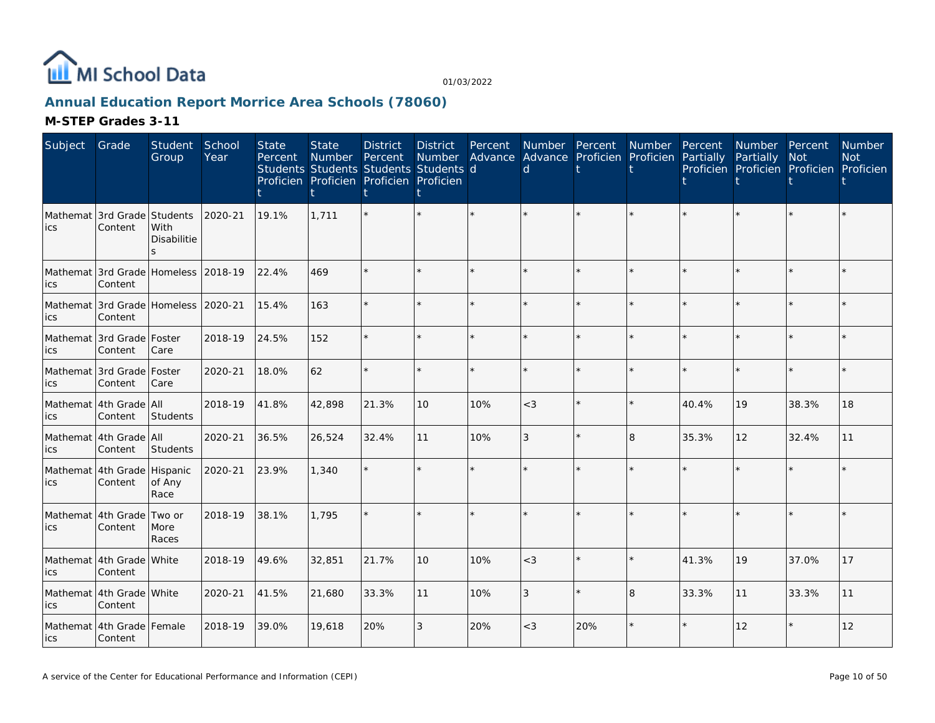

## **Annual Education Report Morrice Area Schools (78060)**

| Subject         | Grade                                           | Student<br>Group           | School<br>Year | <b>State</b><br>Percent | <b>State</b><br><b>Number</b><br>Students Students Students Students d<br>Proficien Proficien Proficien Proficien<br>t. | <b>District</b><br>Percent | <b>District</b><br>Number<br>ŧ | Percent<br>Advance | d       | Number Percent<br>Advance Proficien Proficien | Number  | Percent<br>Partially | Number Percent<br>Partially<br>Proficien Proficien Proficien Proficien | <b>Not</b> | <b>Number</b><br><b>Not</b> |
|-----------------|-------------------------------------------------|----------------------------|----------------|-------------------------|-------------------------------------------------------------------------------------------------------------------------|----------------------------|--------------------------------|--------------------|---------|-----------------------------------------------|---------|----------------------|------------------------------------------------------------------------|------------|-----------------------------|
| Mathemat<br>ics | 3rd Grade Students<br>Content                   | With<br>Disabilitie        | 2020-21        | 19.1%                   | 1,711                                                                                                                   |                            | $\star$                        |                    |         |                                               |         |                      |                                                                        |            |                             |
| ics             | Mathemat 3rd Grade Homeless 2018-19<br>Content  |                            |                | 22.4%                   | 469                                                                                                                     |                            | $\star$                        | $\star$            |         | $\star$                                       | $\star$ |                      |                                                                        | $\star$    |                             |
| ics             | Mathemat 3rd Grade Homeless 12020-21<br>Content |                            |                | 15.4%                   | 163                                                                                                                     |                            | $\star$                        | ÷.                 |         | ÷.                                            | $\star$ |                      |                                                                        | $\star$    |                             |
| ics             | Mathemat 3rd Grade Foster<br>Content            | Care                       | 2018-19        | 24.5%                   | 152                                                                                                                     |                            | ÷.                             |                    |         | $\star$                                       | $\star$ |                      |                                                                        | ÷.         |                             |
| ics             | Mathemat 3rd Grade<br>Content                   | Foster<br>Care             | 2020-21        | 18.0%                   | 62                                                                                                                      | $\star$                    | $\star$                        | $\star$            | $\star$ | $\star$                                       | $\star$ | ÷                    |                                                                        | $\star$    |                             |
| ics             | Mathemat 4th Grade All<br>Content               | Students                   | 2018-19        | 41.8%                   | 42,898                                                                                                                  | 21.3%                      | 10                             | 10%                | $<$ 3   | $\star$                                       | $\star$ | 40.4%                | 19                                                                     | 38.3%      | 18                          |
| ics             | Mathemat 4th Grade All<br>Content               | Students                   | 2020-21        | 36.5%                   | 26,524                                                                                                                  | 32.4%                      | 11                             | 10%                | 3       | $\star$                                       | 8       | 35.3%                | 12                                                                     | 32.4%      | 11                          |
| ics             | Mathemat 4th Grade<br>Content                   | Hispanic<br>of Any<br>Race | 2020-21        | 23.9%                   | 1,340                                                                                                                   |                            | $\star$                        | ÷.                 |         | $\star$                                       | ÷.      |                      |                                                                        | $\star$    |                             |
| ics             | Mathemat 4th Grade<br>Content                   | Two or<br>More<br>Races    | 2018-19        | 38.1%                   | 1.795                                                                                                                   |                            |                                | $\star$            |         |                                               |         |                      |                                                                        | $\star$    |                             |
| ics             | Mathemat 4th Grade White<br>Content             |                            | 2018-19        | 49.6%                   | 32,851                                                                                                                  | 21.7%                      | 10                             | 10%                | $<$ 3   | $\star$                                       | $\star$ | 41.3%                | 19                                                                     | 37.0%      | 17                          |
| ics             | Mathemat 4th Grade White<br>Content             |                            | 2020-21        | 41.5%                   | 21,680                                                                                                                  | 33.3%                      | 11                             | 10%                | 3       | $\star$                                       | 8       | 33.3%                | 11                                                                     | 33.3%      | 11                          |
| lics            | Mathemat 4th Grade Female<br>Content            |                            | 2018-19        | 39.0%                   | 19,618                                                                                                                  | 20%                        | 3                              | 20%                | $<$ 3   | 20%                                           | $\star$ |                      | 12                                                                     | $\star$    | 12                          |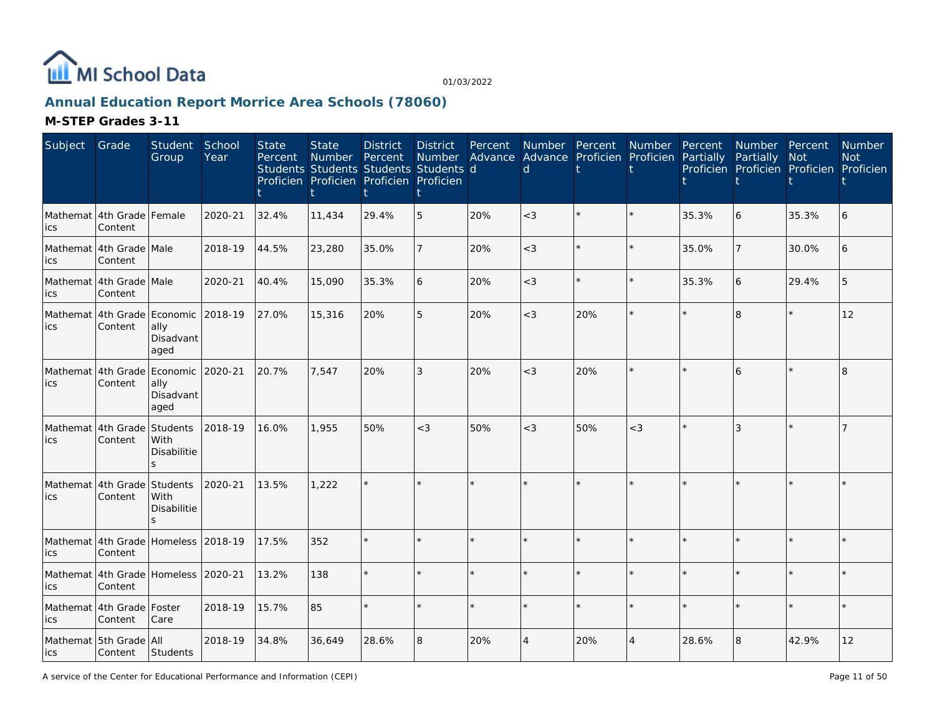

## **Annual Education Report Morrice Area Schools (78060)**

| Subject | Grade                                          | Student<br>Group                              | School<br>Year | <b>State</b><br>Percent | <b>State</b><br><b>Number</b> | <b>District</b><br>Percent<br>Students Students Students Students d<br>Proficien Proficien Proficien Proficien | <b>District</b><br><b>Number</b> | Percent | Number Percent<br>d. | Advance Advance Proficien Proficien Partially | Number Percent |       | Number Percent<br>Partially<br>Proficien Proficien Proficien Proficien | <b>Not</b> | Number<br><b>Not</b> |
|---------|------------------------------------------------|-----------------------------------------------|----------------|-------------------------|-------------------------------|----------------------------------------------------------------------------------------------------------------|----------------------------------|---------|----------------------|-----------------------------------------------|----------------|-------|------------------------------------------------------------------------|------------|----------------------|
| ics     | Mathemat 4th Grade Female<br>Content           |                                               | 2020-21        | 32.4%                   | 11,434                        | 29.4%                                                                                                          | 5                                | 20%     | $<$ 3                |                                               |                | 35.3% | 6                                                                      | 35.3%      |                      |
| ics     | Mathemat 4th Grade Male<br>Content             |                                               | 2018-19        | 44.5%                   | 23,280                        | 35.0%                                                                                                          | 7                                | 20%     | $<$ 3                |                                               |                | 35.0% |                                                                        | 30.0%      | 6                    |
| ics     | Mathemat 4th Grade Male<br>Content             |                                               | 2020-21        | 40.4%                   | 15,090                        | 35.3%                                                                                                          | 6                                | 20%     | $<$ 3                | $\star$                                       | $\star$        | 35.3% | 6                                                                      | 29.4%      |                      |
| ics     | Mathemat 4th Grade<br>Content                  | Economic 2018-19<br>ally<br>Disadvant<br>aged |                | 27.0%                   | 15,316                        | 20%                                                                                                            | 5                                | 20%     | $<$ 3                | 20%                                           |                |       | 8                                                                      | $\star$    | 12                   |
| ics     | Mathemat 4th Grade<br>Content                  | Economic 2020-21<br>ally<br>Disadvant<br>aged |                | 20.7%                   | 7.547                         | 20%                                                                                                            | 3                                | 20%     | $<$ 3                | 20%                                           |                |       | 6                                                                      |            | $\mathsf{R}$         |
| ics     | Mathemat 4th Grade<br>Content                  | Students<br>With<br>Disabilitie               | 2018-19        | 16.0%                   | 1,955                         | 50%                                                                                                            | $<$ 3                            | 50%     | $<$ 3                | 50%                                           | $<$ 3          |       | 3                                                                      |            |                      |
| ics     | Mathemat 4th Grade<br>Content                  | Students<br>With<br>Disabilitie               | 2020-21        | 13.5%                   | 1,222                         |                                                                                                                | $\star$                          |         |                      | $\star$                                       |                |       |                                                                        |            |                      |
| ics     | Mathemat 4th Grade Homeless 2018-19<br>Content |                                               |                | 17.5%                   | 352                           |                                                                                                                | $\star$                          |         |                      |                                               |                |       |                                                                        |            |                      |
| ics     | Mathemat 4th Grade Homeless 2020-21<br>Content |                                               |                | 13.2%                   | 138                           |                                                                                                                | $\star$                          |         |                      | $\star$                                       |                |       |                                                                        |            |                      |
| ics     | Mathemat 4th Grade Foster<br>Content           | Care                                          | 2018-19        | 15.7%                   | 85                            |                                                                                                                | $\star$                          |         |                      | $\star$                                       |                |       |                                                                        |            |                      |
| lics    | Mathemat 5th Grade All<br>Content Students     |                                               | 2018-19        | 34.8%                   | 36,649                        | 28.6%                                                                                                          | 8                                | 20%     | $\overline{4}$       | 20%                                           | $\overline{4}$ | 28.6% | 8                                                                      | 42.9%      | 12                   |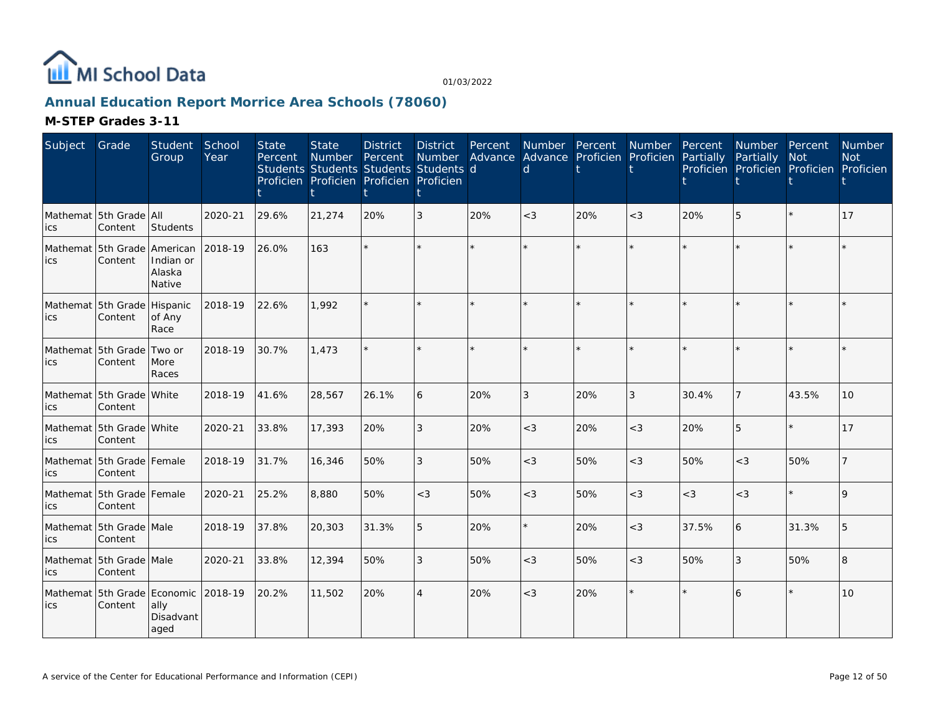

## **Annual Education Report Morrice Area Schools (78060)**

| Subject          | Grade                                    | Student<br>Group                      | School<br>Year | <b>State</b><br>Percent | <b>State</b><br>Number<br>Students Students Students Students d<br>Proficien Proficien Proficien Proficien | <b>District</b><br>Percent | <b>District</b><br><b>Number</b> | Percent<br>Advance | <b>Number</b><br>d | Percent<br>Advance Proficien Proficien | Number  | Percent<br>Partially | Number Percent<br>Partially<br>Proficien Proficien Proficien Proficien | <b>Not</b> | Number<br><b>Not</b> |
|------------------|------------------------------------------|---------------------------------------|----------------|-------------------------|------------------------------------------------------------------------------------------------------------|----------------------------|----------------------------------|--------------------|--------------------|----------------------------------------|---------|----------------------|------------------------------------------------------------------------|------------|----------------------|
| ics              | Mathemat 5th Grade All<br>Content        | Students                              | 2020-21        | 29.6%                   | 21,274                                                                                                     | 20%                        | 3                                | 20%                | $<$ 3              | 20%                                    | $<$ 3   | 20%                  | 5                                                                      |            | 17                   |
| ics              | Mathemat 15th Grade lAmerican<br>Content | Indian or<br>Alaska<br>Native         | 2018-19        | 26.0%                   | 163                                                                                                        |                            | $\star$                          |                    |                    | $\star$                                | $\star$ |                      |                                                                        | $\star$    |                      |
| Mathemat<br>lics | 5th Grade<br>Content                     | Hispanic<br>of Any<br>Race            | 2018-19        | 22.6%                   | 1.992                                                                                                      |                            | $\star$                          | $\star$            |                    | $\star$                                | $\star$ |                      |                                                                        | $\star$    |                      |
| ics              | Mathemat 5th Grade<br>Content            | Two or<br>More<br>Races               | 2018-19        | 30.7%                   | 1.473                                                                                                      |                            | $\star$                          | $\star$            |                    | $\star$                                |         |                      |                                                                        | $\star$    |                      |
| ics              | Mathemat 5th Grade White<br>Content      |                                       | 2018-19        | 41.6%                   | 28,567                                                                                                     | 26.1%                      | 6                                | 20%                | 3                  | 20%                                    | 3       | 30.4%                | $\overline{7}$                                                         | 43.5%      | 10                   |
| ics              | Mathemat 5th Grade White<br>Content      |                                       | 2020-21        | 33.8%                   | 17,393                                                                                                     | 20%                        | 3                                | 20%                | $<$ 3              | 20%                                    | $<$ 3   | 20%                  | 5                                                                      | $\star$    | 17                   |
| ics              | Mathemat 5th Grade Female<br>Content     |                                       | 2018-19        | 31.7%                   | 16,346                                                                                                     | 50%                        | 3                                | 50%                | $<$ 3              | 50%                                    | $<$ 3   | 50%                  | $<$ 3                                                                  | 50%        |                      |
| ics              | Mathemat 5th Grade Female<br>Content     |                                       | 2020-21        | 25.2%                   | 8,880                                                                                                      | 50%                        | $<$ 3                            | 50%                | $<$ 3              | 50%                                    | $<$ 3   | $<$ 3                | $<$ 3                                                                  | $\star$    | $\mathsf Q$          |
| ics              | Mathemat 5th Grade Male<br>Content       |                                       | 2018-19        | 37.8%                   | 20,303                                                                                                     | 31.3%                      | 5                                | 20%                |                    | 20%                                    | $<$ 3   | 37.5%                | 6                                                                      | 31.3%      | 5                    |
| ics              | Mathemat 5th Grade Male<br>Content       |                                       | 2020-21        | 33.8%                   | 12,394                                                                                                     | 50%                        | 3                                | 50%                | $<$ 3              | 50%                                    | $<$ 3   | 50%                  | 3                                                                      | 50%        | 8                    |
| Mathemat<br>ics  | 5th Grade<br>Content                     | Economic<br>ally<br>Disadvant<br>aged | 2018-19        | 20.2%                   | 11,502                                                                                                     | 20%                        | $\overline{4}$                   | 20%                | $<$ 3              | 20%                                    | $\star$ |                      | 6                                                                      | $\star$    | 10                   |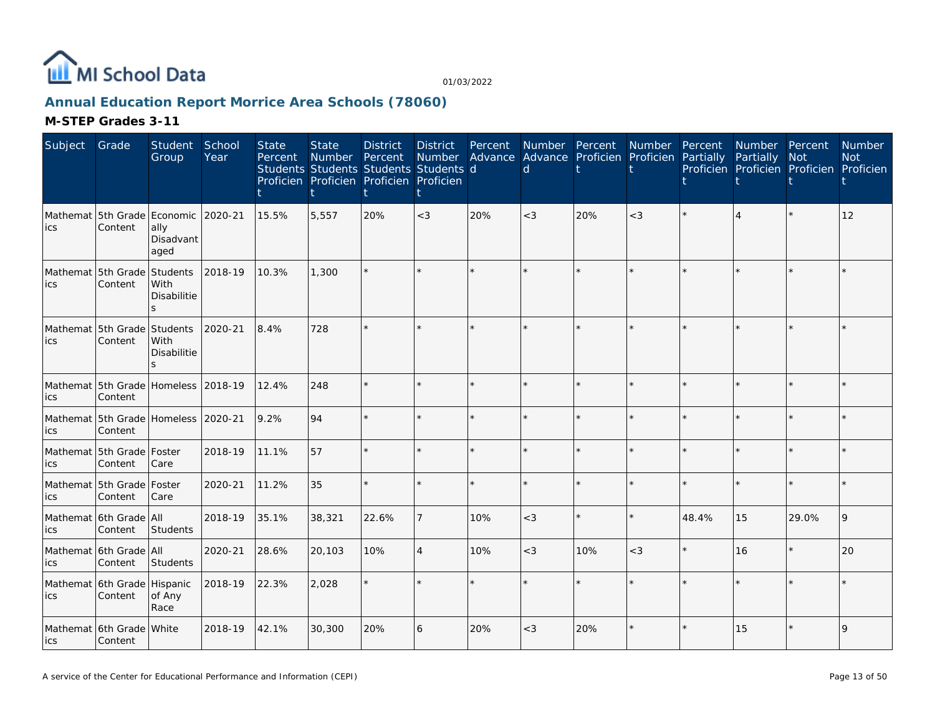

## **Annual Education Report Morrice Area Schools (78060)**

| Subject | Grade                                          | Student<br>Group                                 | School<br>Year | <b>State</b><br>Percent | <b>State</b><br><b>Number</b> | <b>District</b><br>Percent<br>Students Students Students Students d<br>Proficien Proficien Proficien Proficien | <b>District</b><br>Number | Percent | Number Percent<br>Advance Advance Proficien<br><sub>d</sub> |         | Number<br>Proficien | Percent<br>Partially | Number Percent<br>Partially | <b>Not</b><br>Proficien Proficien Proficien Proficien | <b>Number</b><br><b>Not</b> |
|---------|------------------------------------------------|--------------------------------------------------|----------------|-------------------------|-------------------------------|----------------------------------------------------------------------------------------------------------------|---------------------------|---------|-------------------------------------------------------------|---------|---------------------|----------------------|-----------------------------|-------------------------------------------------------|-----------------------------|
| ics     | Mathemat 5th Grade Economic<br>Content         | ally<br>Disadvant<br>aged                        | 2020-21        | 15.5%                   | 5,557                         | 20%                                                                                                            | $<$ 3                     | 20%     | $<$ 3                                                       | 20%     | $<$ 3               |                      | $\Delta$                    |                                                       | 12                          |
| ics     | Mathemat 5th Grade<br>Content                  | Students<br>With<br><b>Disabilitie</b><br>S.     | 2018-19        | 10.3%                   | 1,300                         |                                                                                                                |                           |         |                                                             |         |                     |                      |                             |                                                       |                             |
| lics    | Mathemat 5th Grade<br>Content                  | Students<br>With<br><b>Disabilitie</b><br>$\leq$ | 2020-21        | 8.4%                    | 728                           |                                                                                                                |                           |         |                                                             |         |                     |                      |                             |                                                       |                             |
| ics     | Mathemat 5th Grade Homeless 2018-19<br>Content |                                                  |                | 12.4%                   | 248                           |                                                                                                                |                           | $\star$ |                                                             |         | $\star$             |                      | ÷.                          | $\star$                                               |                             |
| ics     | Mathemat 5th Grade<br>Content                  | Homeless 2020-21                                 |                | 9.2%                    | 94                            |                                                                                                                |                           |         |                                                             |         | $\star$             |                      |                             | $\star$                                               |                             |
| ics     | Mathemat 5th Grade Foster<br>Content           | Care                                             | 2018-19        | 11.1%                   | 57                            |                                                                                                                |                           |         |                                                             |         | $\star$             |                      | $\star$                     | $\star$                                               |                             |
| ics     | Mathemat 5th Grade Foster<br>Content           | Care                                             | 2020-21        | 11.2%                   | 35                            |                                                                                                                |                           |         |                                                             |         | $\star$             |                      | ÷.                          | $\star$                                               |                             |
| ics     | Mathemat 6th Grade All<br>Content              | Students                                         | 2018-19        | 35.1%                   | 38,321                        | 22.6%                                                                                                          |                           | 10%     | $<$ 3                                                       | $\star$ | $\star$             | 48.4%                | 15                          | 29.0%                                                 | 9                           |
| ics     | Mathemat 6th Grade All<br>Content              | Students                                         | 2020-21        | 28.6%                   | 20,103                        | 10%                                                                                                            | $\overline{4}$            | 10%     | $<$ 3                                                       | 10%     | $<$ 3               |                      | 16                          | $\star$                                               | 20                          |
| ics     | Mathemat 6th Grade<br>Content                  | Hispanic<br>of Any<br>Race                       | 2018-19        | 22.3%                   | 2,028                         |                                                                                                                |                           |         |                                                             |         | $\star$             |                      |                             | $\star$                                               |                             |
| lics    | Mathemat 6th Grade White<br>Content            |                                                  | 2018-19        | 42.1%                   | 30,300                        | 20%                                                                                                            | 6                         | 20%     | $<$ 3                                                       | 20%     |                     |                      | 15                          |                                                       | $\overline{9}$              |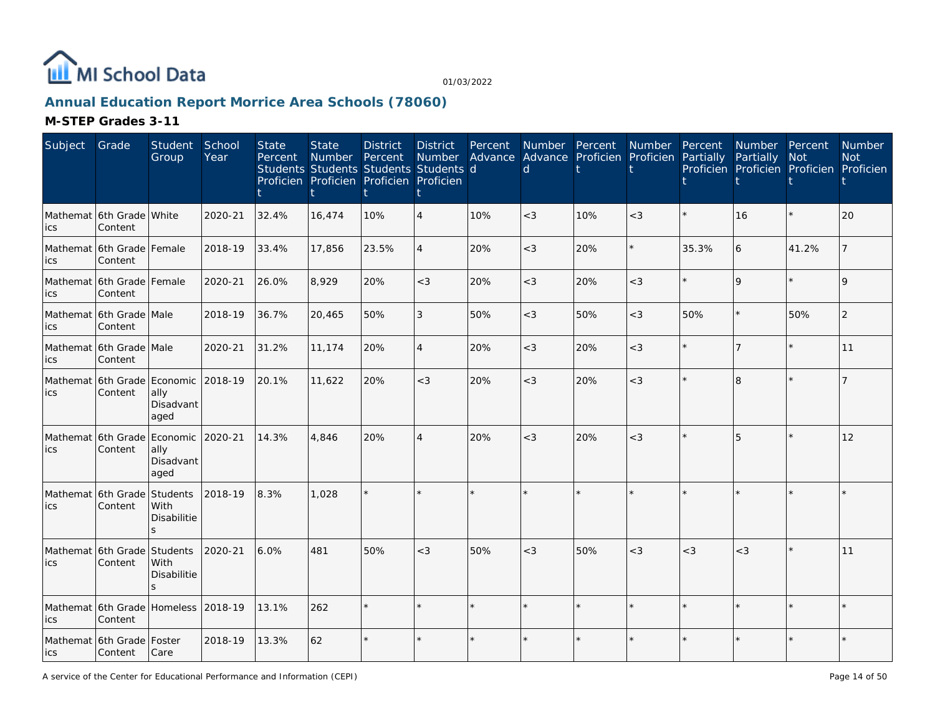

## **Annual Education Report Morrice Area Schools (78060)**

| Subject | Grade                                          | Student<br>Group                                | School<br>Year | <b>State</b><br>Percent | <b>State</b><br><b>Number</b><br>Students Students Students Students d<br>Proficien Proficien Proficien Proficien | <b>District</b><br>Percent | <b>District</b><br>Number<br>Ť | Percent<br>Advance | <b>Number</b><br>d | Percent<br>Advance Proficien | <b>Number</b><br>Proficien | Percent<br>Partially | Number Percent<br>Partially<br>Proficien Proficien Proficien Proficien | <b>Not</b> | Number<br><b>Not</b> |
|---------|------------------------------------------------|-------------------------------------------------|----------------|-------------------------|-------------------------------------------------------------------------------------------------------------------|----------------------------|--------------------------------|--------------------|--------------------|------------------------------|----------------------------|----------------------|------------------------------------------------------------------------|------------|----------------------|
| ics     | Mathemat 6th Grade White<br>Content            |                                                 | 2020-21        | 32.4%                   | 16,474                                                                                                            | 10%                        | $\overline{4}$                 | 10%                | $\lt3$             | 10%                          | $<$ 3                      |                      | 16                                                                     | $\star$    | 20                   |
| lics    | Mathemat 6th Grade Female<br>Content           |                                                 | 2018-19        | 33.4%                   | 17,856                                                                                                            | 23.5%                      | $\overline{4}$                 | 20%                | $<$ 3              | 20%                          | $\star$                    | 35.3%                | 6                                                                      | 41.2%      |                      |
| ics     | Mathemat 6th Grade Female<br>Content           |                                                 | 2020-21        | 26.0%                   | 8,929                                                                                                             | 20%                        | $<$ 3                          | 20%                | $<$ 3              | 20%                          | $<$ 3                      |                      | $\mathsf{Q}$                                                           | $\star$    | $\mathsf Q$          |
| ics     | Mathemat 6th Grade Male<br>Content             |                                                 | 2018-19        | 36.7%                   | 20,465                                                                                                            | 50%                        | 3                              | 50%                | $<$ 3              | 50%                          | $<\!3$                     | 50%                  |                                                                        | 50%        | $\overline{2}$       |
| ics     | Mathemat 6th Grade Male<br>Content             |                                                 | 2020-21        | 31.2%                   | 11,174                                                                                                            | 20%                        | $\overline{4}$                 | 20%                | $<$ 3              | 20%                          | $<$ 3                      |                      |                                                                        | $\star$    | 11                   |
| lics    | Mathemat 6th Grade Economic<br>Content         | ally<br>Disadvant<br>aged                       | 2018-19        | 20.1%                   | 11,622                                                                                                            | 20%                        | $<$ 3                          | 20%                | $<$ 3              | 20%                          | $<$ 3                      |                      | 8                                                                      | $\star$    |                      |
| lics    | Mathemat 6th Grade<br>Content                  | Economic<br>ally<br>Disadvant<br>aged           | 2020-21        | 14.3%                   | 4,846                                                                                                             | 20%                        |                                | 20%                | $<$ 3              | 20%                          | $<$ 3                      |                      | 5                                                                      | $\star$    | 12                   |
| lics.   | Mathemat 6th Grade<br>Content                  | Students<br>With<br>Disabilitie<br>$\mathbf{S}$ | 2018-19        | 8.3%                    | 1,028                                                                                                             |                            |                                |                    |                    |                              |                            |                      |                                                                        |            |                      |
| ics     | Mathemat 6th Grade<br>Content                  | Students<br>With<br>Disabilitie                 | 2020-21        | 6.0%                    | 481                                                                                                               | 50%                        | $<$ 3                          | 50%                | $<$ 3              | 50%                          | $<$ 3                      | $<$ 3                | $<$ 3                                                                  | $\star$    | 11                   |
| ics     | Mathemat 6th Grade Homeless 2018-19<br>Content |                                                 |                | 13.1%                   | 262                                                                                                               |                            |                                |                    |                    |                              |                            |                      |                                                                        |            |                      |
| lics    | Mathemat 6th Grade Foster<br>Content           | Care                                            | 2018-19        | 13.3%                   | 62                                                                                                                |                            |                                |                    |                    |                              |                            |                      |                                                                        |            |                      |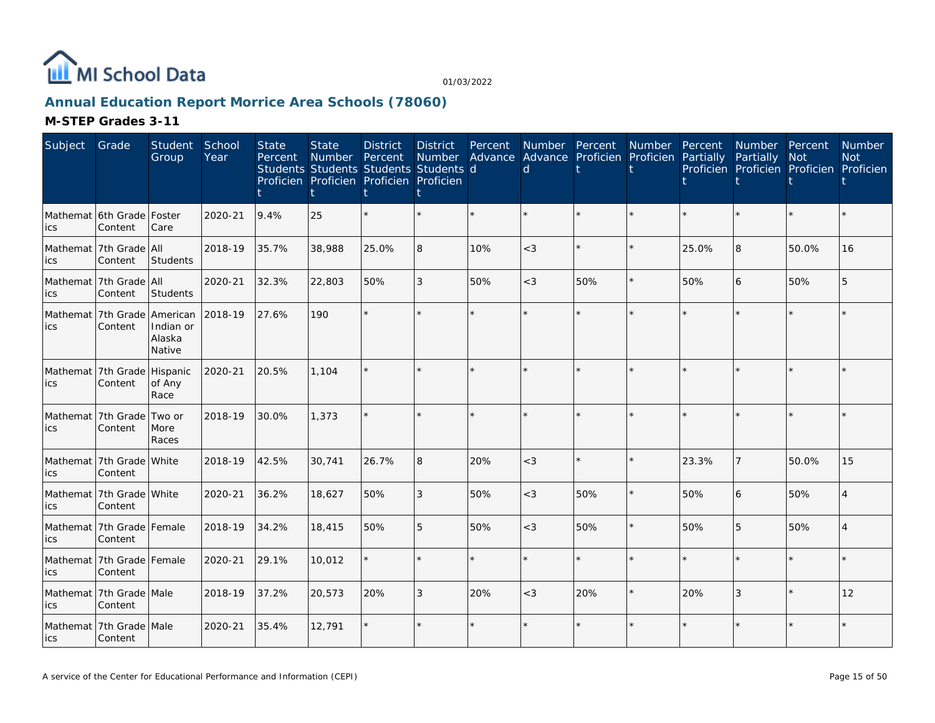

## **Annual Education Report Morrice Area Schools (78060)**

| Subject    | Grade                                    | Student<br>Group              | School<br>Year | <b>State</b><br>Percent | <b>State</b><br><b>Number</b><br>Students Students Students Students d<br>Proficien Proficien Proficien Proficien | <b>District</b><br>Percent | <b>District</b><br>Number<br>t | Percent<br>Advance | Number Percent<br>Advance Proficien<br><sub>d</sub> |         | Number<br>Proficien | Percent<br>Partially | Number Percent<br>Partially<br>Proficien Proficien Proficien Proficien | <b>Not</b> | <b>Number</b><br><b>Not</b> |
|------------|------------------------------------------|-------------------------------|----------------|-------------------------|-------------------------------------------------------------------------------------------------------------------|----------------------------|--------------------------------|--------------------|-----------------------------------------------------|---------|---------------------|----------------------|------------------------------------------------------------------------|------------|-----------------------------|
| ics        | Mathemat 16th Grade   Foster<br>Content  | Care                          | 2020-21        | 9.4%                    | 25                                                                                                                |                            | $\star$                        | $\star$            |                                                     | $\star$ | $\star$             |                      | $\star$                                                                | $\star$    |                             |
| ics        | Mathemat 7th Grade All<br>Content        | Students                      | 2018-19        | 35.7%                   | 38,988                                                                                                            | 25.0%                      | 8                              | 10%                | $\lt3$                                              | $\star$ | $\star$             | 25.0%                | 8                                                                      | 50.0%      | 16                          |
| ics        | Mathemat 7th Grade All<br>Content        | Students                      | 2020-21        | 32.3%                   | 22,803                                                                                                            | 50%                        | 3                              | 50%                | $<$ 3                                               | 50%     | $\star$             | 50%                  | 6                                                                      | 50%        | 5                           |
| lics       | Mathemat 7th Grade American<br>Content   | Indian or<br>Alaska<br>Native | 2018-19        | 27.6%                   | 190                                                                                                               |                            | $\star$                        |                    |                                                     | $\star$ | ÷.                  |                      | ÷.                                                                     | ÷.         |                             |
| ics        | Mathemat 7th Grade<br>Content            | Hispanic<br>of Any<br>Race    | 2020-21        | 20.5%                   | 1.104                                                                                                             |                            | $\star$                        |                    | $\star$                                             | $\star$ | ÷.                  |                      | $\star$                                                                | $\star$    |                             |
| lics       | Mathemat 7th Grade<br>Content            | Two or<br>More<br>Races       | 2018-19        | 30.0%                   | 1,373                                                                                                             |                            | ÷.                             | ÷.                 |                                                     | ÷.      | ÷                   |                      | ÷.                                                                     | ÷          |                             |
| ics        | Mathemat 7th Grade White<br>Content      |                               | 2018-19        | 42.5%                   | 30,741                                                                                                            | 26.7%                      | 8                              | 20%                | $<$ 3                                               | $\star$ | $\star$             | 23.3%                | $\overline{7}$                                                         | 50.0%      | 15                          |
| ics        | Mathemat 7th Grade White<br>Content      |                               | 2020-21        | 36.2%                   | 18,627                                                                                                            | 50%                        | 3                              | 50%                | $<$ 3                                               | 50%     | $\star$             | 50%                  | 6                                                                      | 50%        | $\Delta$                    |
| lics       | Mathemat   7th Grade   Female<br>Content |                               | 2018-19        | 34.2%                   | 18,415                                                                                                            | 50%                        | 5                              | 50%                | $<$ 3                                               | 50%     | $\star$             | 50%                  | 5                                                                      | 50%        |                             |
| lics       | Mathemat 7th Grade Female<br>Content     |                               | 2020-21        | 29.1%                   | 10,012                                                                                                            |                            | $\star$                        | $\star$            | $\star$                                             | $\star$ | $\star$             |                      | $\star$                                                                | $\star$    |                             |
| <b>ics</b> | Mathemat 7th Grade Male<br>Content       |                               | 2018-19        | 37.2%                   | 20,573                                                                                                            | 20%                        | 3                              | 20%                | $<$ 3                                               | 20%     | $\star$             | 20%                  | 3                                                                      | $\star$    | 12                          |
| lics       | Mathemat 7th Grade Male<br>Content       |                               | 2020-21        | 35.4%                   | 12,791                                                                                                            |                            | $\star$                        | $\star$            |                                                     | $\star$ | $\star$             |                      | $\star$                                                                | $\star$    |                             |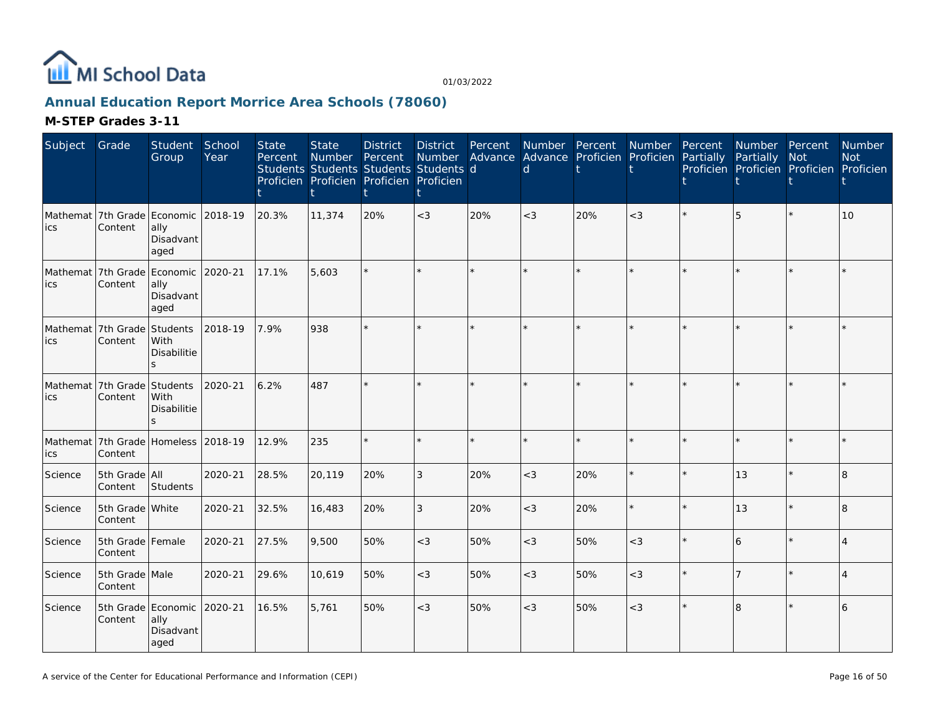

## **Annual Education Report Morrice Area Schools (78060)**

| Subject | Grade                         | <b>Student</b><br>Group                                          | School<br>Year | <b>State</b><br>Percent | <b>State</b><br>Number | <b>District</b><br>Percent<br>Students Students Students Students d<br>Proficien Proficien Proficien Proficien | <b>District</b><br>Number | Percent | d       | Number Percent Number<br>Advance Advance Proficien Proficien |         | Percent<br>Partially | Number Percent<br>Partially<br>Proficien Proficien Proficien Proficien | <b>Not</b> | Number<br><b>Not</b> |
|---------|-------------------------------|------------------------------------------------------------------|----------------|-------------------------|------------------------|----------------------------------------------------------------------------------------------------------------|---------------------------|---------|---------|--------------------------------------------------------------|---------|----------------------|------------------------------------------------------------------------|------------|----------------------|
| ics     | Content                       | Mathemat 7th Grade Economic 2018-19<br>ally<br>Disadvant<br>aged |                | 20.3%                   | 11,374                 | 20%                                                                                                            | $<$ 3                     | 20%     | $<$ 3   | 20%                                                          | $<$ 3   |                      |                                                                        |            | 10 <sup>1</sup>      |
| ics     | Content                       | Mathemat 7th Grade Economic 2020-21<br>ally<br>Disadvant<br>aged |                | 17.1%                   | 5,603                  |                                                                                                                | $\star$                   |         |         |                                                              |         |                      |                                                                        |            |                      |
| lics    | Mathemat 7th Grade<br>Content | Students<br>With<br>Disabilitie<br>S.                            | 2018-19        | 7.9%                    | 938                    |                                                                                                                | $\star$                   | $\star$ |         |                                                              |         |                      |                                                                        | ÷.         |                      |
| lics    | Mathemat 7th Grade<br>Content | Students<br>With<br><b>Disabilitie</b><br>$\mathbf{S}$           | 2020-21        | 6.2%                    | 487                    |                                                                                                                | $\star$                   |         |         |                                                              |         |                      |                                                                        |            |                      |
| ics     | Content                       | Mathemat 7th Grade Homeless 2018-19                              |                | 12.9%                   | 235                    | $\star$                                                                                                        | $\star$                   | $\star$ | $\star$ | $\star$                                                      | $\star$ |                      |                                                                        | $\star$    |                      |
| Science | 5th Grade All<br>Content      | Students                                                         | 2020-21        | 28.5%                   | 20,119                 | 20%                                                                                                            | 3                         | 20%     | $<$ 3   | 20%                                                          | $\star$ |                      | 13                                                                     | $\star$    | 8                    |
| Science | 5th Grade White<br>Content    |                                                                  | 2020-21        | 32.5%                   | 16,483                 | 20%                                                                                                            | 3                         | 20%     | $<$ 3   | 20%                                                          | $\star$ |                      | 13                                                                     | $\star$    | $\overline{8}$       |
| Science | 5th Grade Female<br>Content   |                                                                  | 2020-21        | 27.5%                   | 9,500                  | 50%                                                                                                            | $<$ 3                     | 50%     | $<$ 3   | 50%                                                          | $<$ 3   |                      | 6                                                                      |            |                      |
| Science | 5th Grade Male<br>Content     |                                                                  | 2020-21        | 29.6%                   | 10,619                 | 50%                                                                                                            | $<$ 3                     | 50%     | $<$ 3   | 50%                                                          | $<\!3$  |                      |                                                                        |            |                      |
| Science | Content                       | 5th Grade Economic<br>ally<br>Disadvant<br>aged                  | 2020-21        | 16.5%                   | 5,761                  | 50%                                                                                                            | $<$ 3                     | 50%     | $<$ 3   | 50%                                                          | $<$ 3   |                      | 8                                                                      |            | 6                    |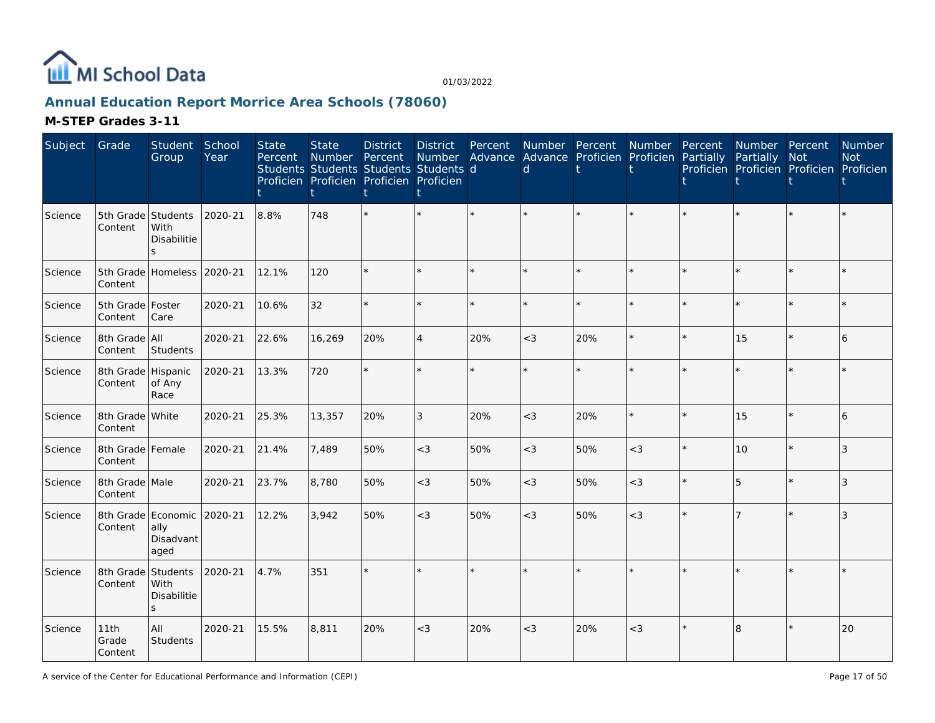

## **Annual Education Report Morrice Area Schools (78060)**

| Subject | Grade                         | Student<br>Group                                | School<br>Year | <b>State</b><br>Percent | <b>State</b><br>Number | <b>District</b><br>Percent<br>Students Students Students Students d<br>Proficien Proficien Proficien Proficien | <b>District</b><br>Number<br>İ | Percent | <sub>d</sub> | Number Percent Number<br>Advance Advance Proficien Proficien |         | Percent<br>Partially | Number Percent<br>Partially | <b>Not</b><br>Proficien Proficien Proficien Proficien | Number<br><b>Not</b> |
|---------|-------------------------------|-------------------------------------------------|----------------|-------------------------|------------------------|----------------------------------------------------------------------------------------------------------------|--------------------------------|---------|--------------|--------------------------------------------------------------|---------|----------------------|-----------------------------|-------------------------------------------------------|----------------------|
| Science | 5th Grade Students<br>Content | With<br>Disabilitie<br>$\mathbf{s}$             | 2020-21        | 8.8%                    | 748                    |                                                                                                                | k.                             |         |              |                                                              |         |                      |                             |                                                       |                      |
| Science | Content                       | 5th Grade Homeless 2020-21                      |                | 12.1%                   | 120                    |                                                                                                                | ÷.                             |         |              |                                                              |         |                      |                             | ÷                                                     |                      |
| Science | 5th Grade   Foster<br>Content | Care                                            | 2020-21        | 10.6%                   | 32                     |                                                                                                                | $\star$                        |         |              |                                                              |         |                      |                             | $\star$                                               |                      |
| Science | 8th Grade All<br>Content      | Students                                        | 2020-21        | 22.6%                   | 16,269                 | 20%                                                                                                            | $\overline{4}$                 | 20%     | $<$ 3        | 20%                                                          | $\star$ |                      | 15                          | $\star$                                               | 6                    |
| Science | 8th Grade Hispanic<br>Content | of Any<br>Race                                  | 2020-21        | 13.3%                   | 720                    |                                                                                                                | $\star$                        |         |              |                                                              |         |                      |                             |                                                       |                      |
| Science | 8th Grade White<br>Content    |                                                 | 2020-21        | 25.3%                   | 13,357                 | 20%                                                                                                            | 3                              | 20%     | $<$ 3        | 20%                                                          | $\star$ |                      | 15                          | $\star$                                               | 6                    |
| Science | 8th Grade Female<br>Content   |                                                 | 2020-21        | 21.4%                   | 7,489                  | 50%                                                                                                            | $<$ 3                          | 50%     | $<$ 3        | 50%                                                          | $<$ 3   |                      | 10                          | $\star$                                               | 3                    |
| Science | 8th Grade Male<br>Content     |                                                 | 2020-21        | 23.7%                   | 8,780                  | 50%                                                                                                            | $<$ 3                          | 50%     | $<$ 3        | 50%                                                          | $<$ 3   |                      | 5                           | $\star$                                               | 3                    |
| Science | Content                       | 8th Grade Economic<br>ally<br>Disadvant<br>aged | 2020-21        | 12.2%                   | 3,942                  | 50%                                                                                                            | $<$ 3                          | 50%     | $<$ 3        | 50%                                                          | $<$ 3   |                      |                             |                                                       | 3                    |
| Science | 8th Grade Students<br>Content | With<br>Disabilitie<br>$\mathsf{S}$             | 2020-21        | 4.7%                    | 351                    |                                                                                                                | $\star$                        |         |              |                                                              |         |                      |                             | $\star$                                               |                      |
| Science | 11th<br>Grade<br>Content      | All<br>Students                                 | 2020-21        | 15.5%                   | 8,811                  | 20%                                                                                                            | $<$ 3                          | 20%     | $<$ 3        | 20%                                                          | $<$ 3   |                      | 8                           |                                                       | 20                   |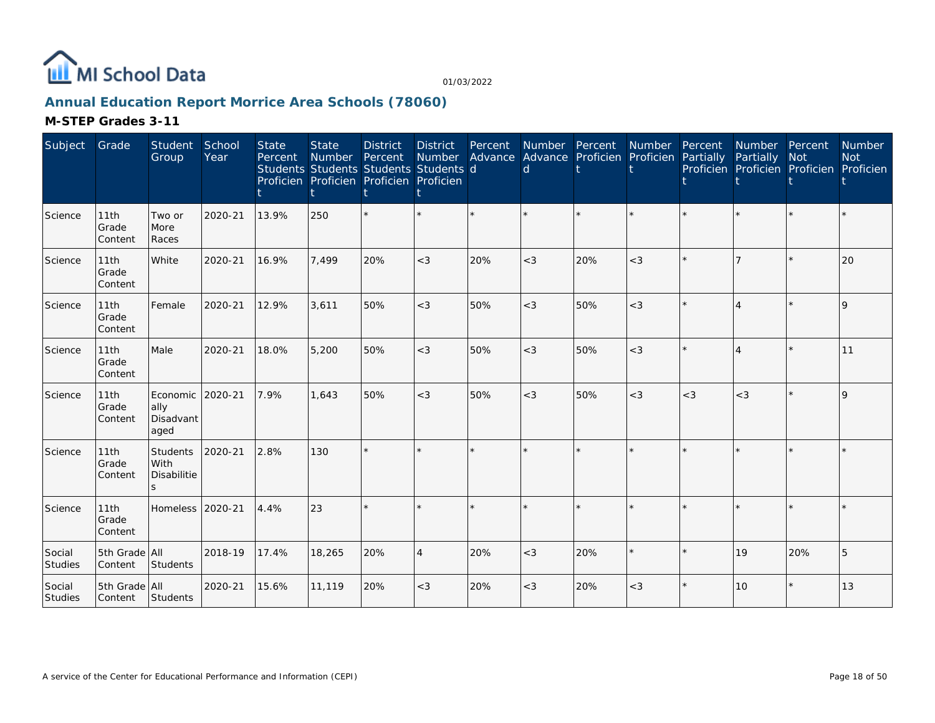

## **Annual Education Report Morrice Area Schools (78060)**

| Subject           | Grade                    | <b>Student</b><br>Group               | School<br>Year | <b>State</b><br>Percent | <b>State</b><br>Number | <b>District</b><br>Percent<br>Students Students Students Students d<br>Proficien Proficien Proficien Proficien | <b>District</b> | Percent | <b>Number</b><br>Number Advance Advance Proficien Proficien Partially<br>d | Percent | <b>Number</b> | Percent | Number Percent<br>Partially<br>Proficien Proficien Proficien Proficien | <b>Not</b> | <b>Number</b><br><b>Not</b> |
|-------------------|--------------------------|---------------------------------------|----------------|-------------------------|------------------------|----------------------------------------------------------------------------------------------------------------|-----------------|---------|----------------------------------------------------------------------------|---------|---------------|---------|------------------------------------------------------------------------|------------|-----------------------------|
| Science           | 11th<br>Grade<br>Content | Two or<br>More<br>Races               | 2020-21        | 13.9%                   | 250                    |                                                                                                                | $\star$         |         |                                                                            |         | $\star$       |         |                                                                        |            |                             |
| Science           | 11th<br>Grade<br>Content | White                                 | 2020-21        | 16.9%                   | 7,499                  | 20%                                                                                                            | $<$ 3           | 20%     | $<$ 3                                                                      | 20%     | $<$ 3         |         |                                                                        |            | 20                          |
| Science           | 11th<br>Grade<br>Content | Female                                | 2020-21        | 12.9%                   | 3,611                  | 50%                                                                                                            | $<$ 3           | 50%     | $<$ 3                                                                      | 50%     | $<$ 3         |         | $\overline{4}$                                                         | $\star$    | $\mathsf{Q}$                |
| Science           | 11th<br>Grade<br>Content | Male                                  | 2020-21        | 18.0%                   | 5,200                  | 50%                                                                                                            | $<$ 3           | 50%     | $<$ 3                                                                      | 50%     | $<$ 3         |         |                                                                        | $\star$    | 11                          |
| Science           | 11th<br>Grade<br>Content | Economic<br>ally<br>Disadvant<br>aged | 2020-21        | 7.9%                    | 1,643                  | 50%                                                                                                            | $<$ 3           | 50%     | $<$ 3                                                                      | 50%     | $<$ 3         | $<$ 3   | $<$ 3                                                                  | $\star$    | $\mathsf{Q}$                |
| Science           | 11th<br>Grade<br>Content | Students<br>With<br>Disabilitie<br>S  | 2020-21        | 2.8%                    | 130                    |                                                                                                                | $\star$         |         |                                                                            |         |               |         |                                                                        |            |                             |
| Science           | 11th<br>Grade<br>Content | Homeless                              | 2020-21        | 4.4%                    | 23                     |                                                                                                                | ÷.              |         |                                                                            |         |               |         |                                                                        | $\star$    |                             |
| Social<br>Studies | 5th Grade All<br>Content | Students                              | 2018-19        | 17.4%                   | 18,265                 | 20%                                                                                                            | $\overline{4}$  | 20%     | $<$ 3                                                                      | 20%     | $\star$       |         | 19                                                                     | 20%        | 5                           |
| Social<br>Studies | 5th Grade All<br>Content | Students                              | 2020-21        | 15.6%                   | 11,119                 | 20%                                                                                                            | $<$ 3           | 20%     | $<$ 3                                                                      | 20%     | $<$ 3         |         | 10                                                                     | $\star$    | 13                          |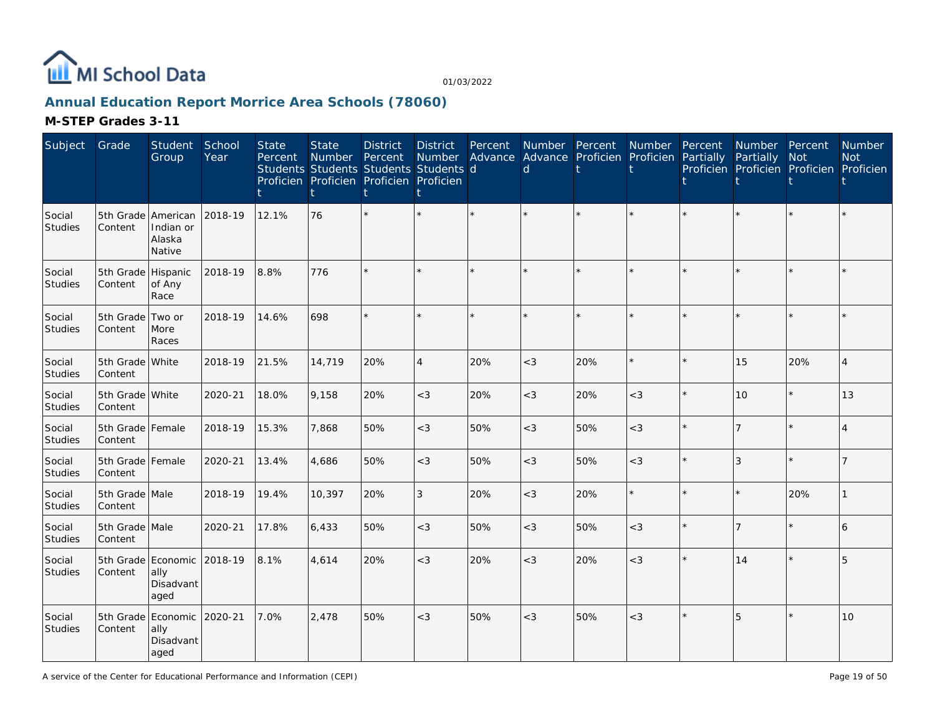

## **Annual Education Report Morrice Area Schools (78060)**

| Subject           | Grade                         | <b>Student</b><br>Group                                 | School<br>Year | <b>State</b><br>Percent | <b>State</b><br><b>Number</b> | <b>District</b><br>Percent<br>Students Students Students Students d<br>Proficien Proficien Proficien Proficien | <b>District</b><br>Number<br>t | Percent | $\mathsf{d}$ | Number Percent<br>Advance Advance Proficien Proficien | Number  | Percent<br>Partially | Number Percent<br>Partially | <b>Not</b><br>Proficien Proficien Proficien Proficien | Number<br><b>Not</b> |
|-------------------|-------------------------------|---------------------------------------------------------|----------------|-------------------------|-------------------------------|----------------------------------------------------------------------------------------------------------------|--------------------------------|---------|--------------|-------------------------------------------------------|---------|----------------------|-----------------------------|-------------------------------------------------------|----------------------|
| Social<br>Studies | Content                       | 5th Grade American<br>Indian or<br>Alaska<br>Native     | 2018-19        | 12.1%                   | 76                            |                                                                                                                |                                |         |              |                                                       |         |                      |                             | $\star$                                               |                      |
| Social<br>Studies | 5th Grade Hispanic<br>Content | of Any<br>Race                                          | 2018-19        | 8.8%                    | 776                           |                                                                                                                | k.                             |         |              |                                                       |         |                      |                             | $\star$                                               |                      |
| Social<br>Studies | 5th Grade Two or<br>Content   | More<br>Races                                           | 2018-19        | 14.6%                   | 698                           |                                                                                                                | $\star$                        | $\star$ |              |                                                       |         |                      |                             | $\star$                                               |                      |
| Social<br>Studies | 5th Grade White<br>Content    |                                                         | 2018-19        | 21.5%                   | 14,719                        | 20%                                                                                                            | $\overline{4}$                 | 20%     | $<$ 3        | 20%                                                   | $\star$ |                      | 15                          | 20%                                                   | $\overline{4}$       |
| Social<br>Studies | 5th Grade White<br>Content    |                                                         | 2020-21        | 18.0%                   | 9.158                         | 20%                                                                                                            | $<$ 3                          | 20%     | $<$ 3        | 20%                                                   | $<$ 3   |                      | 10                          | $\star$                                               | 13                   |
| Social<br>Studies | 5th Grade Female<br>Content   |                                                         | 2018-19        | 15.3%                   | 7,868                         | 50%                                                                                                            | $<$ 3                          | 50%     | $<$ 3        | 50%                                                   | $<\!3$  |                      |                             | $\star$                                               |                      |
| Social<br>Studies | 5th Grade Female<br>Content   |                                                         | 2020-21        | 13.4%                   | 4,686                         | 50%                                                                                                            | $\lt3$                         | 50%     | $<$ 3        | 50%                                                   | $<$ 3   |                      | 3                           | $\star$                                               |                      |
| Social<br>Studies | 5th Grade Male<br>Content     |                                                         | 2018-19        | 19.4%                   | 10,397                        | 20%                                                                                                            | 3                              | 20%     | $<$ 3        | 20%                                                   | $\star$ |                      |                             | 20%                                                   |                      |
| Social<br>Studies | 5th Grade Male<br>Content     |                                                         | 2020-21        | 17.8%                   | 6,433                         | 50%                                                                                                            | $<$ 3                          | 50%     | $<$ 3        | 50%                                                   | $<$ 3   |                      |                             | $\star$                                               | 6                    |
| Social<br>Studies | Content                       | 5th Grade Economic<br>ally<br>Disadvant<br>aged         | 2018-19        | 8.1%                    | 4,614                         | 20%                                                                                                            | $<$ 3                          | 20%     | $<$ 3        | 20%                                                   | $<$ 3   |                      | 14                          | $\star$                                               | 5                    |
| Social<br>Studies | Content                       | 5th Grade Economic 2020-21<br>ally<br>Disadvant<br>aged |                | 7.0%                    | 2,478                         | 50%                                                                                                            | $<$ 3                          | 50%     | $<$ 3        | 50%                                                   | $<$ 3   |                      | 5                           | $\star$                                               | 10                   |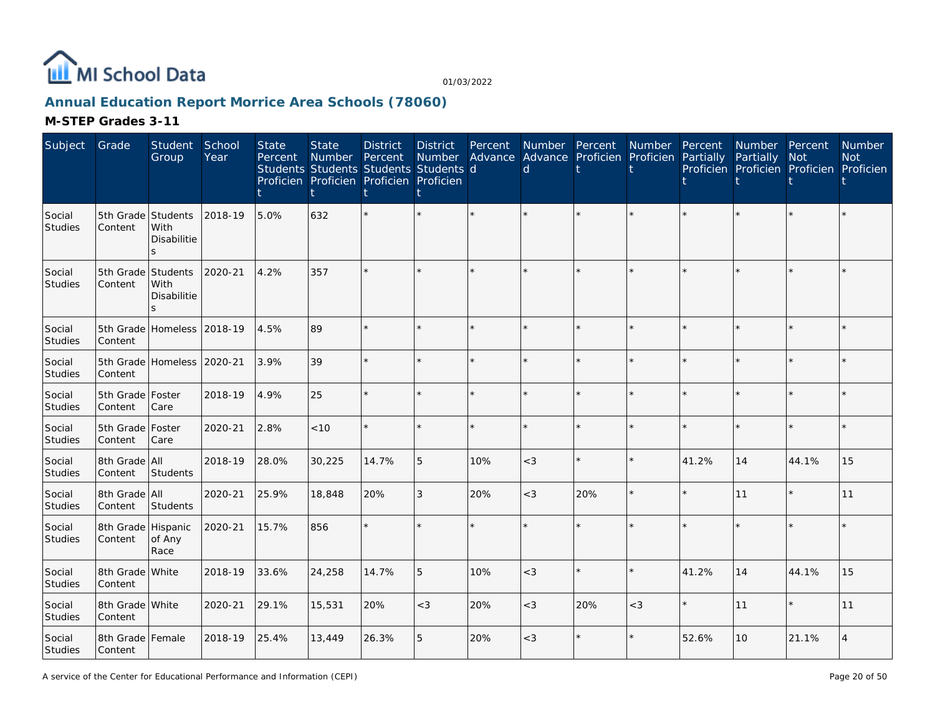

## **Annual Education Report Morrice Area Schools (78060)**

| Subject                  | Grade                         | Student<br>Group                          | School<br>Year | <b>State</b><br>Percent | <b>State</b><br>Number<br>Students Students Students Students d<br>Proficien Proficien Proficien Proficien | <b>District</b><br>Percent | <b>District</b><br>Number | Percent | d      | Number Percent Number<br>Advance Advance Proficien Proficien |         | Percent<br>Partially | Number Percent<br>Partially Not | Proficien Proficien Proficien Proficien | Number<br><b>Not</b> |
|--------------------------|-------------------------------|-------------------------------------------|----------------|-------------------------|------------------------------------------------------------------------------------------------------------|----------------------------|---------------------------|---------|--------|--------------------------------------------------------------|---------|----------------------|---------------------------------|-----------------------------------------|----------------------|
| Social<br>Studies        | 5th Grade<br>Content          | Students<br>With<br>Disabilitie<br>S.     | 2018-19        | 5.0%                    | 632                                                                                                        |                            |                           |         |        |                                                              |         |                      |                                 |                                         |                      |
| Social<br>Studies        | 5th Grade<br>Content          | Students<br>With<br>Disabilitie<br>$\leq$ | 2020-21        | 4.2%                    | 357                                                                                                        |                            |                           | ÷.      |        |                                                              |         |                      |                                 | ÷                                       |                      |
| Social<br><b>Studies</b> | Content                       | 5th Grade Homeless 2018-19                |                | 4.5%                    | 89                                                                                                         | ÷.                         | $\star$                   |         |        |                                                              |         |                      |                                 |                                         |                      |
| Social<br>Studies        | 5th Grade<br>Content          | Homeless                                  | 2020-21        | 3.9%                    | 39                                                                                                         | $\star$                    | $\star$                   | ÷.      |        | $\star$                                                      | ÷.      |                      |                                 | $\star$                                 |                      |
| Social<br>Studies        | 5th Grade   Foster<br>Content | Care                                      | 2018-19        | 4.9%                    | 25                                                                                                         |                            | $\star$                   | ÷.      |        | $\star$                                                      | ÷.      |                      |                                 | $\star$                                 |                      |
| Social<br>Studies        | 5th Grade<br>Content          | Foster<br>Care                            | 2020-21        | 2.8%                    | < 10                                                                                                       |                            | $\star$                   | ÷.      |        | $\star$                                                      | ÷.      |                      |                                 | $\star$                                 |                      |
| Social<br><b>Studies</b> | 8th Grade<br>Content          | All<br><b>Students</b>                    | 2018-19        | 28.0%                   | 30,225                                                                                                     | 14.7%                      | 5                         | 10%     | $<$ 3  | $\star$                                                      | $\star$ | 41.2%                | 14                              | 44.1%                                   | 15                   |
| Social<br><b>Studies</b> | 8th Grade All<br>Content      | Students                                  | 2020-21        | 25.9%                   | 18,848                                                                                                     | 20%                        | 3                         | 20%     | $<$ 3  | 20%                                                          | $\star$ |                      | 11                              | $\star$                                 | 11                   |
| Social<br><b>Studies</b> | 8th Grade<br>Content          | Hispanic<br>of Any<br>Race                | 2020-21        | 15.7%                   | 856                                                                                                        |                            | $\star$                   | ÷.      |        | $\star$                                                      |         |                      |                                 | $\star$                                 |                      |
| Social<br>Studies        | 8th Grade<br>Content          | White                                     | 2018-19        | 33.6%                   | 24,258                                                                                                     | 14.7%                      | 5                         | 10%     | $\lt3$ | $\star$                                                      | $\star$ | 41.2%                | 14                              | 44.1%                                   | 15                   |
| Social<br>Studies        | 8th Grade White<br>Content    |                                           | 2020-21        | 29.1%                   | 15,531                                                                                                     | 20%                        | $<$ 3                     | 20%     | $<$ 3  | 20%                                                          | $<$ 3   |                      | 11                              | $\star$                                 | 11                   |
| Social<br>Studies        | 8th Grade Female<br>Content   |                                           | 2018-19        | 25.4%                   | 13,449                                                                                                     | 26.3%                      | 5                         | 20%     | $<$ 3  | $\star$                                                      |         | 52.6%                | 10                              | 21.1%                                   |                      |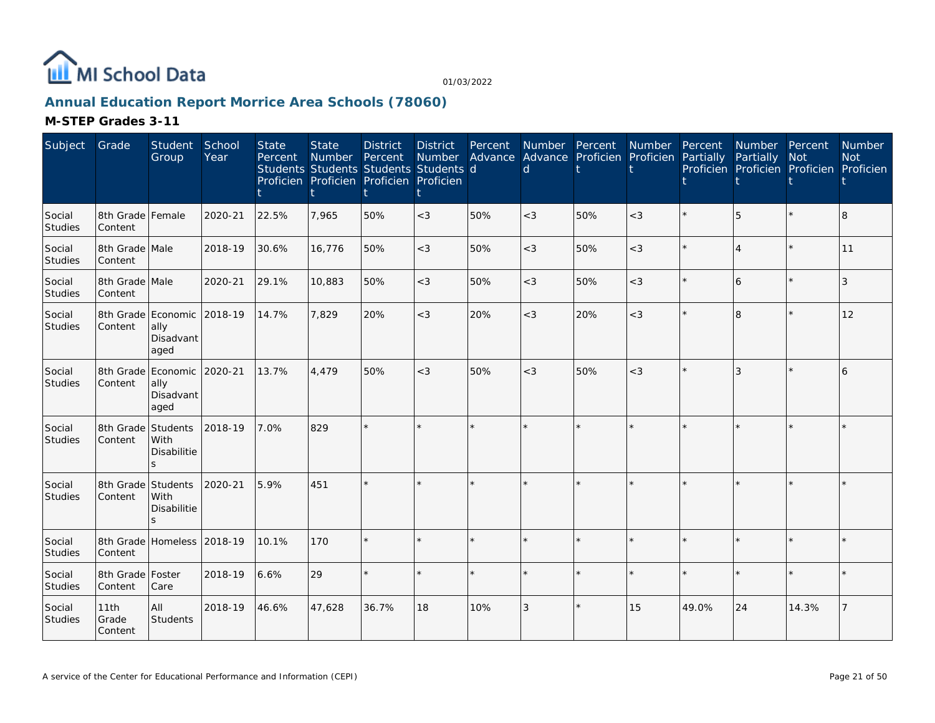

## **Annual Education Report Morrice Area Schools (78060)**

| Subject                  | Grade                         | Student<br>Group                              | School<br>Year | <b>State</b><br>Percent | <b>State</b><br><b>Number</b> | <b>District</b><br>Percent<br>Students Students Students Students d<br>Proficien Proficien Proficien Proficien | District<br>Number | Percent<br>Advance | Number Percent<br><sub>d</sub> | Advance Proficien Proficien | Number  | Percent<br>Partially | Number Percent<br>Partially | <b>Not</b><br>Proficien Proficien Proficien Proficien | Number<br><b>Not</b> |
|--------------------------|-------------------------------|-----------------------------------------------|----------------|-------------------------|-------------------------------|----------------------------------------------------------------------------------------------------------------|--------------------|--------------------|--------------------------------|-----------------------------|---------|----------------------|-----------------------------|-------------------------------------------------------|----------------------|
| Social<br>Studies        | 8th Grade Female<br>Content   |                                               | 2020-21        | 22.5%                   | 7,965                         | 50%                                                                                                            | $<$ 3              | 50%                | $<$ 3                          | 50%                         | $<$ 3   |                      | 5                           |                                                       | 8                    |
| Social<br>Studies        | 8th Grade Male<br>Content     |                                               | 2018-19        | 30.6%                   | 16,776                        | 50%                                                                                                            | $<$ 3              | 50%                | $<$ 3                          | 50%                         | $<$ 3   |                      | 4                           | $\star$                                               | 11                   |
| Social<br>Studies        | 8th Grade Male<br>Content     |                                               | 2020-21        | 29.1%                   | 10,883                        | 50%                                                                                                            | $<$ 3              | 50%                | $<$ 3                          | 50%                         | $<$ 3   |                      | 6                           | $\star$                                               | 3                    |
| Social<br>Studies        | 8th Grade Economic<br>Content | ally<br>Disadvant<br>aged                     | 2018-19        | 14.7%                   | 7,829                         | 20%                                                                                                            | $<$ 3              | 20%                | $<$ 3                          | 20%                         | $<$ 3   |                      | 8                           | $\star$                                               | 12                   |
| Social<br>Studies        | 8th Grade<br>Content          | Economic 2020-21<br>ally<br>Disadvant<br>aged |                | 13.7%                   | 4.479                         | 50%                                                                                                            | $<$ 3              | 50%                | $\lt3$                         | 50%                         | $<$ 3   |                      | 3                           | $\star$                                               | 6                    |
| Social<br>Studies        | 8th Grade<br>Content          | Students<br>With<br>Disabilitie               | 2018-19        | 7.0%                    | 829                           |                                                                                                                |                    |                    |                                |                             | $\star$ |                      |                             | $\star$                                               |                      |
| Social<br>Studies        | 8th Grade<br>Content          | Students<br>With<br><b>Disabilitie</b><br>S.  | 2020-21        | 5.9%                    | 451                           |                                                                                                                |                    |                    |                                |                             |         |                      |                             |                                                       |                      |
| Social<br>Studies        | 8th Grade<br>Content          | Homeless 2018-19                              |                | 10.1%                   | 170                           |                                                                                                                |                    | $\star$            |                                | $\star$                     | $\star$ |                      | ÷.                          | $\star$                                               |                      |
| Social<br><b>Studies</b> | 8th Grade   Foster<br>Content | Care                                          | 2018-19        | 6.6%                    | 29                            |                                                                                                                |                    |                    |                                |                             | $\star$ |                      | $\star$                     | $\star$                                               |                      |
| Social<br>Studies        | 11th<br>Grade<br>Content      | All<br><b>Students</b>                        | 2018-19        | 46.6%                   | 47,628                        | 36.7%                                                                                                          | 18                 | 10%                | 3                              | $\star$                     | 15      | 49.0%                | 24                          | 14.3%                                                 |                      |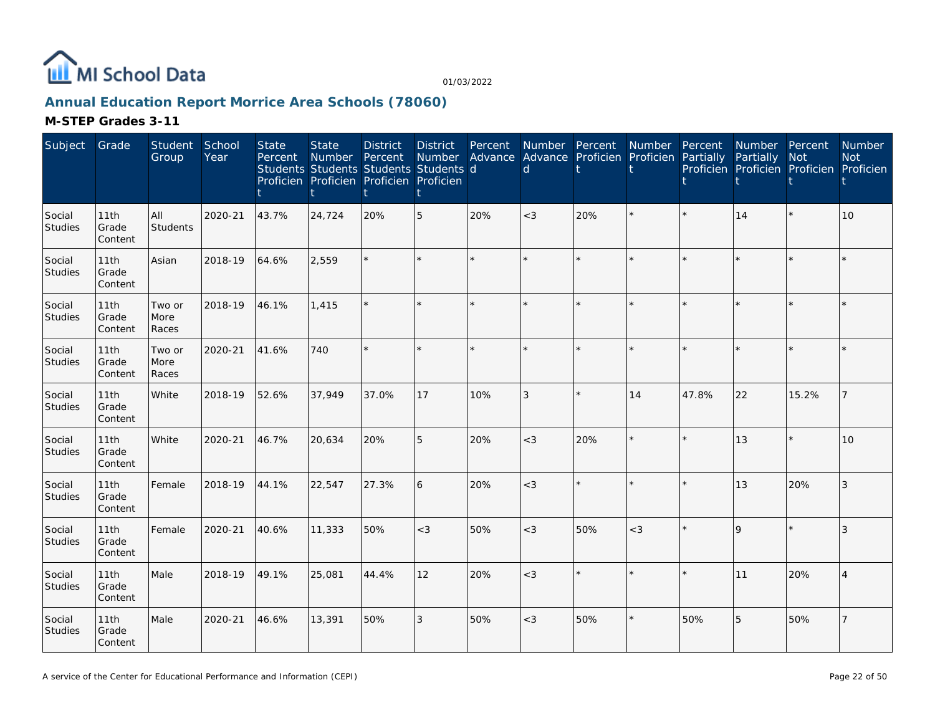

## **Annual Education Report Morrice Area Schools (78060)**

| Subject                  | Grade                    | Student<br>Group        | School<br>Year | <b>State</b><br>Percent | <b>State</b><br>Number<br>Students Students Students Students d<br>Proficien Proficien Proficien Proficien | <b>District</b><br>Percent | <b>District</b><br>Number<br>Ť | Percent<br>Advance Advance Proficien Proficien Partially | $\mathsf{d}$ | Number Percent Number Percent<br>ŧ |         |         | Number Percent<br>Partially<br>Proficien Proficien Proficien Proficien | <b>Not</b> | Number<br><b>Not</b> |
|--------------------------|--------------------------|-------------------------|----------------|-------------------------|------------------------------------------------------------------------------------------------------------|----------------------------|--------------------------------|----------------------------------------------------------|--------------|------------------------------------|---------|---------|------------------------------------------------------------------------|------------|----------------------|
| Social<br><b>Studies</b> | 11th<br>Grade<br>Content | All<br><b>Students</b>  | 2020-21        | 43.7%                   | 24,724                                                                                                     | 20%                        | 5                              | 20%                                                      | $<$ 3        | 20%                                | ÷.      | $\star$ | 14                                                                     | $\star$    | 10                   |
| Social<br>Studies        | 11th<br>Grade<br>Content | Asian                   | 2018-19        | 64.6%                   | 2,559                                                                                                      |                            |                                | $\star$                                                  | ÷            |                                    | $\star$ |         |                                                                        | $\star$    |                      |
| Social<br><b>Studies</b> | 11th<br>Grade<br>Content | Two or<br>More<br>Races | 2018-19        | 46.1%                   | 1,415                                                                                                      |                            | $\star$                        | ÷.                                                       | $\star$      |                                    | $\star$ | ÷       |                                                                        | $\star$    |                      |
| Social<br>Studies        | 11th<br>Grade<br>Content | Two or<br>More<br>Races | 2020-21        | 41.6%                   | 740                                                                                                        |                            |                                | $\star$                                                  |              |                                    |         |         |                                                                        | $\star$    |                      |
| Social<br>Studies        | 11th<br>Grade<br>Content | White                   | 2018-19        | 52.6%                   | 37,949                                                                                                     | 37.0%                      | 17                             | 10%                                                      | $\sqrt{3}$   |                                    | 14      | 47.8%   | 22                                                                     | 15.2%      |                      |
| Social<br>Studies        | 11th<br>Grade<br>Content | White                   | 2020-21        | 46.7%                   | 20,634                                                                                                     | 20%                        | 5                              | 20%                                                      | $<$ 3        | 20%                                | $\star$ | $\star$ | 13                                                                     | $\star$    | 10                   |
| Social<br>Studies        | 11th<br>Grade<br>Content | Female                  | 2018-19        | 44.1%                   | 22,547                                                                                                     | 27.3%                      | 6                              | 20%                                                      | $<$ 3        |                                    | $\star$ | ÷       | 13                                                                     | 20%        | 3                    |
| Social<br>Studies        | 11th<br>Grade<br>Content | Female                  | 2020-21        | 40.6%                   | 11,333                                                                                                     | 50%                        | $<$ 3                          | 50%                                                      | $<$ 3        | 50%                                | $<$ 3   |         | $\overline{Q}$                                                         | $\star$    | 3                    |
| Social<br>Studies        | 11th<br>Grade<br>Content | Male                    | 2018-19        | 49.1%                   | 25,081                                                                                                     | 44.4%                      | 12                             | 20%                                                      | $<$ 3        |                                    | $\star$ |         | 11                                                                     | 20%        |                      |
| Social<br>Studies        | 11th<br>Grade<br>Content | Male                    | 2020-21        | 46.6%                   | 13,391                                                                                                     | 50%                        | 3                              | 50%                                                      | $<$ 3        | 50%                                | $\star$ | 50%     | 5                                                                      | 50%        |                      |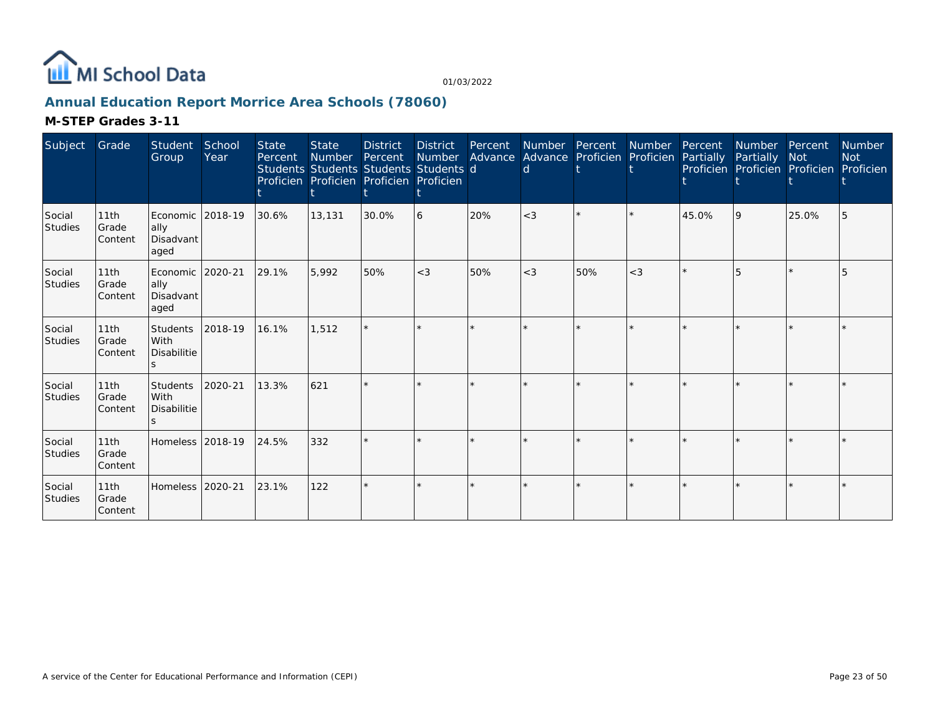

## **Annual Education Report Morrice Area Schools (78060)**

| Subject                  | Grade                    | Student<br>Group                                | School<br>Year | <b>State</b><br>Percent | <b>State</b><br><b>Number</b><br>Students Students Students Students d<br>Proficien Proficien Proficien Proficien | <b>District</b><br>Percent | <b>District</b><br>Number | Advance | Percent Number Percent<br>$\mathsf{d}$ | Advance Proficien Proficien | Number Percent | Partially | <b>Number</b><br>Partially | Percent<br><b>Not</b><br>Proficien Proficien Proficien | <b>Number</b><br><b>Not</b><br>Proficien |
|--------------------------|--------------------------|-------------------------------------------------|----------------|-------------------------|-------------------------------------------------------------------------------------------------------------------|----------------------------|---------------------------|---------|----------------------------------------|-----------------------------|----------------|-----------|----------------------------|--------------------------------------------------------|------------------------------------------|
| Social<br>Studies        | 11th<br>Grade<br>Content | Economic   2018-19<br>ally<br>Disadvant<br>aged |                | 30.6%                   | 13,131                                                                                                            | 30.0%                      | 6                         | 20%     | $<$ 3                                  |                             |                | 45.0%     | <b>9</b>                   | 25.0%                                                  |                                          |
| Social<br>Studies        | 11th<br>Grade<br>Content | Economic<br>ally<br>Disadvant<br>aged           | 2020-21        | 29.1%                   | 5,992                                                                                                             | 50%                        | $<$ 3                     | 50%     | $<$ 3                                  | 50%                         | $<$ 3          |           |                            |                                                        |                                          |
| Social<br>Studies        | 11th<br>Grade<br>Content | <b>Students</b><br>With<br>Disabilitie          | 2018-19        | 16.1%                   | 1.512                                                                                                             |                            |                           |         |                                        |                             |                |           |                            |                                                        |                                          |
| Social<br><b>Studies</b> | 11th<br>Grade<br>Content | Students<br>With<br>Disabilitie                 | 2020-21        | 13.3%                   | 621                                                                                                               |                            |                           |         |                                        |                             |                |           |                            |                                                        |                                          |
| Social<br>Studies        | 11th<br>Grade<br>Content | Homeless 2018-19                                |                | 24.5%                   | 332                                                                                                               |                            |                           |         |                                        |                             |                |           |                            |                                                        |                                          |
| Social<br>Studies        | 11th<br>Grade<br>Content | Homeless 2020-21                                |                | 23.1%                   | 122                                                                                                               |                            | $\star$                   |         |                                        |                             |                |           |                            |                                                        |                                          |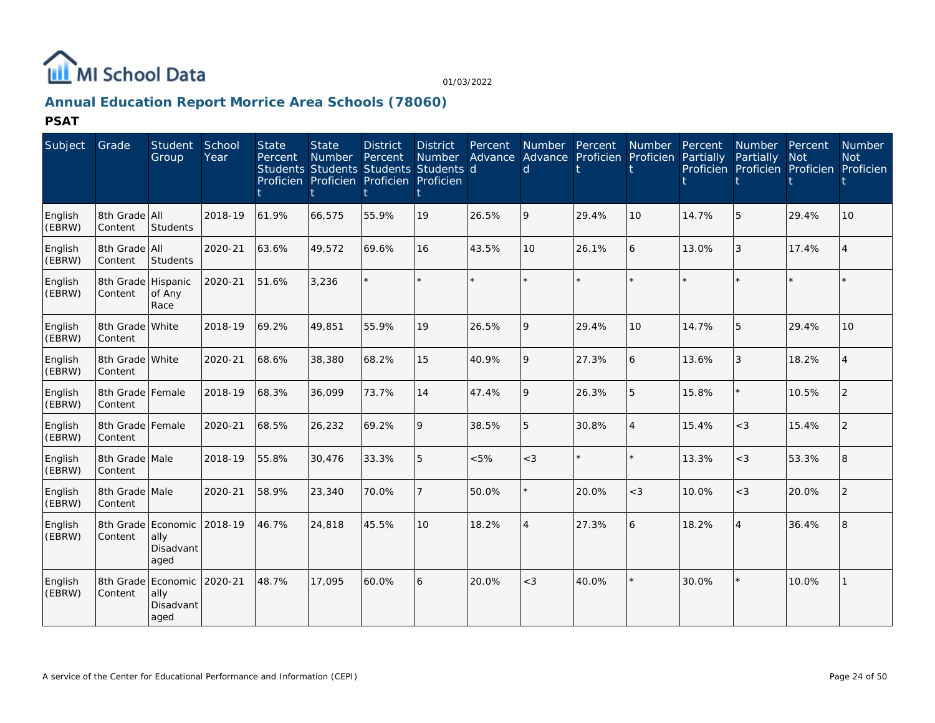

## **Annual Education Report Morrice Area Schools (78060)**

**PSAT**

| Subject           | Grade                         | <b>Student</b><br>Group                         | School<br>Year | <b>State</b><br>Percent | <b>State</b><br><b>Number</b> | <b>District</b><br>Percent<br>Students Students Students Students d<br>Proficien Proficien Proficien Proficien | <b>District</b><br>Number | Percent<br>Advance | Number Percent<br>d |         | <b>Number</b><br>Advance Proficien Proficien | Percent<br>Partially | <b>Number</b><br>Partially<br>Proficien Proficien Proficien Proficien | Percent<br><b>Not</b> | <b>Number</b><br><b>Not</b> |
|-------------------|-------------------------------|-------------------------------------------------|----------------|-------------------------|-------------------------------|----------------------------------------------------------------------------------------------------------------|---------------------------|--------------------|---------------------|---------|----------------------------------------------|----------------------|-----------------------------------------------------------------------|-----------------------|-----------------------------|
| English<br>(EBRW) | 8th Grade All<br>Content      | Students                                        | 2018-19        | 61.9%                   | 66,575                        | 55.9%                                                                                                          | 19                        | 26.5%              | 9                   | 29.4%   | 10                                           | 14.7%                | 5                                                                     | 29.4%                 | 10                          |
| English<br>(EBRW) | 8th Grade All<br>Content      | Students                                        | 2020-21        | 63.6%                   | 49,572                        | 69.6%                                                                                                          | 16                        | 43.5%              | 10                  | 26.1%   | 6                                            | 13.0%                | 3                                                                     | 17.4%                 |                             |
| English<br>(EBRW) | 8th Grade Hispanic<br>Content | of Any<br>Race                                  | 2020-21        | 51.6%                   | 3.236                         |                                                                                                                | $\star$                   | ÷.                 |                     | $\star$ |                                              |                      | $\star$                                                               |                       |                             |
| English<br>(EBRW) | 8th Grade White<br>Content    |                                                 | 2018-19        | 69.2%                   | 49,851                        | 55.9%                                                                                                          | 19                        | 26.5%              | 9                   | 29.4%   | 10                                           | 14.7%                | 5                                                                     | 29.4%                 | 10                          |
| English<br>(EBRW) | 8th Grade White<br>Content    |                                                 | 2020-21        | 68.6%                   | 38,380                        | 68.2%                                                                                                          | 15                        | 40.9%              | 9                   | 27.3%   | 6                                            | 13.6%                | 3                                                                     | 18.2%                 |                             |
| English<br>(EBRW) | 8th Grade Female<br>Content   |                                                 | 2018-19        | 68.3%                   | 36.099                        | 73.7%                                                                                                          | 14                        | 47.4%              | 9                   | 26.3%   | 5                                            | 15.8%                | $\star$                                                               | 10.5%                 | 2                           |
| English<br>(EBRW) | 8th Grade Female<br>Content   |                                                 | 2020-21        | 68.5%                   | 26,232                        | 69.2%                                                                                                          | 9                         | 38.5%              | 5                   | 30.8%   | $\overline{4}$                               | 15.4%                | $<$ 3                                                                 | 15.4%                 | 2                           |
| English<br>(EBRW) | 8th Grade Male<br>Content     |                                                 | 2018-19        | 55.8%                   | 30,476                        | 33.3%                                                                                                          | 5                         | &5%                | $<$ 3               | $\star$ | $\star$                                      | 13.3%                | $<$ 3                                                                 | 53.3%                 | 8                           |
| English<br>(EBRW) | 8th Grade Male<br>Content     |                                                 | 2020-21        | 58.9%                   | 23,340                        | 70.0%                                                                                                          | $\overline{7}$            | 50.0%              |                     | 20.0%   | $<$ 3                                        | 10.0%                | $<$ 3                                                                 | 20.0%                 | $\overline{2}$              |
| English<br>(EBRW) | Content                       | 8th Grade Economic<br>ally<br>Disadvant<br>aged | 2018-19        | 46.7%                   | 24,818                        | 45.5%                                                                                                          | 10                        | 18.2%              | $\overline{4}$      | 27.3%   | 6                                            | 18.2%                | 4                                                                     | 36.4%                 | $\overline{8}$              |
| English<br>(EBRW) | Content                       | 8th Grade Economic<br>ally<br>Disadvant<br>aged | 2020-21        | 48.7%                   | 17,095                        | 60.0%                                                                                                          | 6                         | 20.0%              | $<$ 3               | 40.0%   | $\star$                                      | 30.0%                | $\star$                                                               | 10.0%                 |                             |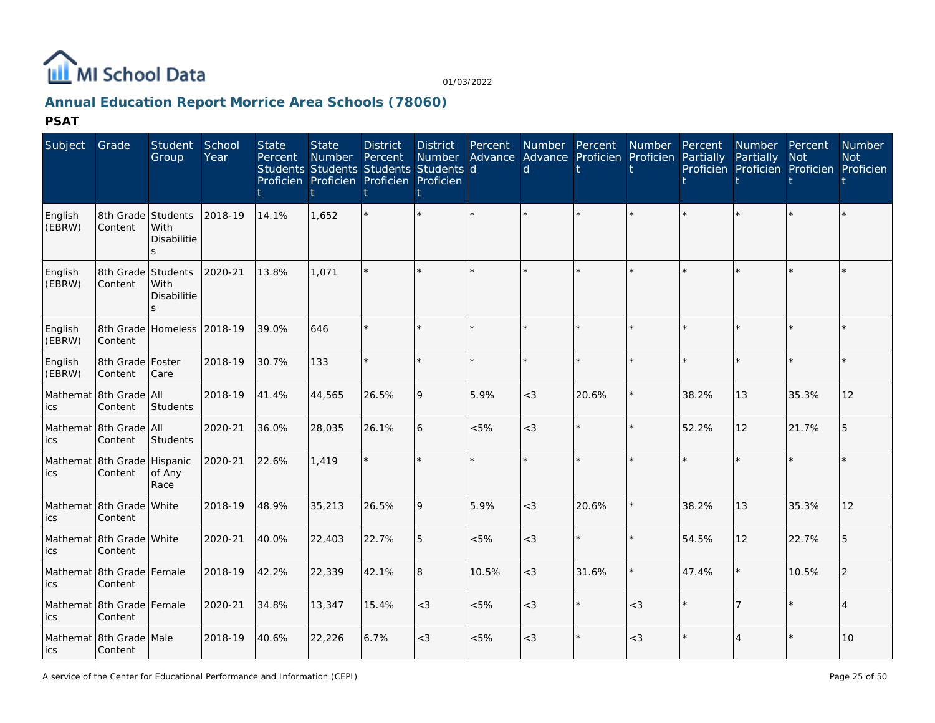

## **Annual Education Report Morrice Area Schools (78060)**

**PSAT**

| Subject           | Grade                                | Student<br>Group                          | School<br>Year | <b>State</b><br>Percent | <b>State</b><br>Number<br>Students Students Students Students d<br>Proficien Proficien Proficien Proficien | <b>District</b><br>Percent | <b>District</b> | Percent | <b>Number</b><br>Number Advance Advance Proficien Proficien<br>d | Percent | Number  | Percent<br>Partially | Number Percent<br>Partially<br>Proficien Proficien Proficien Proficien | <b>Not</b> | Number<br><b>Not</b> |
|-------------------|--------------------------------------|-------------------------------------------|----------------|-------------------------|------------------------------------------------------------------------------------------------------------|----------------------------|-----------------|---------|------------------------------------------------------------------|---------|---------|----------------------|------------------------------------------------------------------------|------------|----------------------|
| English<br>(EBRW) | 8th Grade<br>Content                 | Students<br>With<br>Disabilitie<br>$\leq$ | 2018-19        | 14.1%                   | 1,652                                                                                                      |                            | $\star$         | ÷.      |                                                                  | $\star$ |         |                      |                                                                        | $\star$    |                      |
| English<br>(EBRW) | 8th Grade<br>Content                 | Students<br>With<br><b>Disabilitie</b>    | 2020-21        | 13.8%                   | 1.071                                                                                                      |                            |                 |         |                                                                  |         |         |                      |                                                                        |            |                      |
| English<br>(EBRW) | 8th Grade<br>Content                 | Homeless 2018-19                          |                | 39.0%                   | 646                                                                                                        |                            | ÷.              | ÷.      |                                                                  |         | ÷.      |                      |                                                                        | $\star$    |                      |
| English<br>(EBRW) | 8th Grade<br>Content                 | Foster<br>Care                            | 2018-19        | 30.7%                   | 133                                                                                                        |                            | $\star$         | $\star$ |                                                                  | $\star$ | $\star$ |                      |                                                                        | $\star$    |                      |
| Mathemat<br>ics   | 8th Grade<br>Content                 | All<br>Students                           | 2018-19        | 41.4%                   | 44,565                                                                                                     | 26.5%                      | 9               | 5.9%    | $<$ 3                                                            | 20.6%   | $\star$ | 38.2%                | 13                                                                     | 35.3%      | 12                   |
| ics               | Mathemat 8th Grade<br>Content        | <b>AII</b><br>Students                    | 2020-21        | 36.0%                   | 28,035                                                                                                     | 26.1%                      | 6               | $<5\%$  | $<$ 3                                                            | $\star$ | $\star$ | 52.2%                | 12                                                                     | 21.7%      | 5                    |
| ics               | Mathemat 8th Grade<br>Content        | Hispanic<br>of Any<br>Race                | 2020-21        | 22.6%                   | 1,419                                                                                                      |                            | $\star$         | ÷.      |                                                                  | $\star$ | ÷.      |                      |                                                                        | $\star$    |                      |
| ics               | Mathemat 8th Grade<br>Content        | White                                     | 2018-19        | 48.9%                   | 35,213                                                                                                     | 26.5%                      | 9               | 5.9%    | $<$ 3                                                            | 20.6%   | $\star$ | 38.2%                | 13                                                                     | 35.3%      | 12                   |
| ics               | Mathemat 8th Grade White<br>Content  |                                           | 2020-21        | 40.0%                   | 22,403                                                                                                     | 22.7%                      | 5               | < 5%    | $<$ 3                                                            | $\star$ |         | 54.5%                | 12                                                                     | 22.7%      | 5                    |
| ics               | Mathemat 8th Grade Female<br>Content |                                           | 2018-19        | 42.2%                   | 22,339                                                                                                     | 42.1%                      | 8               | 10.5%   | $<$ 3                                                            | 31.6%   |         | 47.4%                | $\star$                                                                | 10.5%      | $\mathcal{P}$        |
| ics               | Mathemat 8th Grade Female<br>Content |                                           | 2020-21        | 34.8%                   | 13,347                                                                                                     | 15.4%                      | $<$ 3           | < 5%    | $<$ 3                                                            | $\star$ | $<$ 3   |                      | $\overline{7}$                                                         |            |                      |
| lics              | Mathemat 8th Grade Male<br>Content   |                                           | 2018-19        | 40.6%                   | 22,226                                                                                                     | 6.7%                       | $<$ 3           | $<5\%$  | $<$ 3                                                            | $\star$ | $<$ 3   |                      |                                                                        |            | 10                   |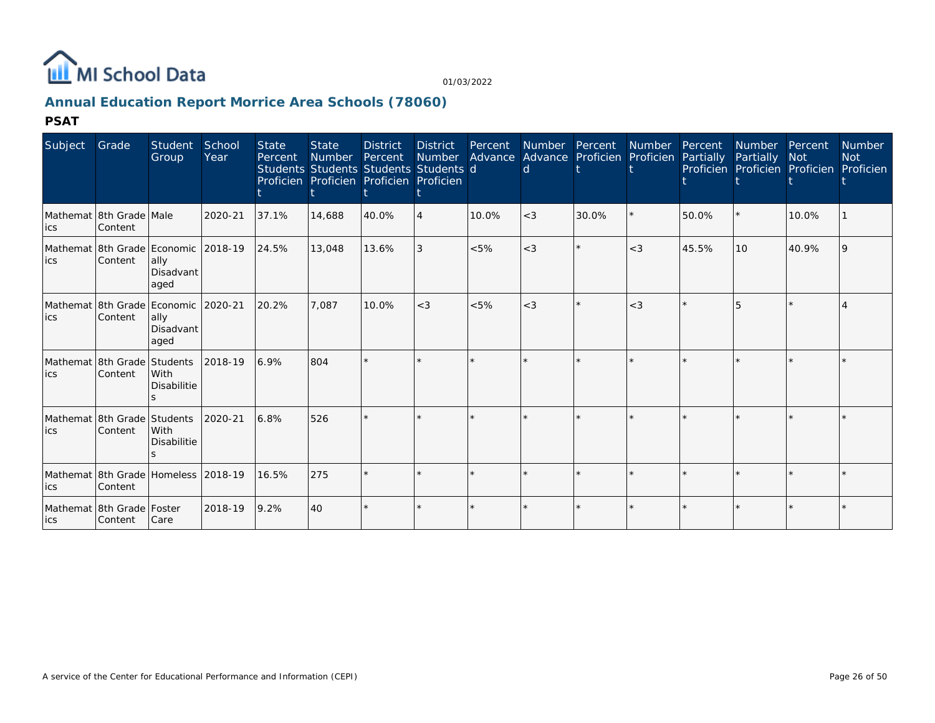

## **Annual Education Report Morrice Area Schools (78060)**

**PSAT**

| Subject                                           | Grade                                          | Student<br>Group           | School<br>Year | <b>State</b><br>Percent | <b>State</b><br><b>Number</b><br>Students Students Students Students d<br>Proficien Proficien Proficien Proficien | <b>District</b><br>Percent | <b>District</b><br>Number | Percent | Number Percent<br><sub>d</sub> | Advance Advance Proficien Proficien | Number | Percent<br>Partially | Number<br>Partially<br>Proficien Proficien Proficien | Percent<br><b>Not</b> | Number<br><b>Not</b><br>Proficien |
|---------------------------------------------------|------------------------------------------------|----------------------------|----------------|-------------------------|-------------------------------------------------------------------------------------------------------------------|----------------------------|---------------------------|---------|--------------------------------|-------------------------------------|--------|----------------------|------------------------------------------------------|-----------------------|-----------------------------------|
| ics                                               | Mathemat 8th Grade Male<br>Content             |                            | 2020-21        | 37.1%                   | 14,688                                                                                                            | 40.0%                      | 4                         | 10.0%   | $<$ 3                          | 30.0%                               |        | 50.0%                |                                                      | 10.0%                 |                                   |
| lics                                              | Mathemat 8th Grade Economic 2018-19<br>Content | ally<br>Disadvant<br>aged  |                | 24.5%                   | 13,048                                                                                                            | 13.6%                      | 3                         | $< 5\%$ | $<$ 3                          | $\star$                             | $<$ 3  | 45.5%                | 10                                                   | 40.9%                 |                                   |
| Mathemat   8th Grade   Economic   2020-21<br>lics | Content                                        | ally<br>Disadvant<br>aged  |                | 20.2%                   | 7.087                                                                                                             | 10.0%                      | $<$ 3                     | < 5%    | $<$ 3                          | $\star$                             | $<$ 3  |                      |                                                      |                       |                                   |
| Mathemat 8th Grade Students<br>lics               | Content                                        | With<br><b>Disabilitie</b> | 2018-19        | 6.9%                    | 804                                                                                                               |                            |                           |         |                                |                                     |        |                      |                                                      |                       |                                   |
| Mathemat 8th Grade Students<br>lics.              | Content                                        | With<br><b>Disabilitie</b> | 2020-21        | 6.8%                    | 526                                                                                                               |                            |                           |         |                                |                                     |        |                      |                                                      |                       |                                   |
| Mathemat 8th Grade Homeless 2018-19<br>ics        | Content                                        |                            |                | 16.5%                   | 275                                                                                                               |                            |                           |         |                                |                                     |        |                      |                                                      |                       |                                   |
| lics                                              | Mathemat 8th Grade Foster<br>Content           | Care                       | 2018-19        | 9.2%                    | 40                                                                                                                |                            |                           |         |                                |                                     |        |                      |                                                      |                       |                                   |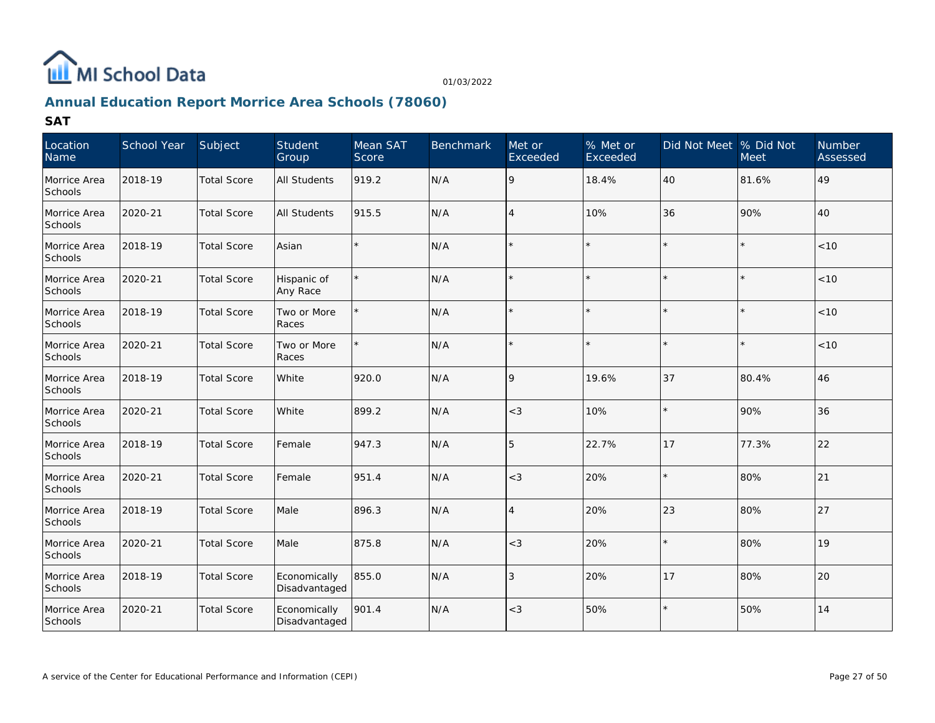

## **Annual Education Report Morrice Area Schools (78060)**

| Location<br>Name        | School Year | Subject            | Student<br>Group              | Mean SAT<br>Score | <b>Benchmark</b> | Met or<br>Exceeded | % Met or<br>Exceeded | Did Not Meet % Did Not | Meet    | Number<br>Assessed |
|-------------------------|-------------|--------------------|-------------------------------|-------------------|------------------|--------------------|----------------------|------------------------|---------|--------------------|
| Morrice Area<br>Schools | 2018-19     | <b>Total Score</b> | <b>All Students</b>           | 919.2             | N/A              | 9                  | 18.4%                | 40                     | 81.6%   | 49                 |
| Morrice Area<br>Schools | 2020-21     | <b>Total Score</b> | <b>All Students</b>           | 915.5             | N/A              | $\overline{4}$     | 10%                  | 36                     | 90%     | 40                 |
| Morrice Area<br>Schools | 2018-19     | <b>Total Score</b> | Asian                         |                   | N/A              | $\star$            |                      |                        | $\star$ | <10                |
| Morrice Area<br>Schools | 2020-21     | <b>Total Score</b> | Hispanic of<br>Any Race       |                   | N/A              |                    |                      |                        |         | <10                |
| Morrice Area<br>Schools | 2018-19     | <b>Total Score</b> | Two or More<br>Races          |                   | N/A              |                    |                      |                        | $\star$ | <10                |
| Morrice Area<br>Schools | 2020-21     | <b>Total Score</b> | Two or More<br>Races          |                   | N/A              | $\star$            |                      |                        |         | < 10               |
| Morrice Area<br>Schools | 2018-19     | <b>Total Score</b> | White                         | 920.0             | N/A              | 9                  | 19.6%                | 37                     | 80.4%   | 46                 |
| Morrice Area<br>Schools | 2020-21     | <b>Total Score</b> | <b>White</b>                  | 899.2             | N/A              | $<\!3$             | 10%                  |                        | 90%     | 36                 |
| Morrice Area<br>Schools | 2018-19     | <b>Total Score</b> | Female                        | 947.3             | N/A              | 5                  | 22.7%                | 17                     | 77.3%   | 22                 |
| Morrice Area<br>Schools | 2020-21     | <b>Total Score</b> | Female                        | 951.4             | N/A              | $<$ 3              | 20%                  |                        | 80%     | 21                 |
| Morrice Area<br>Schools | 2018-19     | <b>Total Score</b> | Male                          | 896.3             | N/A              | $\overline{4}$     | 20%                  | 23                     | 80%     | 27                 |
| Morrice Area<br>Schools | 2020-21     | <b>Total Score</b> | Male                          | 875.8             | N/A              | $<$ 3              | 20%                  |                        | 80%     | 19                 |
| Morrice Area<br>Schools | 2018-19     | <b>Total Score</b> | Economically<br>Disadvantaged | 855.0             | N/A              | 3                  | 20%                  | 17                     | 80%     | 20                 |
| Morrice Area<br>Schools | 2020-21     | <b>Total Score</b> | Economically<br>Disadvantaged | 901.4             | N/A              | $<$ 3              | 50%                  |                        | 50%     | 14                 |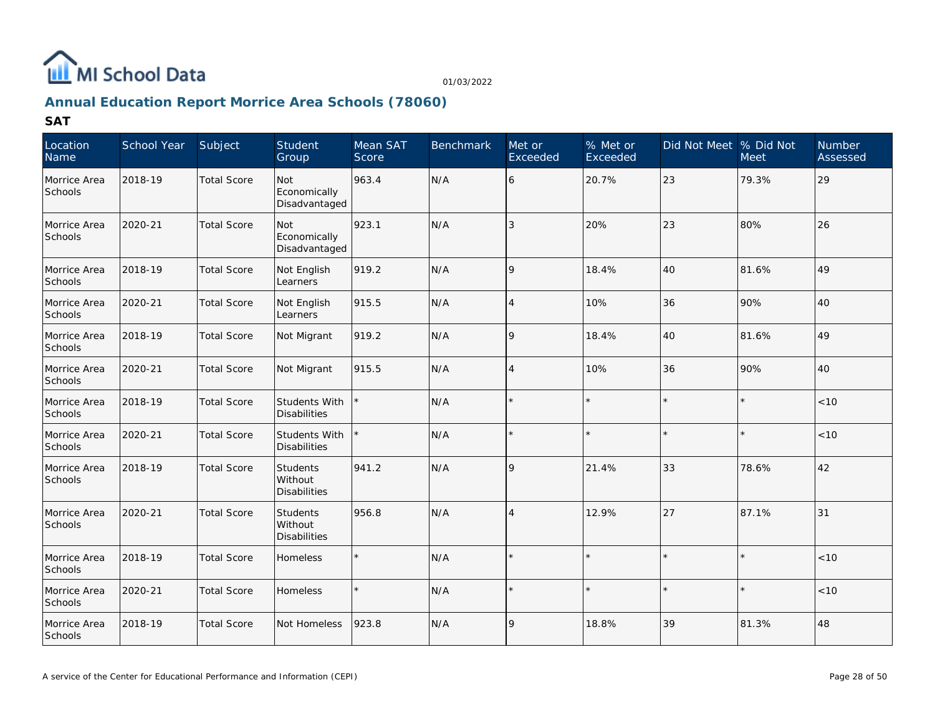

## **Annual Education Report Morrice Area Schools (78060)**

| Location<br>Name        | School Year | Subject            | Student<br>Group                     | Mean SAT<br>Score | <b>Benchmark</b> | Met or<br>Exceeded | % Met or<br>Exceeded | Did Not Meet   % Did Not | <b>Meet</b> | <b>Number</b><br>Assessed |
|-------------------------|-------------|--------------------|--------------------------------------|-------------------|------------------|--------------------|----------------------|--------------------------|-------------|---------------------------|
| Morrice Area<br>Schools | 2018-19     | <b>Total Score</b> | Not<br>Economically<br>Disadvantaged | 963.4             | N/A              | 6                  | 20.7%                | 23                       | 79.3%       | 29                        |
| Morrice Area<br>Schools | 2020-21     | <b>Total Score</b> | Not<br>Economically<br>Disadvantaged | 923.1             | N/A              | 3                  | 20%                  | 23                       | 80%         | 26                        |
| Morrice Area<br>Schools | 2018-19     | <b>Total Score</b> | Not English<br>Learners              | 919.2             | N/A              | 9                  | 18.4%                | 40                       | 81.6%       | 49                        |
| Morrice Area<br>Schools | 2020-21     | <b>Total Score</b> | Not English<br>Learners              | 915.5             | N/A              | 4                  | 10%                  | 36                       | 90%         | 40                        |
| Morrice Area<br>Schools | 2018-19     | <b>Total Score</b> | Not Migrant                          | 919.2             | N/A              | 9                  | 18.4%                | 40                       | 81.6%       | 49                        |
| Morrice Area<br>Schools | 2020-21     | <b>Total Score</b> | Not Migrant                          | 915.5             | N/A              | 4                  | 10%                  | 36                       | 90%         | 40                        |
| Morrice Area<br>Schools | 2018-19     | <b>Total Score</b> | Students With<br>Disabilities        |                   | N/A              | $\star$            |                      | $\star$                  | $\star$     | < 10                      |
| Morrice Area<br>Schools | 2020-21     | <b>Total Score</b> | Students With<br>Disabilities        |                   | N/A              | $\star$            | $\star$              | $\star$                  | $\star$     | < 10                      |
| Morrice Area<br>Schools | 2018-19     | <b>Total Score</b> | Students<br>Without<br>Disabilities  | 941.2             | N/A              | 9                  | 21.4%                | 33                       | 78.6%       | 42                        |
| Morrice Area<br>Schools | 2020-21     | <b>Total Score</b> | Students<br>Without<br>Disabilities  | 956.8             | N/A              | $\overline{4}$     | 12.9%                | 27                       | 87.1%       | 31                        |
| Morrice Area<br>Schools | 2018-19     | <b>Total Score</b> | Homeless                             | $\star$           | N/A              | $\star$            | $\star$              | $\star$                  | $\star$     | < 10                      |
| Morrice Area<br>Schools | 2020-21     | <b>Total Score</b> | <b>Homeless</b>                      |                   | N/A              | $\star$            |                      | $\star$                  | $\star$     | < 10                      |
| Morrice Area<br>Schools | 2018-19     | <b>Total Score</b> | Not Homeless                         | 923.8             | N/A              | 9                  | 18.8%                | 39                       | 81.3%       | 48                        |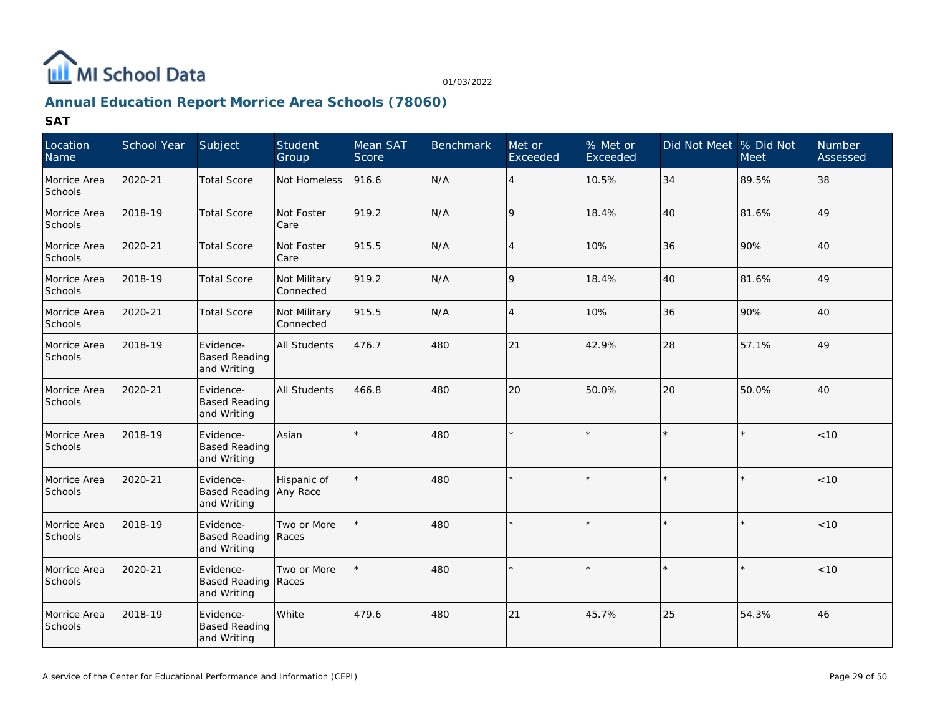

## **Annual Education Report Morrice Area Schools (78060)**

| Location<br>Name        | School Year | Subject                                                | Student<br>Group          | Mean SAT<br>Score | <b>Benchmark</b> | Met or<br>Exceeded | % Met or<br>Exceeded | Did Not Meet % Did Not | <b>Meet</b> | <b>Number</b><br>Assessed |
|-------------------------|-------------|--------------------------------------------------------|---------------------------|-------------------|------------------|--------------------|----------------------|------------------------|-------------|---------------------------|
| Morrice Area<br>Schools | 2020-21     | <b>Total Score</b>                                     | Not Homeless              | 916.6             | N/A              | $\overline{4}$     | 10.5%                | 34                     | 89.5%       | 38                        |
| Morrice Area<br>Schools | 2018-19     | <b>Total Score</b>                                     | Not Foster<br>Care        | 919.2             | N/A              | 9                  | 18.4%                | 40                     | 81.6%       | 49                        |
| Morrice Area<br>Schools | 2020-21     | <b>Total Score</b>                                     | Not Foster<br>Care        | 915.5             | N/A              | $\overline{4}$     | 10%                  | 36                     | 90%         | 40                        |
| Morrice Area<br>Schools | 2018-19     | <b>Total Score</b>                                     | Not Military<br>Connected | 919.2             | N/A              | 9                  | 18.4%                | 40                     | 81.6%       | 49                        |
| Morrice Area<br>Schools | 2020-21     | <b>Total Score</b>                                     | Not Military<br>Connected | 915.5             | N/A              | $\overline{4}$     | 10%                  | 36                     | 90%         | 40                        |
| Morrice Area<br>Schools | 2018-19     | Evidence-<br><b>Based Reading</b><br>and Writing       | <b>All Students</b>       | 476.7             | 480              | 21                 | 42.9%                | 28                     | 57.1%       | 49                        |
| Morrice Area<br>Schools | 2020-21     | Evidence-<br><b>Based Reading</b><br>and Writing       | <b>All Students</b>       | 466.8             | 480              | 20                 | 50.0%                | 20                     | 50.0%       | 40                        |
| Morrice Area<br>Schools | 2018-19     | Evidence-<br><b>Based Reading</b><br>and Writing       | Asian                     |                   | 480              |                    |                      |                        |             | < 10                      |
| Morrice Area<br>Schools | 2020-21     | Evidence-<br>Based Reading Any Race<br>and Writing     | Hispanic of               |                   | 480              | ÷.                 |                      |                        | ×           | < 10                      |
| Morrice Area<br>Schools | 2018-19     | Evidence-<br><b>Based Reading</b><br>and Writing       | Two or More<br>Races      |                   | 480              |                    |                      |                        | ÷           | < 10                      |
| Morrice Area<br>Schools | 2020-21     | Evidence-<br><b>Based Reading Races</b><br>and Writing | Two or More               |                   | 480              | $\star$            |                      |                        | $\star$     | < 10                      |
| Morrice Area<br>Schools | 2018-19     | Evidence-<br><b>Based Reading</b><br>and Writing       | White                     | 479.6             | 480              | 21                 | 45.7%                | 25                     | 54.3%       | 46                        |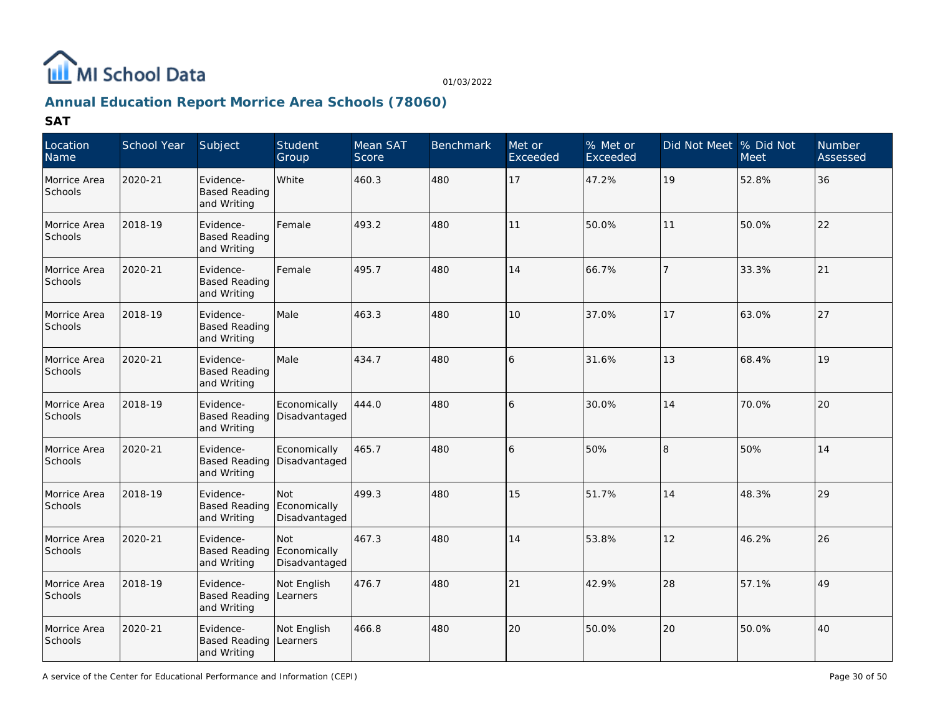

## **Annual Education Report Morrice Area Schools (78060)**

| Location<br>Name               | School Year | Subject                                          | Student<br>Group                     | Mean SAT<br>Score | <b>Benchmark</b> | Met or<br>Exceeded | % Met or<br>Exceeded | Did Not Meet % Did Not | <b>Meet</b> | <b>Number</b><br>Assessed |
|--------------------------------|-------------|--------------------------------------------------|--------------------------------------|-------------------|------------------|--------------------|----------------------|------------------------|-------------|---------------------------|
| Morrice Area<br>Schools        | 2020-21     | Evidence-<br><b>Based Reading</b><br>and Writing | White                                | 460.3             | 480              | 17                 | 47.2%                | 19                     | 52.8%       | 36                        |
| Morrice Area<br>Schools        | 2018-19     | Evidence-<br><b>Based Reading</b><br>and Writing | Female                               | 493.2             | 480              | 11                 | 50.0%                | 11                     | 50.0%       | 22                        |
| Morrice Area<br>Schools        | 2020-21     | Evidence-<br><b>Based Reading</b><br>and Writing | Female                               | 495.7             | 480              | 14                 | 66.7%                | $\overline{7}$         | 33.3%       | 21                        |
| Morrice Area<br>Schools        | 2018-19     | Evidence-<br><b>Based Reading</b><br>and Writing | Male                                 | 463.3             | 480              | 10                 | 37.0%                | 17                     | 63.0%       | 27                        |
| Morrice Area<br>Schools        | 2020-21     | Evidence-<br><b>Based Reading</b><br>and Writing | Male                                 | 434.7             | 480              | 16                 | 31.6%                | 13                     | 68.4%       | 19                        |
| Morrice Area<br>Schools        | 2018-19     | Evidence-<br><b>Based Reading</b><br>and Writing | Economically<br>Disadvantaged        | 444.0             | 480              | 16                 | 30.0%                | 14                     | 70.0%       | 20                        |
| Morrice Area<br>Schools        | 2020-21     | Evidence-<br><b>Based Reading</b><br>and Writing | Economically<br>Disadvantaged        | 465.7             | 480              | 16                 | 50%                  | 8                      | 50%         | 14                        |
| Morrice Area<br>Schools        | 2018-19     | Evidence-<br><b>Based Reading</b><br>and Writing | Not<br>Economically<br>Disadvantaged | 499.3             | 480              | 15                 | 51.7%                | 14                     | 48.3%       | 29                        |
| Morrice Area<br>Schools        | 2020-21     | Evidence-<br><b>Based Reading</b><br>and Writing | Not<br>Economically<br>Disadvantaged | 467.3             | 480              | 14                 | 53.8%                | 12                     | 46.2%       | 26                        |
| Morrice Area<br><b>Schools</b> | 2018-19     | Evidence-<br><b>Based Reading</b><br>and Writing | Not English<br>Learners              | 476.7             | 480              | 21                 | 42.9%                | 28                     | 57.1%       | 49                        |
| Morrice Area<br>Schools        | 2020-21     | Evidence-<br><b>Based Reading</b><br>and Writing | Not English<br>Learners              | 466.8             | 480              | 20                 | 50.0%                | 20                     | 50.0%       | 40                        |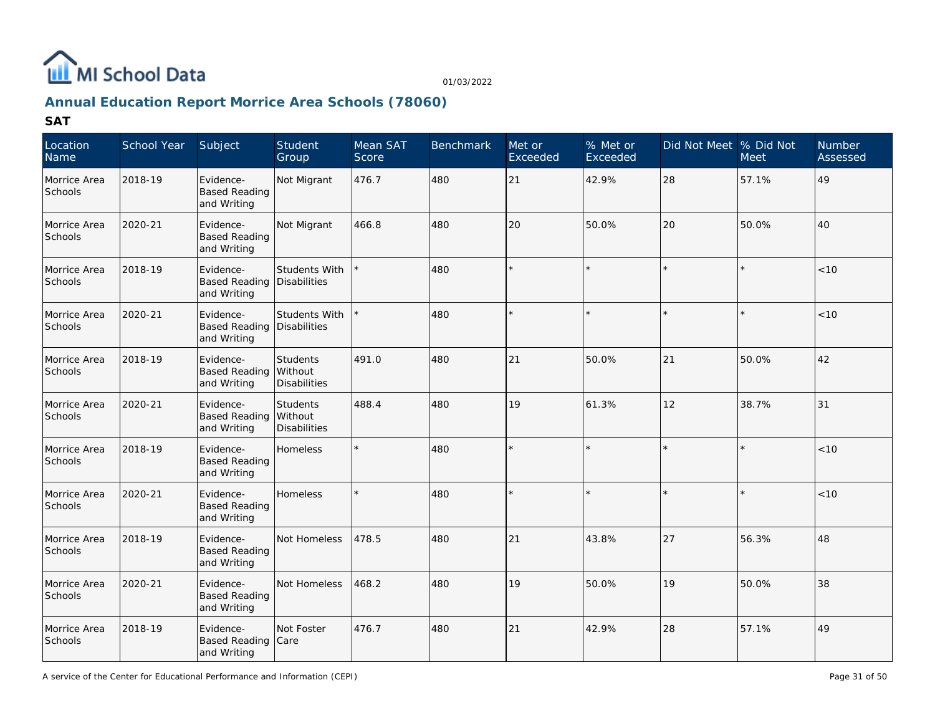

## **Annual Education Report Morrice Area Schools (78060)**

| Location<br>Name        | School Year | Subject                                          | Student<br>Group                                  | Mean SAT<br>Score | <b>Benchmark</b> | Met or<br>Exceeded | $%$ Met or<br>Exceeded | Did Not Meet % Did Not | <b>Meet</b> | <b>Number</b><br>Assessed |
|-------------------------|-------------|--------------------------------------------------|---------------------------------------------------|-------------------|------------------|--------------------|------------------------|------------------------|-------------|---------------------------|
| Morrice Area<br>Schools | 2018-19     | Evidence-<br><b>Based Reading</b><br>and Writing | Not Migrant                                       | 476.7             | 480              | 21                 | 42.9%                  | 28                     | 57.1%       | 49                        |
| Morrice Area<br>Schools | 2020-21     | Evidence-<br><b>Based Reading</b><br>and Writing | Not Migrant                                       | 466.8             | 480              | 20                 | 50.0%                  | 20                     | 50.0%       | 40                        |
| Morrice Area<br>Schools | 2018-19     | Evidence-<br><b>Based Reading</b><br>and Writing | Students With<br>Disabilities                     |                   | 480              |                    |                        |                        |             | < 10                      |
| Morrice Area<br>Schools | 2020-21     | Evidence-<br><b>Based Reading</b><br>and Writing | Students With<br>Disabilities                     |                   | 480              |                    |                        | $\star$                |             | < 10                      |
| Morrice Area<br>Schools | 2018-19     | Evidence-<br><b>Based Reading</b><br>and Writing | <b>Students</b><br>Without<br><b>Disabilities</b> | 491.0             | 480              | 21                 | 50.0%                  | 21                     | 50.0%       | 42                        |
| Morrice Area<br>Schools | 2020-21     | Evidence-<br><b>Based Reading</b><br>and Writing | Students<br>Without<br><b>Disabilities</b>        | 488.4             | 480              | 19                 | 61.3%                  | 12                     | 38.7%       | 31                        |
| Morrice Area<br>Schools | 2018-19     | Evidence-<br><b>Based Reading</b><br>and Writing | Homeless                                          |                   | 480              |                    |                        |                        |             | $<10$                     |
| Morrice Area<br>Schools | 2020-21     | Evidence-<br><b>Based Reading</b><br>and Writing | <b>Homeless</b>                                   |                   | 480              |                    |                        |                        |             | < 10                      |
| Morrice Area<br>Schools | 2018-19     | Evidence-<br><b>Based Reading</b><br>and Writing | Not Homeless                                      | 478.5             | 480              | 21                 | 43.8%                  | 27                     | 56.3%       | 48                        |
| Morrice Area<br>Schools | 2020-21     | Evidence-<br><b>Based Reading</b><br>and Writing | Not Homeless                                      | 468.2             | 480              | 19                 | 50.0%                  | 19                     | 50.0%       | 38                        |
| Morrice Area<br>Schools | 2018-19     | Evidence-<br><b>Based Reading</b><br>and Writing | Not Foster<br>Care                                | 476.7             | 480              | 21                 | 42.9%                  | 28                     | 57.1%       | 49                        |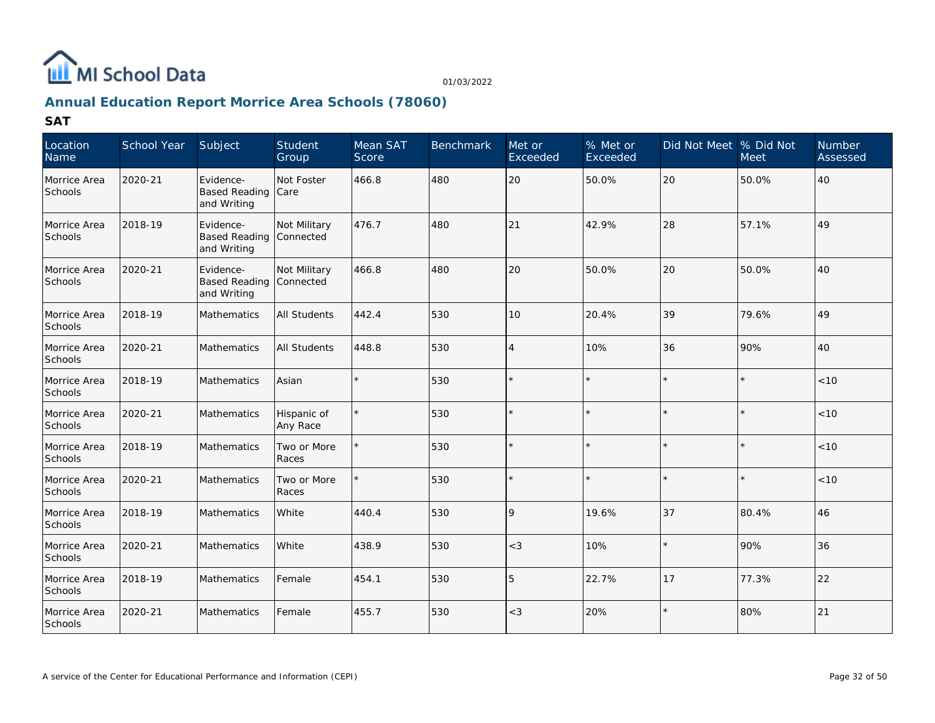

## **Annual Education Report Morrice Area Schools (78060)**

| Location<br>Name        | School Year | Subject                                          | Student<br>Group          | Mean SAT<br>Score | <b>Benchmark</b> | Met or<br>Exceeded | $%$ Met or<br>Exceeded | Did Not Meet  % Did Not | <b>Meet</b> | Number<br>Assessed |
|-------------------------|-------------|--------------------------------------------------|---------------------------|-------------------|------------------|--------------------|------------------------|-------------------------|-------------|--------------------|
| Morrice Area<br>Schools | 2020-21     | Evidence-<br><b>Based Reading</b><br>and Writing | Not Foster<br>Care        | 466.8             | 480              | 20                 | 50.0%                  | 20                      | 50.0%       | 40                 |
| Morrice Area<br>Schools | 2018-19     | Evidence-<br><b>Based Reading</b><br>and Writing | Not Military<br>Connected | 476.7             | 480              | 21                 | 42.9%                  | 28                      | 57.1%       | 49                 |
| Morrice Area<br>Schools | 2020-21     | Evidence-<br><b>Based Reading</b><br>and Writing | Not Military<br>Connected | 466.8             | 480              | 20                 | 50.0%                  | 20                      | 50.0%       | 40                 |
| Morrice Area<br>Schools | 2018-19     | Mathematics                                      | All Students              | 442.4             | 530              | 10                 | 20.4%                  | 39                      | 79.6%       | 49                 |
| Morrice Area<br>Schools | 2020-21     | Mathematics                                      | All Students              | 448.8             | 530              | $\overline{4}$     | 10%                    | 36                      | 90%         | 40                 |
| Morrice Area<br>Schools | 2018-19     | Mathematics                                      | Asian                     |                   | 530              |                    |                        | $\star$                 |             | $<10$              |
| Morrice Area<br>Schools | 2020-21     | Mathematics                                      | Hispanic of<br>Any Race   |                   | 530              |                    |                        | $\star$                 |             | < 10               |
| Morrice Area<br>Schools | 2018-19     | Mathematics                                      | Two or More<br>Races      |                   | 530              |                    |                        | $\star$                 |             | < 10               |
| Morrice Area<br>Schools | 2020-21     | Mathematics                                      | Two or More<br>Races      |                   | 530              |                    |                        | $\star$                 |             | < 10               |
| Morrice Area<br>Schools | 2018-19     | Mathematics                                      | White                     | 440.4             | 530              | $\mathsf{Q}$       | 19.6%                  | 37                      | 80.4%       | 46                 |
| Morrice Area<br>Schools | 2020-21     | <b>Mathematics</b>                               | <b>White</b>              | 438.9             | 530              | $<$ 3              | 10%                    | $\star$                 | 90%         | 36                 |
| Morrice Area<br>Schools | 2018-19     | Mathematics                                      | Female                    | 454.1             | 530              | 5                  | 22.7%                  | 17                      | 77.3%       | 22                 |
| Morrice Area<br>Schools | 2020-21     | Mathematics                                      | Female                    | 455.7             | 530              | $<\!3$             | 20%                    | $\star$                 | 80%         | 21                 |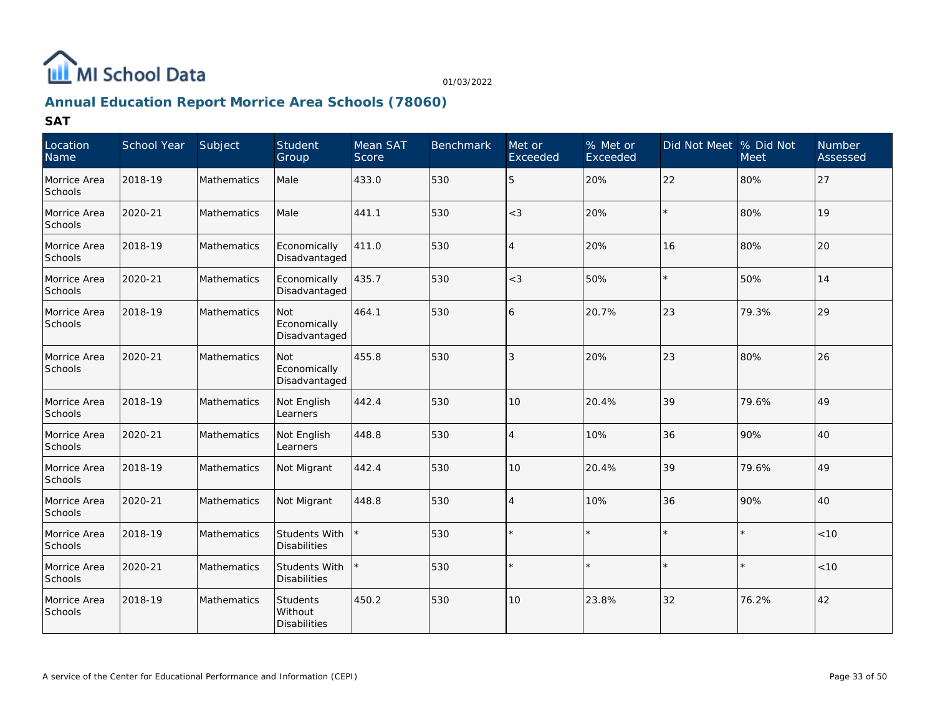

## **Annual Education Report Morrice Area Schools (78060)**

| Location<br>Name               | School Year | Subject            | Student<br>Group                                  | Mean SAT<br>Score | <b>Benchmark</b> | Met or<br>Exceeded | % Met or<br>Exceeded | Did Not Meet % Did Not | <b>Meet</b> | <b>Number</b><br>Assessed |
|--------------------------------|-------------|--------------------|---------------------------------------------------|-------------------|------------------|--------------------|----------------------|------------------------|-------------|---------------------------|
| Morrice Area<br>Schools        | 2018-19     | Mathematics        | Male                                              | 433.0             | 530              | 5                  | 20%                  | 22                     | 80%         | 27                        |
| Morrice Area<br>Schools        | 2020-21     | Mathematics        | Male                                              | 441.1             | 530              | $<$ 3              | 20%                  |                        | 80%         | 19                        |
| Morrice Area<br>Schools        | 2018-19     | Mathematics        | Economically<br>Disadvantaged                     | 411.0             | 530              | $\overline{4}$     | 20%                  | 16                     | 80%         | 20                        |
| Morrice Area<br>Schools        | 2020-21     | Mathematics        | Economically<br>Disadvantaged                     | 435.7             | 530              | $<$ 3              | 50%                  |                        | 50%         | 14                        |
| Morrice Area<br>Schools        | 2018-19     | Mathematics        | Not<br>Economically<br>Disadvantaged              | 464.1             | 530              | 6                  | 20.7%                | 23                     | 79.3%       | 29                        |
| Morrice Area<br>Schools        | 2020-21     | Mathematics        | <b>Not</b><br>Economically<br>Disadvantaged       | 455.8             | 530              | 3                  | 20%                  | 23                     | 80%         | 26                        |
| Morrice Area<br>Schools        | 2018-19     | <b>Mathematics</b> | Not English<br>Learners                           | 442.4             | 530              | 10                 | 20.4%                | 39                     | 79.6%       | 49                        |
| Morrice Area<br>Schools        | 2020-21     | Mathematics        | Not English<br>Learners                           | 448.8             | 530              | $\overline{4}$     | 10%                  | 36                     | 90%         | 40                        |
| Morrice Area<br><b>Schools</b> | 2018-19     | <b>Mathematics</b> | Not Migrant                                       | 442.4             | 530              | 10                 | 20.4%                | 39                     | 79.6%       | 49                        |
| Morrice Area<br>Schools        | 2020-21     | Mathematics        | Not Migrant                                       | 448.8             | 530              | $\overline{4}$     | 10%                  | 36                     | 90%         | 40                        |
| Morrice Area<br>Schools        | 2018-19     | Mathematics        | Students With<br><b>Disabilities</b>              |                   | 530              |                    |                      |                        |             | < 10                      |
| Morrice Area<br>Schools        | 2020-21     | Mathematics        | <b>Students With</b><br><b>Disabilities</b>       |                   | 530              |                    |                      |                        |             | $<10$                     |
| Morrice Area<br>Schools        | 2018-19     | Mathematics        | <b>Students</b><br>Without<br><b>Disabilities</b> | 450.2             | 530              | 10                 | 23.8%                | 32                     | 76.2%       | 42                        |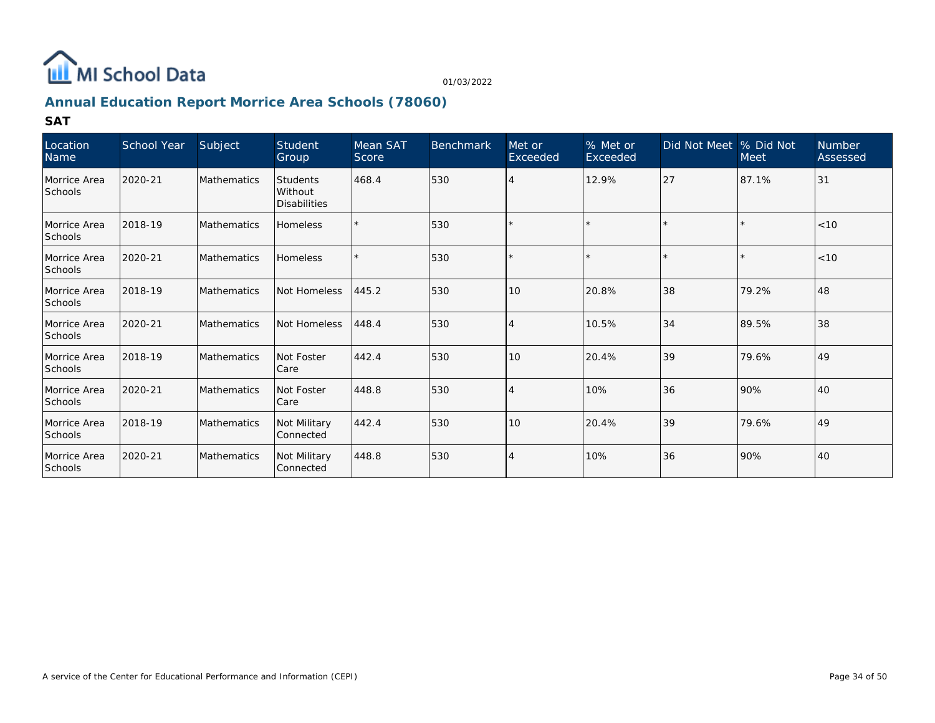

## **Annual Education Report Morrice Area Schools (78060)**

| Location<br>Name               | School Year | Subject            | Student<br>Group                           | Mean SAT<br>Score | <b>Benchmark</b> | Met or<br>Exceeded | % Met or<br>Exceeded | Did Not Meet   % Did Not | <b>Meet</b> | <b>Number</b><br>Assessed |
|--------------------------------|-------------|--------------------|--------------------------------------------|-------------------|------------------|--------------------|----------------------|--------------------------|-------------|---------------------------|
| Morrice Area<br><b>Schools</b> | 2020-21     | Mathematics        | Students<br>Without<br><b>Disabilities</b> | 468.4             | 530              |                    | 12.9%                | 27                       | 87.1%       | $ 31$                     |
| Morrice Area<br>Schools        | 2018-19     | Mathematics        | <b>Homeless</b>                            |                   | 530              |                    |                      |                          |             | $ $ < 10                  |
| Morrice Area<br><b>Schools</b> | 2020-21     | Mathematics        | <b>Homeless</b>                            |                   | 530              |                    |                      |                          |             | $ $ < 10                  |
| Morrice Area<br>Schools        | 2018-19     | Mathematics        | Not Homeless                               | 445.2             | 530              | 10                 | 20.8%                | 38                       | 79.2%       | 48                        |
| Morrice Area<br><b>Schools</b> | 2020-21     | Mathematics        | Not Homeless                               | 448.4             | 530              |                    | 10.5%                | 34                       | 89.5%       | 38                        |
| Morrice Area<br>Schools        | 2018-19     | Mathematics        | Not Foster<br>Care                         | 442.4             | 530              | 10                 | 20.4%                | 39                       | 79.6%       | 49                        |
| Morrice Area<br>Schools        | 2020-21     | Mathematics        | Not Foster<br>Care                         | 448.8             | 530              | 4                  | 10%                  | 36                       | 90%         | 140                       |
| Morrice Area<br><b>Schools</b> | 2018-19     | Mathematics        | Not Military<br>Connected                  | 442.4             | 530              | 10                 | 20.4%                | 39                       | 79.6%       | 49                        |
| Morrice Area<br>Schools        | 2020-21     | <b>Mathematics</b> | Not Military<br>Connected                  | 448.8             | 530              | 4                  | 10%                  | 36                       | 90%         | 40                        |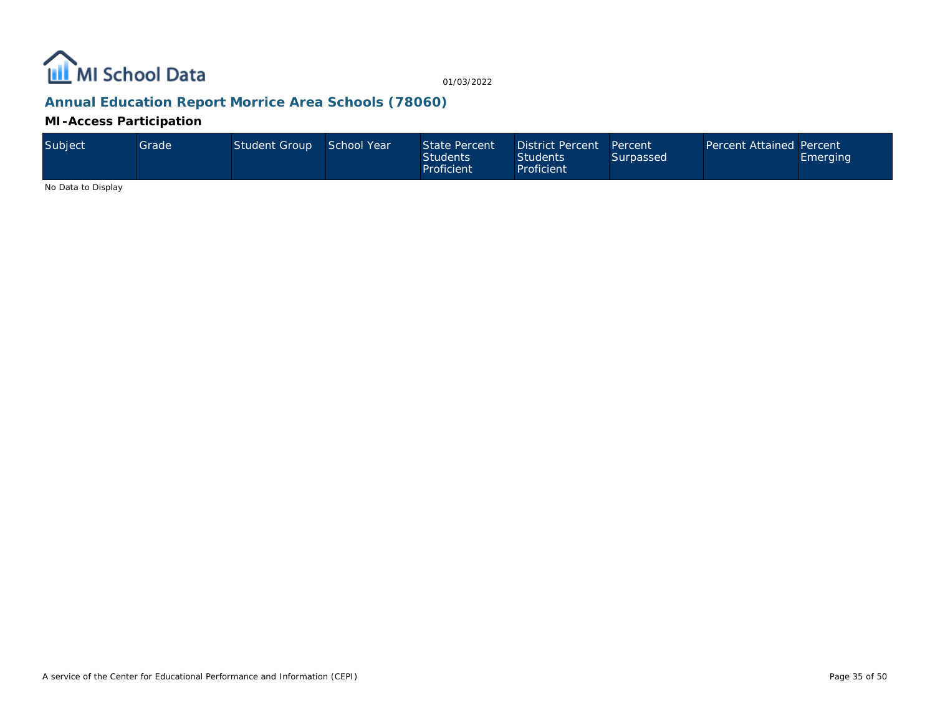

## **Annual Education Report Morrice Area Schools (78060)**

**MI-Access Participation**

| Subject | Grade ' | Student Group School Year |  | State Percent<br><b>Students</b><br>Proficient | District Percent Percent<br><b>Students</b><br>Proficient | Surpassed | <b>Percent Attained Percent</b> | Emerging |
|---------|---------|---------------------------|--|------------------------------------------------|-----------------------------------------------------------|-----------|---------------------------------|----------|
|---------|---------|---------------------------|--|------------------------------------------------|-----------------------------------------------------------|-----------|---------------------------------|----------|

No Data to Display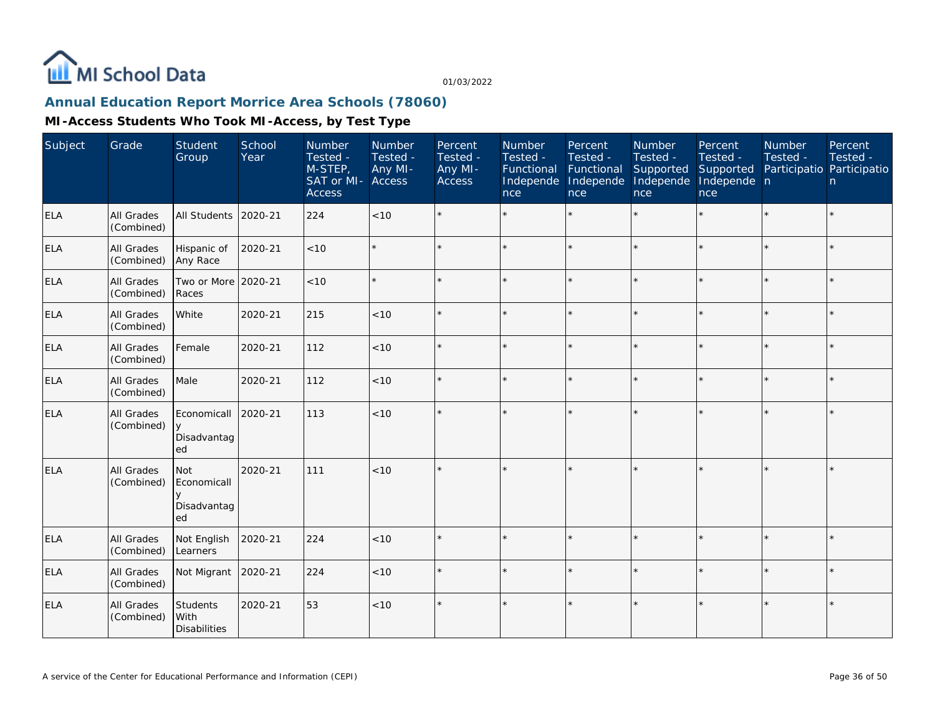

# **Annual Education Report Morrice Area Schools (78060)**

| Subject    | Grade                           | Student<br>Group                           | School<br>Year | Number<br>Tested -<br>M-STEP,<br>SAT or MI- Access<br>Access | Number<br>Tested -<br>Any MI- | Percent<br>Tested -<br>Any MI-<br>Access | Number<br>Tested -<br>Functional<br>Independe<br>nce | Percent<br>Tested -<br>Functional<br>Independe<br><b>nce</b> | <b>Number</b><br>Tested -<br>Supported<br>Independe<br>nce | Percent<br>Tested -<br>Supported<br>Independe n<br>nce | <b>Number</b><br>Tested -<br>Participatio Participatio | Percent<br>Tested -<br>n |
|------------|---------------------------------|--------------------------------------------|----------------|--------------------------------------------------------------|-------------------------------|------------------------------------------|------------------------------------------------------|--------------------------------------------------------------|------------------------------------------------------------|--------------------------------------------------------|--------------------------------------------------------|--------------------------|
| <b>ELA</b> | <b>All Grades</b><br>(Combined) | All Students                               | 2020-21        | 224                                                          | < 10                          |                                          |                                                      |                                                              |                                                            |                                                        |                                                        | $\star$                  |
| <b>ELA</b> | All Grades<br>(Combined)        | Hispanic of<br>Any Race                    | 2020-21        | < 10                                                         |                               |                                          |                                                      | $\star$                                                      | ÷                                                          |                                                        | $\star$                                                | $\star$                  |
| <b>ELA</b> | All Grades<br>(Combined)        | Two or More<br>Races                       | 2020-21        | < 10                                                         |                               | $\star$                                  | $\star$                                              | $\star$                                                      | ÷.                                                         |                                                        |                                                        | $\star$                  |
| <b>ELA</b> | All Grades<br>(Combined)        | White                                      | 2020-21        | 215                                                          | < 10                          |                                          |                                                      | $\star$                                                      | ÷                                                          |                                                        |                                                        | $\star$                  |
| <b>ELA</b> | All Grades<br>(Combined)        | Female                                     | 2020-21        | 112                                                          | <10                           | $\star$                                  |                                                      | $\star$                                                      |                                                            |                                                        |                                                        | $\star$                  |
| <b>ELA</b> | <b>All Grades</b><br>(Combined) | Male                                       | 2020-21        | 112                                                          | < 10                          | $\star$                                  |                                                      | $\star$                                                      |                                                            |                                                        |                                                        | $\star$                  |
| <b>ELA</b> | All Grades<br>(Combined)        | Economicall<br>$\vee$<br>Disadvantag<br>ed | 2020-21        | 113                                                          | < 10                          |                                          |                                                      |                                                              |                                                            |                                                        |                                                        | $\star$                  |
| <b>ELA</b> | All Grades<br>(Combined)        | Not<br>Economicall<br>Disadvantag<br>ed    | 2020-21        | 111                                                          | < 10                          | $\star$                                  |                                                      |                                                              |                                                            |                                                        |                                                        | $\star$                  |
| <b>ELA</b> | All Grades<br>(Combined)        | Not English<br>Learners                    | 2020-21        | 224                                                          | < 10                          | $\star$                                  |                                                      | $\star$                                                      |                                                            |                                                        |                                                        | $\star$                  |
| <b>ELA</b> | <b>All Grades</b><br>(Combined) | Not Migrant                                | 2020-21        | 224                                                          | < 10                          |                                          |                                                      | $\star$                                                      |                                                            |                                                        |                                                        | $\star$                  |
| <b>ELA</b> | <b>All Grades</b><br>(Combined) | Students<br>With<br><b>Disabilities</b>    | 2020-21        | 53                                                           | < 10                          | $\star$                                  |                                                      | $\star$                                                      |                                                            |                                                        |                                                        | $\star$                  |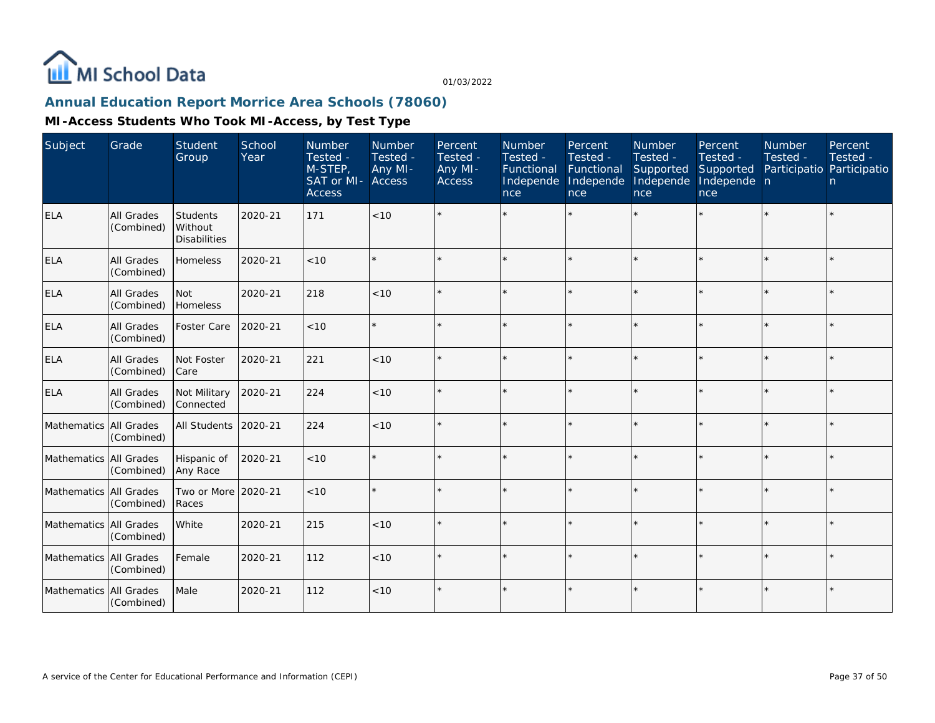

## **Annual Education Report Morrice Area Schools (78060)**

| Subject                  | Grade                           | <b>Student</b><br>Group                           | School<br>Year | Number<br>Tested -<br>M-STEP,<br>SAT or MI- Access<br><b>Access</b> | Number<br>Tested -<br>Any MI- | Percent<br>Tested -<br>Any MI-<br><b>Access</b> | <b>Number</b><br>Tested -<br>Functional<br>Independe<br>nce | Percent<br>Tested -<br>Functional<br>Independe<br>nce | Number<br>Tested -<br>Supported<br>Independe<br>nce | Percent<br>Tested -<br>Supported<br>Independe n<br>nce | <b>Number</b><br>Tested -<br>Participatio Participatio | Percent<br>Tested -<br>$\mathsf{n}$ |
|--------------------------|---------------------------------|---------------------------------------------------|----------------|---------------------------------------------------------------------|-------------------------------|-------------------------------------------------|-------------------------------------------------------------|-------------------------------------------------------|-----------------------------------------------------|--------------------------------------------------------|--------------------------------------------------------|-------------------------------------|
| <b>ELA</b>               | All Grades<br>(Combined)        | <b>Students</b><br>Without<br><b>Disabilities</b> | 2020-21        | 171                                                                 | < 10                          |                                                 |                                                             | $\star$                                               |                                                     |                                                        |                                                        | ÷.                                  |
| <b>ELA</b>               | <b>All Grades</b><br>(Combined) | Homeless                                          | 2020-21        | < 10                                                                |                               |                                                 |                                                             | $\star$                                               |                                                     |                                                        |                                                        | $\star$                             |
| <b>ELA</b>               | <b>All Grades</b><br>(Combined) | <b>Not</b><br>Homeless                            | 2020-21        | 218                                                                 | < 10                          |                                                 |                                                             | $\star$                                               | $\star$                                             |                                                        |                                                        | ÷.                                  |
| <b>ELA</b>               | All Grades<br>(Combined)        | Foster Care                                       | 2020-21        | < 10                                                                |                               |                                                 |                                                             | $\star$                                               |                                                     |                                                        |                                                        | $\star$                             |
| <b>ELA</b>               | All Grades<br>(Combined)        | Not Foster<br>Care                                | 2020-21        | 221                                                                 | < 10                          |                                                 |                                                             | $\star$                                               |                                                     |                                                        |                                                        | $\star$                             |
| <b>ELA</b>               | All Grades<br>(Combined)        | Not Military<br>Connected                         | 2020-21        | 224                                                                 | < 10                          | $\star$                                         |                                                             | $\star$                                               |                                                     |                                                        | $\star$                                                | $\star$                             |
| Mathematics All Grades   | (Combined)                      | All Students                                      | 2020-21        | 224                                                                 | < 10                          | $\star$                                         |                                                             | $\star$                                               |                                                     |                                                        |                                                        | $\star$                             |
| Mathematics All Grades   | (Combined)                      | Hispanic of<br>Any Race                           | 2020-21        | < 10                                                                |                               |                                                 |                                                             | $\star$                                               |                                                     |                                                        |                                                        | $\star$                             |
| Mathematics   All Grades | (Combined)                      | Two or More<br>Races                              | 2020-21        | < 10                                                                |                               | $\star$                                         |                                                             | $\star$                                               |                                                     |                                                        |                                                        | $\star$                             |
| Mathematics All Grades   | (Combined)                      | White                                             | 2020-21        | 215                                                                 | < 10                          | $\star$                                         |                                                             | $\star$                                               |                                                     | $\star$                                                | $\star$                                                | $\star$                             |
| Mathematics All Grades   | (Combined)                      | Female                                            | 2020-21        | 112                                                                 | < 10                          | $\star$                                         |                                                             | $\star$                                               | ý,                                                  |                                                        | $\star$                                                | $\star$                             |
| Mathematics All Grades   | (Combined)                      | Male                                              | 2020-21        | 112                                                                 | < 10                          |                                                 |                                                             | $\star$                                               |                                                     |                                                        |                                                        | $\star$                             |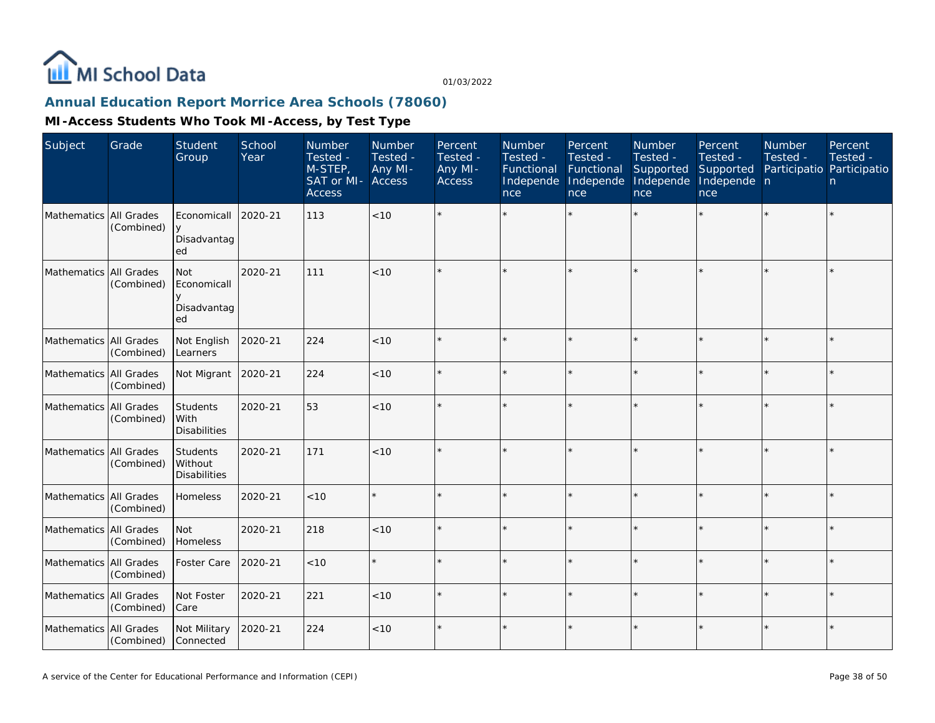

## **Annual Education Report Morrice Area Schools (78060)**

| Subject                  | Grade      | Student<br>Group                               | School<br>Year | Number<br>Tested -<br>M-STEP,<br>SAT or MI-<br><b>Access</b> | Number<br>Tested -<br>Any MI-<br><b>Access</b> | Percent<br>Tested -<br>Any MI-<br><b>Access</b> | Number<br>Tested -<br>Functional<br>Independe<br>nce | Percent<br>Tested -<br>Functional<br>Independe<br>nce | Number<br>Tested -<br>Supported<br>Independe<br>nce | Percent<br>Tested -<br>Supported<br>Independe n<br>nce | <b>Number</b><br>Tested -<br>Participatio Participatio | Percent<br>Tested -<br>n. |
|--------------------------|------------|------------------------------------------------|----------------|--------------------------------------------------------------|------------------------------------------------|-------------------------------------------------|------------------------------------------------------|-------------------------------------------------------|-----------------------------------------------------|--------------------------------------------------------|--------------------------------------------------------|---------------------------|
| Mathematics All Grades   | (Combined) | Economicall<br>$\vee$<br>Disadvantag<br>ed     | 2020-21        | 113                                                          | < 10                                           |                                                 |                                                      |                                                       |                                                     |                                                        |                                                        | $\star$                   |
| Mathematics All Grades   | (Combined) | <b>Not</b><br>Economicall<br>Disadvantag<br>ed | 2020-21        | 111                                                          | < 10                                           |                                                 |                                                      | $\ddot{\phantom{0}}$                                  |                                                     | $\star$                                                |                                                        | $\star$                   |
| Mathematics All Grades   | (Combined) | Not English<br>Learners                        | 2020-21        | 224                                                          | < 10                                           |                                                 |                                                      | $\star$                                               |                                                     | $\star$                                                |                                                        | $\star$                   |
| Mathematics   All Grades | (Combined) | Not Migrant 2020-21                            |                | 224                                                          | < 10                                           |                                                 |                                                      | $\star$                                               |                                                     | $\star$                                                |                                                        | $\star$                   |
| Mathematics All Grades   | (Combined) | Students<br>With<br><b>Disabilities</b>        | 2020-21        | 53                                                           | < 10                                           |                                                 |                                                      |                                                       |                                                     |                                                        |                                                        | $\star$                   |
| Mathematics All Grades   | (Combined) | Students<br>Without<br><b>Disabilities</b>     | 2020-21        | 171                                                          | < 10                                           |                                                 |                                                      | $\star$                                               |                                                     | $\star$                                                |                                                        | $\star$                   |
| Mathematics All Grades   | (Combined) | Homeless                                       | 2020-21        | < 10                                                         | $\star$                                        |                                                 |                                                      | $\star$                                               |                                                     | $\star$                                                | $\star$                                                | $\star$                   |
| Mathematics All Grades   | (Combined) | Not<br>Homeless                                | 2020-21        | 218                                                          | $<10$                                          |                                                 |                                                      | $\star$                                               |                                                     | $\star$                                                |                                                        | $\star$                   |
| Mathematics All Grades   | (Combined) | Foster Care                                    | 2020-21        | < 10                                                         | $\star$                                        |                                                 |                                                      | $\star$                                               |                                                     | $\star$                                                |                                                        | $\star$                   |
| Mathematics All Grades   | (Combined) | Not Foster<br>Care                             | 2020-21        | 221                                                          | < 10                                           |                                                 |                                                      | ÷                                                     |                                                     | $\star$                                                |                                                        | ÷.                        |
| Mathematics All Grades   | (Combined) | Not Military<br>Connected                      | 2020-21        | 224                                                          | $<10$                                          |                                                 |                                                      | $\star$                                               |                                                     | $\star$                                                |                                                        | $\star$                   |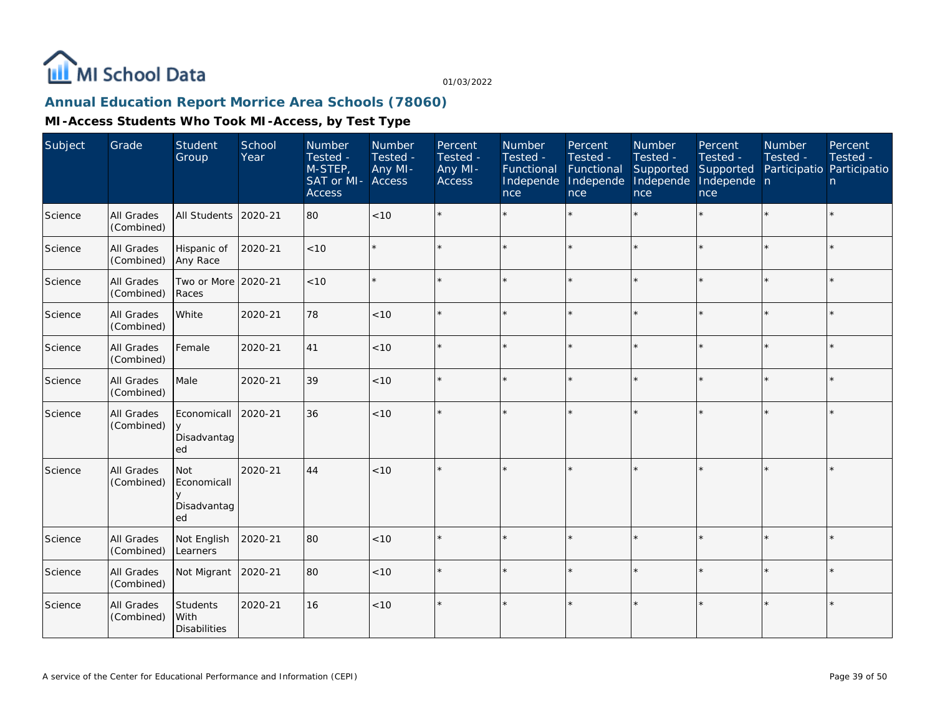

# **Annual Education Report Morrice Area Schools (78060)**

| Subject | Grade                           | Student<br>Group                        | School<br>Year | Number<br>Tested -<br>M-STEP,<br>SAT or MI-<br><b>Access</b> | Number<br>Tested -<br>Any MI-<br>Access | Percent<br>Tested -<br>Any MI-<br><b>Access</b> | Number<br>Tested -<br>Functional<br>Independe<br>nce | Percent<br>Tested -<br>Functional<br>Independe<br>nce | <b>Number</b><br>Tested -<br>Supported<br>Independe<br>nce | Percent<br>Tested -<br>Supported<br>Independe n<br>nce | <b>Number</b><br>Tested - | Percent<br>Tested -<br>Participatio Participatio<br>n |
|---------|---------------------------------|-----------------------------------------|----------------|--------------------------------------------------------------|-----------------------------------------|-------------------------------------------------|------------------------------------------------------|-------------------------------------------------------|------------------------------------------------------------|--------------------------------------------------------|---------------------------|-------------------------------------------------------|
| Science | All Grades<br>(Combined)        | <b>All Students</b>                     | 2020-21        | 80                                                           | < 10                                    |                                                 |                                                      | $\star$                                               | ÷.                                                         | $\star$                                                |                           | $\star$                                               |
| Science | All Grades<br>(Combined)        | Hispanic of<br>Any Race                 | 2020-21        | < 10                                                         | $\star$                                 |                                                 |                                                      | $\star$                                               | ÷                                                          | $\star$                                                | $\star$                   | $\star$                                               |
| Science | All Grades<br>(Combined)        | Two or More 2020-21<br>Races            |                | < 10                                                         | $\star$                                 |                                                 |                                                      | $\star$                                               | ÷                                                          | $\star$                                                |                           | $\star$                                               |
| Science | All Grades<br>(Combined)        | White                                   | 2020-21        | 78                                                           | < 10                                    |                                                 |                                                      |                                                       |                                                            | $\star$                                                | $\star$                   | $\star$                                               |
| Science | All Grades<br>(Combined)        | Female                                  | 2020-21        | 41                                                           | < 10                                    |                                                 |                                                      |                                                       |                                                            |                                                        |                           | $\star$                                               |
| Science | All Grades<br>(Combined)        | Male                                    | 2020-21        | 39                                                           | < 10                                    |                                                 |                                                      | $\star$                                               |                                                            |                                                        |                           | $\star$                                               |
| Science | All Grades<br>(Combined)        | Economicall<br>y<br>Disadvantag<br>ed   | 2020-21        | 36                                                           | < 10                                    |                                                 |                                                      |                                                       |                                                            |                                                        |                           | $\star$                                               |
| Science | All Grades<br>(Combined)        | Not<br>Economicall<br>Disadvantag<br>ed | 2020-21        | 44                                                           | < 10                                    |                                                 |                                                      | $\star$                                               |                                                            | $\star$                                                |                           | $\star$                                               |
| Science | All Grades<br>(Combined)        | Not English<br>Learners                 | 2020-21        | 80                                                           | < 10                                    |                                                 |                                                      | $\star$                                               |                                                            | ×.                                                     |                           | $\star$                                               |
| Science | All Grades<br>(Combined)        | Not Migrant                             | 2020-21        | 80                                                           | < 10                                    |                                                 |                                                      | $\star$                                               |                                                            |                                                        |                           | $\star$                                               |
| Science | <b>All Grades</b><br>(Combined) | Students<br>With<br><b>Disabilities</b> | 2020-21        | 16                                                           | < 10                                    |                                                 |                                                      | $\star$                                               |                                                            |                                                        |                           | $\star$                                               |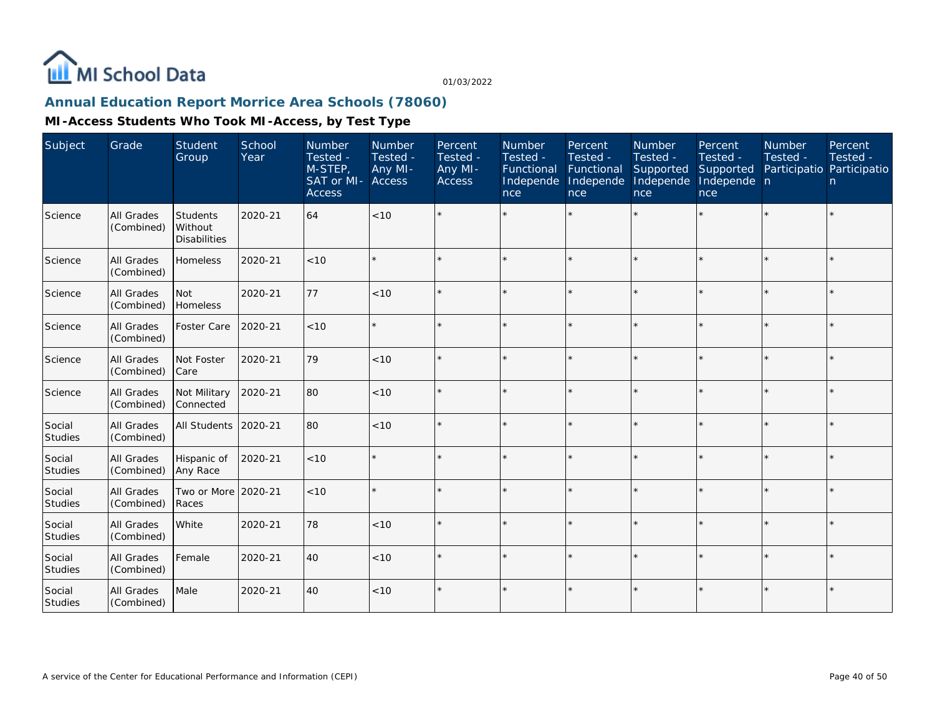

## **Annual Education Report Morrice Area Schools (78060)**

| Subject                  | Grade                           | Student<br>Group                             | School<br>Year | Number<br>Tested -<br>M-STEP.<br>SAT or MI- Access<br><b>Access</b> | Number<br>Tested -<br>Any MI- | Percent<br>Tested -<br>Any MI-<br><b>Access</b> | <b>Number</b><br>Tested -<br>Functional<br>Independe<br>nce | Percent<br>Tested -<br>Functional<br>Independe<br>nce | <b>Number</b><br>Tested -<br>Supported<br>Independe<br>nce | Percent<br>Tested -<br>Supported<br>Independe n<br>nce | <b>Number</b><br>Tested - | Percent<br>Tested -<br>Participatio Participatio<br>$\mathsf{n}$ |
|--------------------------|---------------------------------|----------------------------------------------|----------------|---------------------------------------------------------------------|-------------------------------|-------------------------------------------------|-------------------------------------------------------------|-------------------------------------------------------|------------------------------------------------------------|--------------------------------------------------------|---------------------------|------------------------------------------------------------------|
| Science                  | <b>All Grades</b><br>(Combined) | Students<br>l Without<br><b>Disabilities</b> | 2020-21        | 64                                                                  | < 10                          |                                                 |                                                             |                                                       |                                                            | $\star$                                                |                           | $\star$                                                          |
| Science                  | All Grades<br>(Combined)        | Homeless                                     | 2020-21        | < 10                                                                | $\star$                       |                                                 |                                                             | $\star$                                               |                                                            |                                                        |                           | $\star$                                                          |
| Science                  | <b>All Grades</b><br>(Combined) | <b>Not</b><br>Homeless                       | 2020-21        | 77                                                                  | < 10                          |                                                 |                                                             | $\star$                                               | ÷                                                          | $\star$                                                | $\star$                   | ÷.                                                               |
| Science                  | All Grades<br>(Combined)        | Foster Care                                  | 2020-21        | < 10                                                                | $\star$                       |                                                 |                                                             | $\star$                                               |                                                            | $\star$                                                |                           | $\star$                                                          |
| Science                  | <b>All Grades</b><br>(Combined) | Not Foster<br><b>Care</b>                    | 2020-21        | 79                                                                  | < 10                          |                                                 |                                                             | $\star$                                               |                                                            | $\star$                                                |                           | $\star$                                                          |
| Science                  | All Grades<br>(Combined)        | Not Military<br>Connected                    | 2020-21        | 80                                                                  | < 10                          |                                                 |                                                             | $\star$                                               |                                                            | $\star$                                                | $\star$                   | $\star$                                                          |
| Social<br>Studies        | All Grades<br>(Combined)        | All Students                                 | 2020-21        | 80                                                                  | < 10                          |                                                 |                                                             | $\star$                                               | ÷                                                          | $\star$                                                |                           | $\star$                                                          |
| Social<br>Studies        | All Grades<br>(Combined)        | Hispanic of<br>Any Race                      | 2020-21        | < 10                                                                | $\star$                       |                                                 |                                                             | $\star$                                               |                                                            | $\star$                                                |                           | $\star$                                                          |
| Social<br>Studies        | All Grades<br>(Combined)        | Two or More<br>Races                         | 2020-21        | < 10                                                                | $\star$                       |                                                 |                                                             | $\star$                                               |                                                            | $\star$                                                |                           | $\star$                                                          |
| Social<br><b>Studies</b> | <b>All Grades</b><br>(Combined) | White                                        | 2020-21        | 78                                                                  | < 10                          |                                                 |                                                             | $\star$                                               |                                                            | $\star$                                                | $\star$                   | $\star$                                                          |
| Social<br>Studies        | All Grades<br>(Combined)        | Female                                       | 2020-21        | 40                                                                  | < 10                          |                                                 |                                                             | $\star$                                               |                                                            | $\star$                                                | $\star$                   | $\star$                                                          |
| Social<br>Studies        | <b>All Grades</b><br>(Combined) | Male                                         | 2020-21        | 40                                                                  | < 10                          |                                                 |                                                             | $\star$                                               |                                                            |                                                        |                           | $\star$                                                          |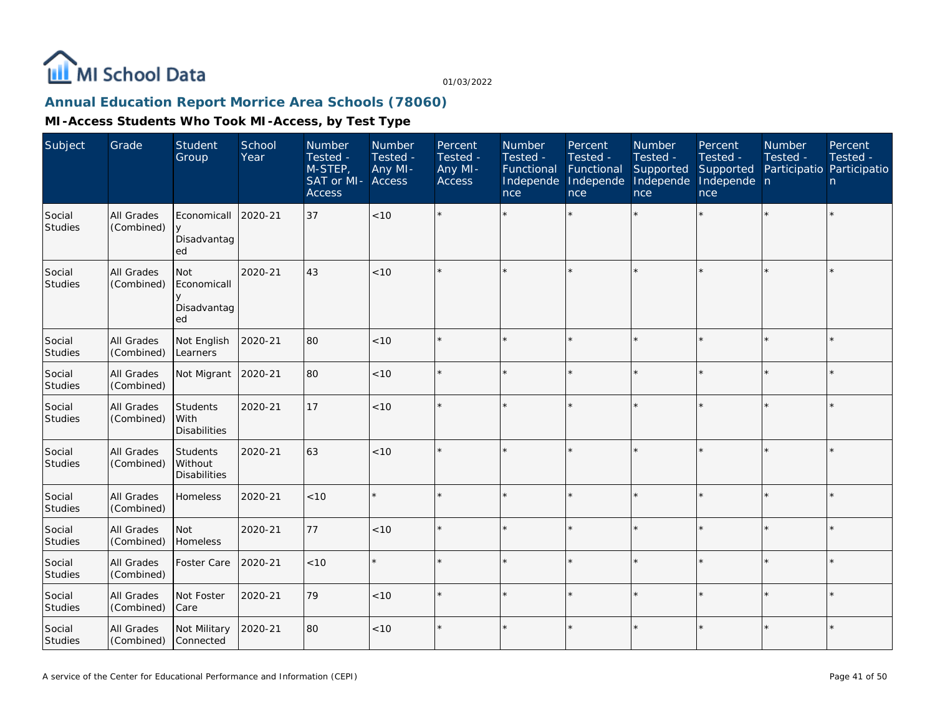

## **Annual Education Report Morrice Area Schools (78060)**

| Subject                  | Grade                           | Student<br>Group                           | School<br>Year | Number<br>Tested -<br>M-STEP,<br>SAT or MI-<br><b>Access</b> | Number<br>Tested -<br>Any MI-<br>Access | Percent<br>Tested -<br>Any MI-<br><b>Access</b> | Number<br>Tested -<br>Functional<br>Independe<br>nce | Percent<br>Tested -<br>Functional<br>Independe<br>nce | Number<br>Tested -<br>Supported<br>Independe<br>nce | Percent<br>Tested -<br>Supported<br>Independe n<br>nce | Number<br>Tested -<br>Participatio Participatio | Percent<br>Tested -<br>n |
|--------------------------|---------------------------------|--------------------------------------------|----------------|--------------------------------------------------------------|-----------------------------------------|-------------------------------------------------|------------------------------------------------------|-------------------------------------------------------|-----------------------------------------------------|--------------------------------------------------------|-------------------------------------------------|--------------------------|
| Social<br>Studies        | <b>All Grades</b><br>(Combined) | Economicall<br>$\vee$<br>Disadvantag<br>ed | 2020-21        | 37                                                           | <10                                     |                                                 |                                                      |                                                       |                                                     |                                                        |                                                 | $\star$                  |
| Social<br>Studies        | All Grades<br>(Combined)        | Not<br>Economicall<br>Disadvantag<br>ed    | 2020-21        | 43                                                           | < 10                                    |                                                 |                                                      |                                                       |                                                     |                                                        |                                                 | $\star$                  |
| Social<br>Studies        | All Grades<br>(Combined)        | Not English<br>Learners                    | 2020-21        | 80                                                           | < 10                                    |                                                 |                                                      |                                                       |                                                     | $\star$                                                | $\star$                                         | $\star$                  |
| Social<br><b>Studies</b> | All Grades<br>(Combined)        | Not Migrant                                | 2020-21        | 80                                                           | < 10                                    |                                                 |                                                      |                                                       |                                                     |                                                        | ×                                               | $\star$                  |
| Social<br><b>Studies</b> | All Grades<br>(Combined)        | Students<br>With<br><b>Disabilities</b>    | 2020-21        | 17                                                           | <10                                     |                                                 |                                                      |                                                       |                                                     |                                                        |                                                 | $\star$                  |
| Social<br><b>Studies</b> | All Grades<br>(Combined)        | Students<br>Without<br><b>Disabilities</b> | 2020-21        | 63                                                           | < 10                                    |                                                 |                                                      |                                                       |                                                     | $\star$                                                | $\star$                                         | $\star$                  |
| Social<br><b>Studies</b> | All Grades<br>(Combined)        | Homeless                                   | 2020-21        | < 10                                                         |                                         |                                                 |                                                      |                                                       |                                                     | ×.                                                     | $\star$                                         | $\star$                  |
| Social<br><b>Studies</b> | All Grades<br>(Combined)        | Not<br>Homeless                            | 2020-21        | 77                                                           | < 10                                    |                                                 |                                                      |                                                       |                                                     | $\star$                                                |                                                 | $\star$                  |
| Social<br><b>Studies</b> | All Grades<br>(Combined)        | Foster Care                                | 2020-21        | < 10                                                         |                                         |                                                 |                                                      |                                                       |                                                     |                                                        |                                                 | $\star$                  |
| Social<br>Studies        | All Grades<br>(Combined)        | Not Foster<br>Care                         | 2020-21        | 79                                                           | < 10                                    |                                                 |                                                      |                                                       |                                                     | $\star$                                                | $\star$                                         | k.                       |
| Social<br>Studies        | All Grades<br>(Combined)        | Not Military<br>Connected                  | 2020-21        | 80                                                           | < 10                                    | $\star$                                         |                                                      |                                                       |                                                     | $\star$                                                | $\star$                                         | $\star$                  |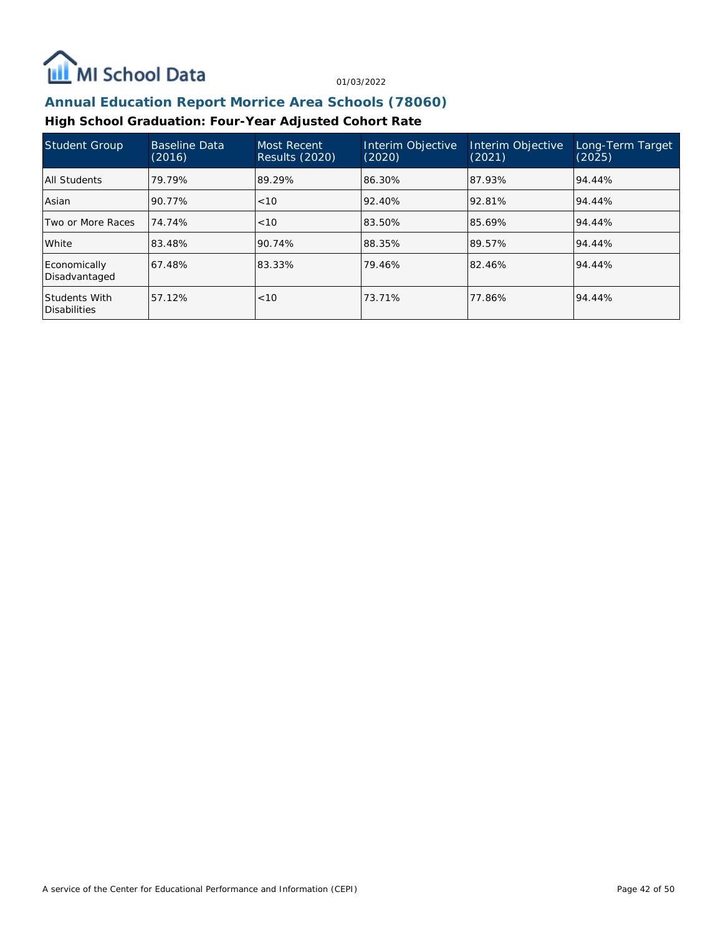

#### **Annual Education Report Morrice Area Schools (78060)**

#### **High School Graduation: Four-Year Adjusted Cohort Rate**

| Student Group                        | <b>Baseline Data</b><br>(2016) | Most Recent<br><b>Results (2020)</b> | Interim Objective<br>(2020) | Interim Objective<br>(2021) | Long-Term Target<br>(2025) |
|--------------------------------------|--------------------------------|--------------------------------------|-----------------------------|-----------------------------|----------------------------|
| All Students                         | 79.79%                         | 89.29%                               | 86.30%                      | 87.93%                      | 94.44%                     |
| Asian                                | 90.77%                         | < 10                                 | 92.40%                      | 92.81%                      | 94.44%                     |
| Two or More Races                    | 74.74%                         | ~10                                  | 83.50%                      | 85.69%                      | 94.44%                     |
| White                                | 83.48%                         | 90.74%                               | 88.35%                      | 89.57%                      | 94.44%                     |
| Economically<br>Disadvantaged        | 67.48%                         | 83.33%                               | 79.46%                      | 82.46%                      | 94.44%                     |
| Students With<br><b>Disabilities</b> | 57.12%                         | < 10                                 | 73.71%                      | 77.86%                      | 94.44%                     |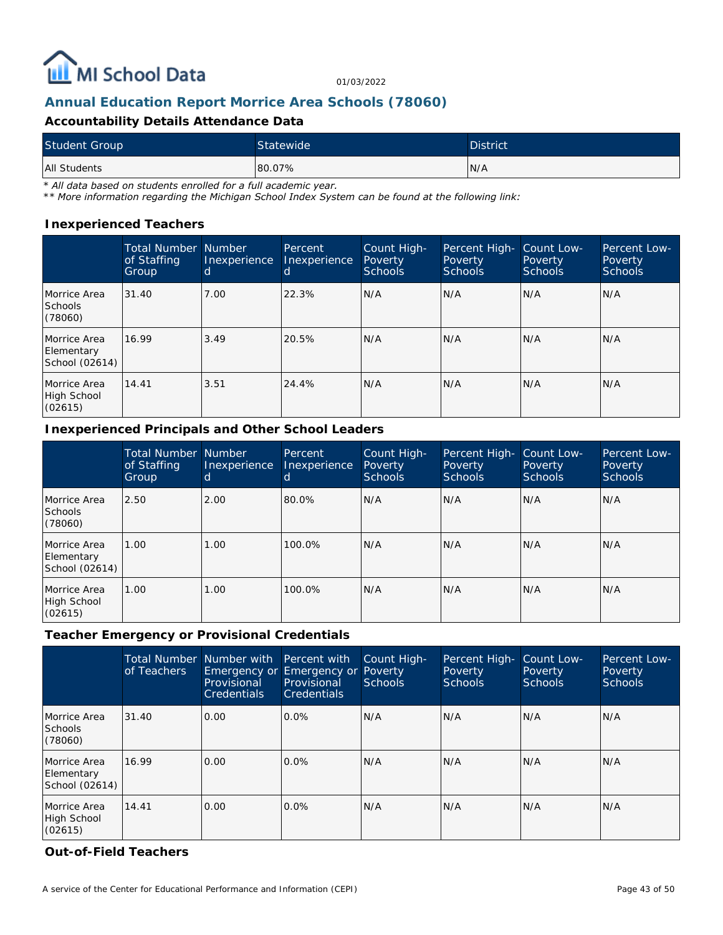

#### **Annual Education Report Morrice Area Schools (78060)**

#### **Accountability Details Attendance Data**

| <b>Student Group</b> | <b>Statewide</b> | <b>District</b> |
|----------------------|------------------|-----------------|
| All Students         | 80.07%           | N/A             |

*\* All data based on students enrolled for a full academic year.*

*\*\* More information regarding the Michigan School Index System can be found at the following link:*

#### **Inexperienced Teachers**

|                                              | <b>Total Number</b><br>of Staffing<br>Group | <b>Number</b><br>Inexperience<br>d | Percent<br>Inexperience<br>d | Count High-<br>Poverty<br><b>Schools</b> | Percent High-<br>Poverty<br><b>Schools</b> | Count Low-<br>Poverty<br>Schools | Percent Low-<br>Poverty<br><b>Schools</b> |
|----------------------------------------------|---------------------------------------------|------------------------------------|------------------------------|------------------------------------------|--------------------------------------------|----------------------------------|-------------------------------------------|
| Morrice Area<br><b>Schools</b><br>(78060)    | 31.40                                       | 7.00                               | 22.3%                        | N/A                                      | N/A                                        | N/A                              | IN/A                                      |
| Morrice Area<br>Elementary<br>School (02614) | 16.99                                       | 3.49                               | 20.5%                        | N/A                                      | N/A                                        | N/A                              | IN/A                                      |
| Morrice Area<br>High School<br>(02615)       | 14.41                                       | 3.51                               | 24.4%                        | N/A                                      | N/A                                        | N/A                              | IN/A                                      |

#### **Inexperienced Principals and Other School Leaders**

|                                              | <b>Total Number Number</b><br>of Staffing<br>Group | Inexperience<br>d | Percent<br>Inexperience<br><sub>0</sub> | Count High-<br><b>Poverty</b><br>Schools | Percent High-<br><b>Poverty</b><br><b>Schools</b> | Count Low-<br>Poverty<br><b>Schools</b> | Percent Low-<br>Poverty<br><b>Schools</b> |
|----------------------------------------------|----------------------------------------------------|-------------------|-----------------------------------------|------------------------------------------|---------------------------------------------------|-----------------------------------------|-------------------------------------------|
| Morrice Area<br><b>Schools</b><br>(78060)    | 2.50                                               | 2.00              | 80.0%                                   | N/A                                      | N/A                                               | N/A                                     | N/A                                       |
| Morrice Area<br>Elementary<br>School (02614) | .00.                                               | 1.00              | 100.0%                                  | N/A                                      | N/A                                               | N/A                                     | N/A                                       |
| Morrice Area<br>High School<br>(02615)       | .00.                                               | 1.00              | 100.0%                                  | N/A                                      | N/A                                               | N/A                                     | N/A                                       |

#### **Teacher Emergency or Provisional Credentials**

|                                              | <b>Total Number</b><br>of Teachers | Number with<br>Provisional<br><b>Credentials</b> | Percent with<br>Emergency or Emergency or Poverty<br>Provisional<br><b>Credentials</b> | Count High-<br>Schools | Percent High-<br><b>Poverty</b><br><b>Schools</b> | Count Low-<br>Poverty<br><b>Schools</b> | Percent Low-<br>Poverty<br><b>Schools</b> |
|----------------------------------------------|------------------------------------|--------------------------------------------------|----------------------------------------------------------------------------------------|------------------------|---------------------------------------------------|-----------------------------------------|-------------------------------------------|
| Morrice Area<br><b>Schools</b><br>(78060)    | 31.40                              | 0.00                                             | 0.0%                                                                                   | N/A                    | N/A                                               | N/A                                     | N/A                                       |
| Morrice Area<br>Elementary<br>School (02614) | 16.99                              | 0.00                                             | $0.0\%$                                                                                | N/A                    | N/A                                               | N/A                                     | N/A                                       |
| Morrice Area<br>High School<br>(02615)       | 14.41                              | 0.00                                             | $0.0\%$                                                                                | N/A                    | N/A                                               | N/A                                     | N/A                                       |

**Out-of-Field Teachers**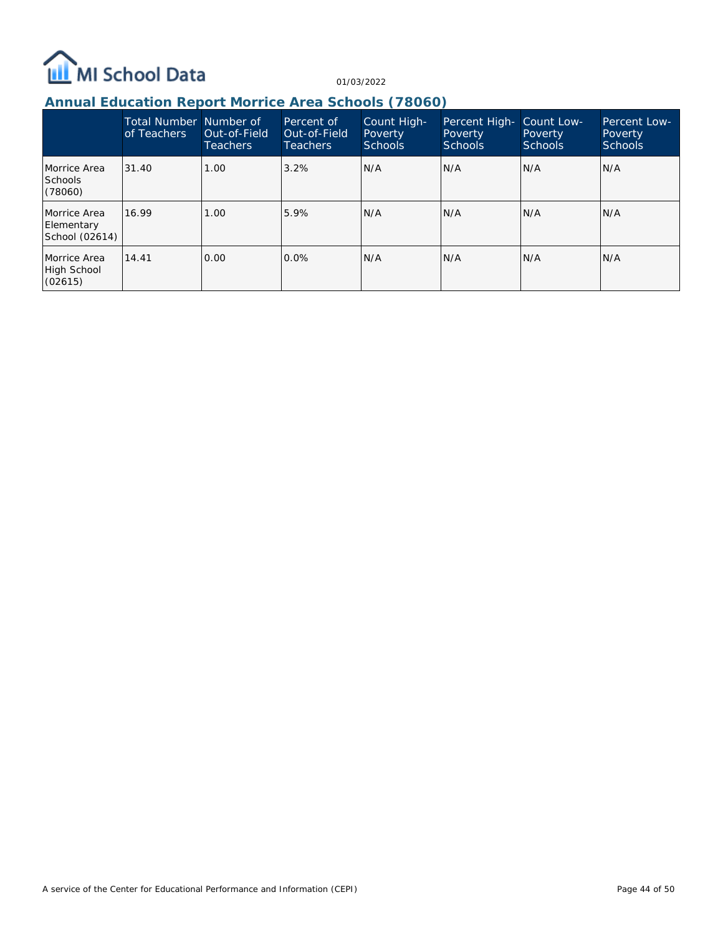

## **Annual Education Report Morrice Area Schools (78060)**

|                                              | Total Number Number of<br>of Teachers | Out-of-Field<br>Teachers | Percent of<br>Out-of-Field<br><b>Teachers</b> | Count High-<br>Poverty<br><b>Schools</b> | Percent High-<br>Poverty<br><b>Schools</b> | Count Low-<br>Poverty<br>Schools | Percent Low-<br>Poverty<br><b>Schools</b> |
|----------------------------------------------|---------------------------------------|--------------------------|-----------------------------------------------|------------------------------------------|--------------------------------------------|----------------------------------|-------------------------------------------|
| Morrice Area<br><b>Schools</b><br>(78060)    | 31.40                                 | 1.00                     | 3.2%                                          | N/A                                      | N/A                                        | N/A                              | N/A                                       |
| Morrice Area<br>Elementary<br>School (02614) | 16.99                                 | 1.00                     | 5.9%                                          | IN/A                                     | N/A                                        | N/A                              | N/A                                       |
| Morrice Area<br>High School<br>(02615)       | 14.41                                 | 0.00                     | $0.0\%$                                       | IN/A                                     | N/A                                        | N/A                              | N/A                                       |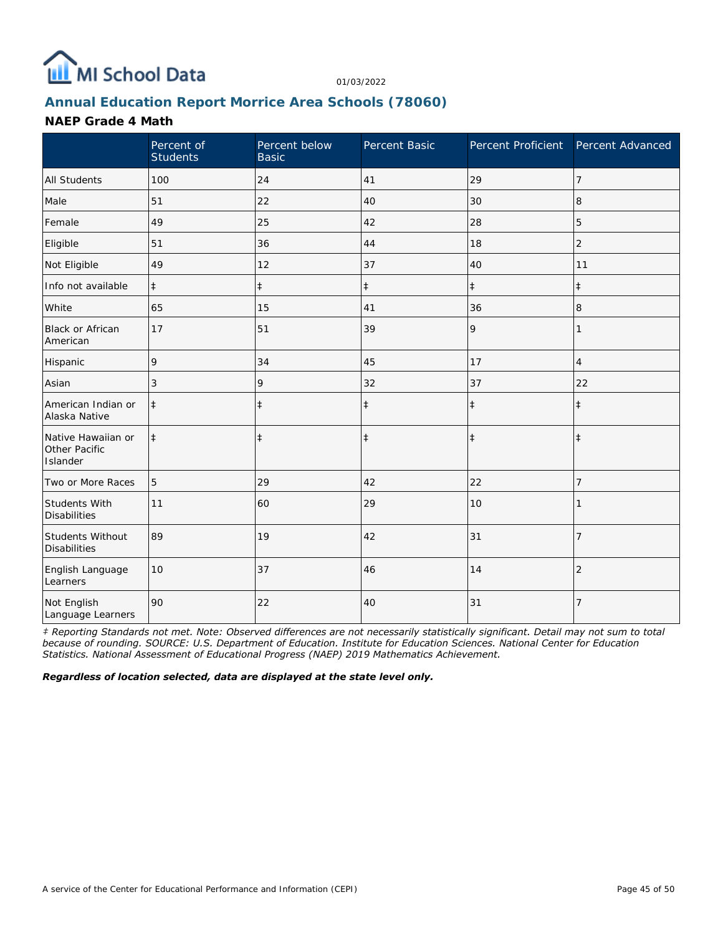

## **Annual Education Report Morrice Area Schools (78060)**

#### **NAEP Grade 4 Math**

|                                                 | Percent of<br><b>Students</b> | Percent below<br><b>Basic</b> | Percent Basic | Percent Proficient Percent Advanced |                |
|-------------------------------------------------|-------------------------------|-------------------------------|---------------|-------------------------------------|----------------|
| <b>All Students</b>                             | 100                           | 24                            | 41            | 29                                  | 7              |
| Male                                            | 51                            | 22                            | 40            | 30                                  | 8              |
| Female                                          | 49                            | 25                            | 42            | 28                                  | 5              |
| Eligible                                        | 51                            | 36                            | 44            | 18                                  | $\overline{2}$ |
| Not Eligible                                    | 49                            | 12                            | 37            | 40                                  | 11             |
| Info not available                              | $\ddagger$                    | $\ddagger$                    | $\ddagger$    | $\ddagger$                          | $\ddagger$     |
| White                                           | 65                            | 15                            | 41            | 36                                  | 8              |
| <b>Black or African</b><br>American             | 17                            | 51                            | 39            | 9                                   | 1              |
| Hispanic                                        | 9                             | 34                            | 45            | 17                                  | 4              |
| Asian                                           | 3                             | 9                             | 32            | 37                                  | 22             |
| American Indian or<br>Alaska Native             | $\ddagger$                    | $\ddagger$                    | $\ddagger$    | $\ddagger$                          | $\ddagger$     |
| Native Hawaiian or<br>Other Pacific<br>Islander | $\ddagger$                    | $\ddagger$                    | $\ddagger$    | $\ddagger$                          | $\ddagger$     |
| Two or More Races                               | 5                             | 29                            | 42            | 22                                  | 7              |
| Students With<br><b>Disabilities</b>            | 11                            | 60                            | 29            | 10                                  |                |
| Students Without<br><b>Disabilities</b>         | 89                            | 19                            | 42            | 31                                  | $\overline{7}$ |
| English Language<br>Learners                    | 10                            | 37                            | 46            | 14                                  | $\overline{2}$ |
| Not English<br>Language Learners                | 90                            | 22                            | 40            | 31                                  | $\overline{7}$ |

*‡ Reporting Standards not met. Note: Observed differences are not necessarily statistically significant. Detail may not sum to total because of rounding. SOURCE: U.S. Department of Education. Institute for Education Sciences. National Center for Education Statistics. National Assessment of Educational Progress (NAEP) 2019 Mathematics Achievement.*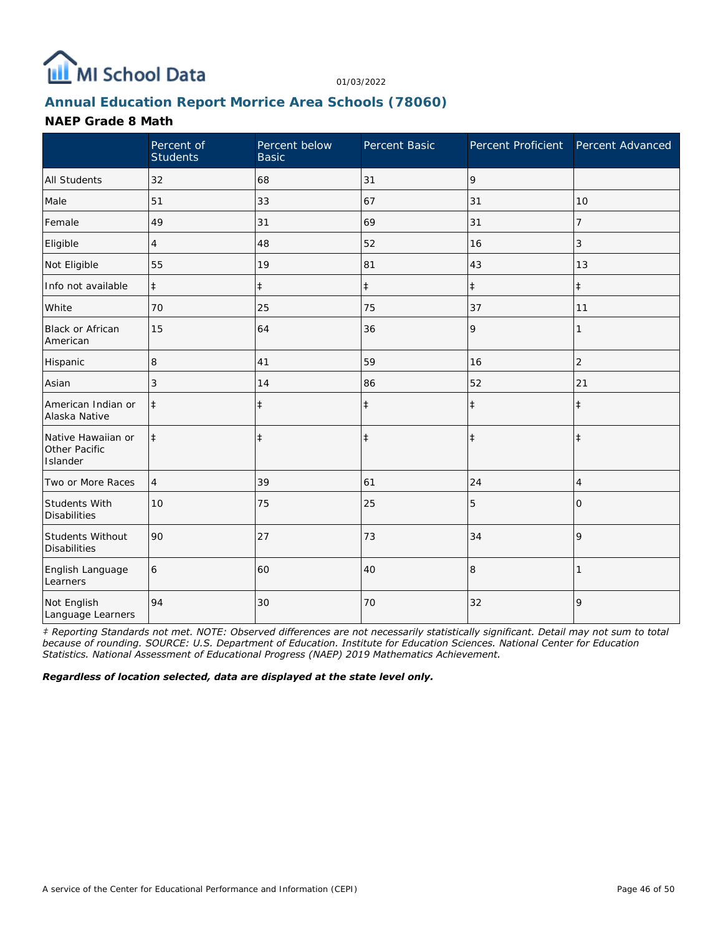

## **Annual Education Report Morrice Area Schools (78060)**

#### **NAEP Grade 8 Math**

|                                                 | Percent of<br><b>Students</b> | Percent below<br><b>Basic</b> | Percent Basic | Percent Proficient | Percent Advanced |
|-------------------------------------------------|-------------------------------|-------------------------------|---------------|--------------------|------------------|
| <b>All Students</b>                             | 32                            | 68                            | 31            | 9                  |                  |
| Male                                            | 51                            | 33                            | 67            | 31                 | 10               |
| Female                                          | 49                            | 31                            | 69            | 31                 | 7                |
| Eligible                                        | 4                             | 48                            | 52            | 16                 | 3                |
| Not Eligible                                    | 55                            | 19                            | 81            | 43                 | 13               |
| Info not available                              | $\ddagger$                    | $\ddagger$                    | $\ddagger$    | $\ddagger$         | $\ddagger$       |
| White                                           | 70                            | 25                            | 75            | 37                 | 11               |
| <b>Black or African</b><br>American             | 15                            | 64                            | 36            | 9                  | 1                |
| Hispanic                                        | 8                             | 41                            | 59            | 16                 | $\overline{2}$   |
| Asian                                           | 3                             | 14                            | 86            | 52                 | 21               |
| American Indian or<br>Alaska Native             | $\ddagger$                    | $\ddagger$                    | $\ddagger$    | $\ddagger$         | $\ddagger$       |
| Native Hawaiian or<br>Other Pacific<br>Islander | $\ddagger$                    | $\ddagger$                    | $\ddagger$    | $\ddagger$         | $\ddagger$       |
| Two or More Races                               | $\overline{4}$                | 39                            | 61            | 24                 | 4                |
| Students With<br><b>Disabilities</b>            | 10                            | 75                            | 25            | 5                  | $\Omega$         |
| Students Without<br><b>Disabilities</b>         | 90                            | 27                            | 73            | 34                 | 9                |
| English Language<br>Learners                    | 6                             | 60                            | 40            | 8                  |                  |
| Not English<br>Language Learners                | 94                            | 30                            | 70            | 32                 | 9                |

*‡ Reporting Standards not met. NOTE: Observed differences are not necessarily statistically significant. Detail may not sum to total because of rounding. SOURCE: U.S. Department of Education. Institute for Education Sciences. National Center for Education Statistics. National Assessment of Educational Progress (NAEP) 2019 Mathematics Achievement.*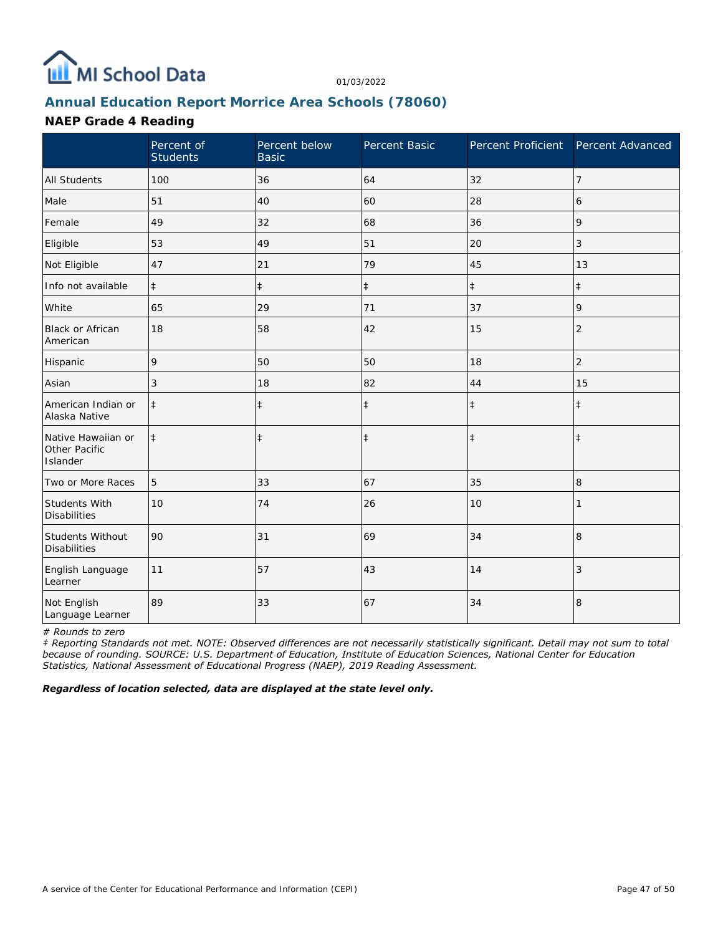

## **Annual Education Report Morrice Area Schools (78060)**

#### **NAEP Grade 4 Reading**

|                                                 | Percent of<br><b>Students</b> | Percent below<br><b>Basic</b> | Percent Basic | Percent Proficient | Percent Advanced |
|-------------------------------------------------|-------------------------------|-------------------------------|---------------|--------------------|------------------|
| <b>All Students</b>                             | 100                           | 36                            | 64            | 32                 | 7                |
| Male                                            | 51                            | 40                            | 60            | 28                 | 6                |
| Female                                          | 49                            | 32                            | 68            | 36                 | 9                |
| Eligible                                        | 53                            | 49                            | 51            | 20                 | 3                |
| Not Eligible                                    | 47                            | 21                            | 79            | 45                 | 13               |
| Info not available                              | $\ddagger$                    | $\ddagger$                    | $\ddagger$    | $\ddagger$         | $\pm$            |
| White                                           | 65                            | 29                            | 71            | 37                 | 9                |
| Black or African<br>American                    | 18                            | 58                            | 42            | 15                 | $\overline{2}$   |
| Hispanic                                        | 9                             | 50                            | 50            | 18                 | $\overline{c}$   |
| Asian                                           | 3                             | 18                            | 82            | 44                 | 15               |
| American Indian or<br>Alaska Native             | $\ddagger$                    | $\ddagger$                    | $\ddagger$    | $\ddagger$         | $\ddagger$       |
| Native Hawaiian or<br>Other Pacific<br>Islander | $\ddagger$                    | $\ddagger$                    | $\ddagger$    | $\ddagger$         | $\pm$            |
| Two or More Races                               | 5                             | 33                            | 67            | 35                 | 8                |
| Students With<br><b>Disabilities</b>            | 10                            | 74                            | 26            | 10                 |                  |
| Students Without<br><b>Disabilities</b>         | 90                            | 31                            | 69            | 34                 | 8                |
| English Language<br>Learner                     | 11                            | 57                            | 43            | 14                 | 3                |
| Not English<br>Language Learner                 | 89                            | 33                            | 67            | 34                 | 8                |

*# Rounds to zero*

*‡ Reporting Standards not met. NOTE: Observed differences are not necessarily statistically significant. Detail may not sum to total because of rounding. SOURCE: U.S. Department of Education, Institute of Education Sciences, National Center for Education Statistics, National Assessment of Educational Progress (NAEP), 2019 Reading Assessment.*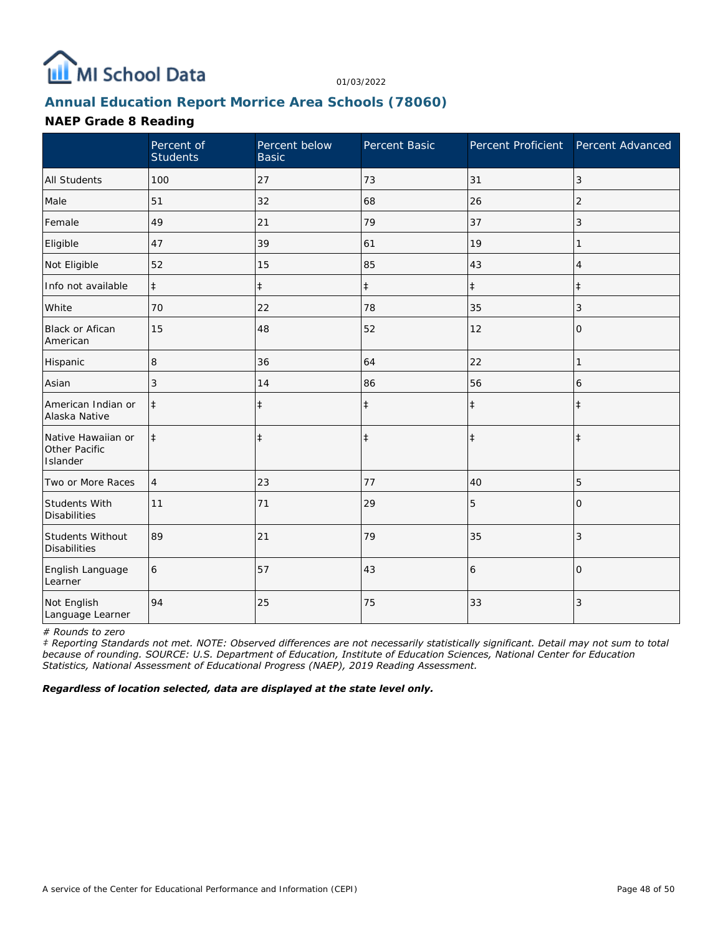

## **Annual Education Report Morrice Area Schools (78060)**

#### **NAEP Grade 8 Reading**

|                                                 | Percent of<br><b>Students</b> | Percent below<br><b>Basic</b> | Percent Basic | Percent Proficient Percent Advanced |                |
|-------------------------------------------------|-------------------------------|-------------------------------|---------------|-------------------------------------|----------------|
| <b>All Students</b>                             | 100                           | 27                            | 73            | 31                                  | 3              |
| Male                                            | 51                            | 32                            | 68            | 26                                  | 2              |
| Female                                          | 49                            | 21                            | 79            | 37                                  | 3              |
| Eligible                                        | 47                            | 39                            | 61            | 19                                  | 1              |
| Not Eligible                                    | 52                            | 15                            | 85            | 43                                  | 4              |
| Info not available                              | $\ddagger$                    | $\ddagger$                    | $\ddagger$    | $\ddagger$                          | $\ddagger$     |
| White                                           | 70                            | 22                            | 78            | 35                                  | 3              |
| <b>Black or Afican</b><br>American              | 15                            | 48                            | 52            | 12                                  | $\overline{O}$ |
| Hispanic                                        | 8                             | 36                            | 64            | 22                                  | 1              |
| Asian                                           | 3                             | 14                            | 86            | 56                                  | 6              |
| American Indian or<br>Alaska Native             | $\ddagger$                    | $\ddagger$                    | $\ddagger$    | $\ddagger$                          | $\ddagger$     |
| Native Hawaiian or<br>Other Pacific<br>Islander | $\ddagger$                    | $\ddagger$                    | $\ddagger$    | $\ddagger$                          | $\ddagger$     |
| Two or More Races                               | $\overline{4}$                | 23                            | 77            | 40                                  | 5              |
| Students With<br><b>Disabilities</b>            | 11                            | 71                            | 29            | 5                                   | $\Omega$       |
| Students Without<br><b>Disabilities</b>         | 89                            | 21                            | 79            | 35                                  | 3              |
| English Language<br>Learner                     | 6                             | 57                            | 43            | 6                                   | $\overline{0}$ |
| Not English<br>Language Learner                 | 94                            | 25                            | 75            | 33                                  | 3              |

*# Rounds to zero*

*‡ Reporting Standards not met. NOTE: Observed differences are not necessarily statistically significant. Detail may not sum to total because of rounding. SOURCE: U.S. Department of Education, Institute of Education Sciences, National Center for Education Statistics, National Assessment of Educational Progress (NAEP), 2019 Reading Assessment.*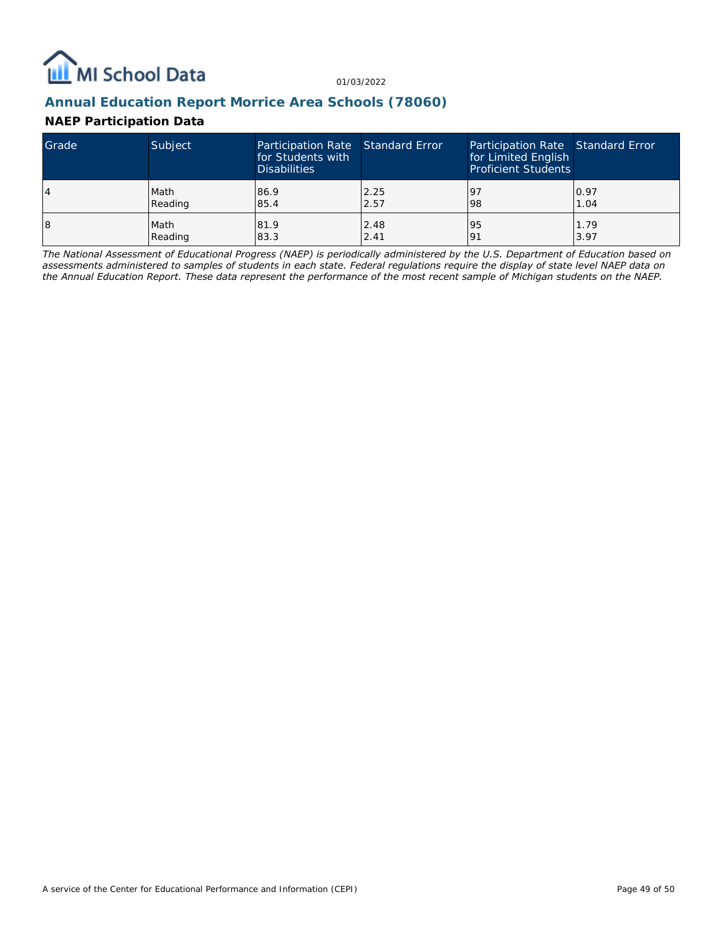

### **Annual Education Report Morrice Area Schools (78060)**

#### **NAEP Participation Data**

| Grade | Subject | Participation Rate Standard Error<br>for Students with<br><b>Disabilities</b> |      | Participation Rate Standard Error<br>for Limited English<br><b>Proficient Students</b> |      |
|-------|---------|-------------------------------------------------------------------------------|------|----------------------------------------------------------------------------------------|------|
| 4     | Math    | 86.9                                                                          | 2.25 | <u>l</u> 9                                                                             | 0.97 |
|       | Reading | 85.4                                                                          | 2.57 | 98                                                                                     | 1.04 |
| 18    | Math    | 81.9                                                                          | 2.48 | 95                                                                                     | 1.79 |
|       | Reading | 83.3                                                                          | 2.41 | 191                                                                                    | 3.97 |

*The National Assessment of Educational Progress (NAEP) is periodically administered by the U.S. Department of Education based on assessments administered to samples of students in each state. Federal regulations require the display of state level NAEP data on the Annual Education Report. These data represent the performance of the most recent sample of Michigan students on the NAEP.*